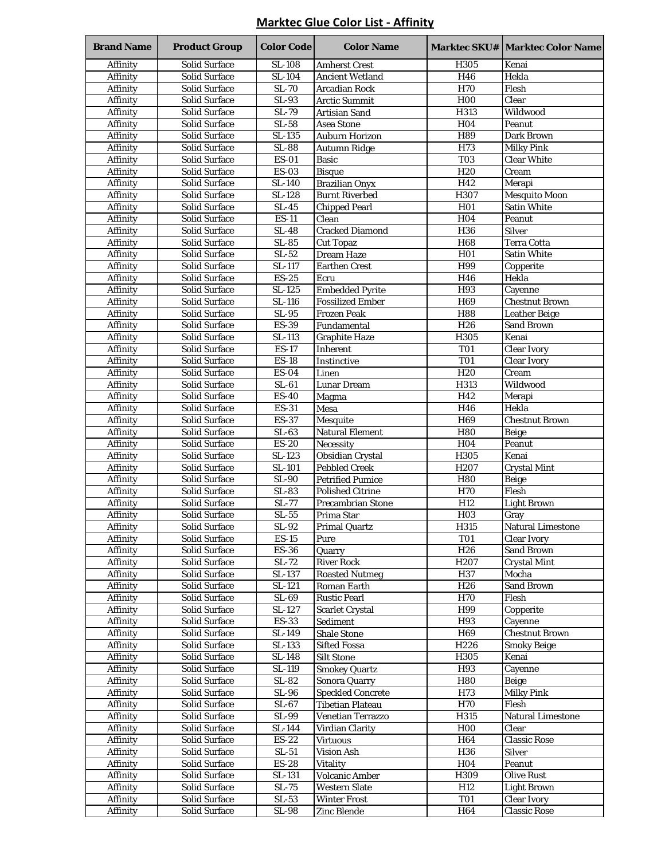#### **Marktec Glue Color List - Affinity**

| <b>Brand Name</b>    | <b>Product Group</b>                         | <b>Color Code</b>                   | <b>Color Name</b>                                  |                         | <b>Marktec SKU#   Marktec Color Name</b>   |
|----------------------|----------------------------------------------|-------------------------------------|----------------------------------------------------|-------------------------|--------------------------------------------|
| Affinity             | <b>Solid Surface</b>                         | <b>SL-108</b>                       | <b>Amherst Crest</b>                               | H305                    | Kenai                                      |
| Affinity             | <b>Solid Surface</b>                         | <b>SL-104</b>                       | <b>Ancient Wetland</b>                             | H46                     | Hekla                                      |
| Affinity             | <b>Solid Surface</b>                         | <b>SL-70</b>                        | <b>Arcadian Rock</b>                               | H70                     | Flesh                                      |
| Affinity             | <b>Solid Surface</b>                         | $SL-93$                             | <b>Arctic Summit</b>                               | <b>H00</b>              | Clear                                      |
| Affinity             | <b>Solid Surface</b>                         | SL-79                               | <b>Artisian Sand</b>                               | H313                    | Wildwood                                   |
| Affinity             | <b>Solid Surface</b>                         | $SL-58$                             | <b>Asea Stone</b>                                  | H <sub>04</sub>         | Peanut                                     |
| Affinity             | <b>Solid Surface</b>                         | SL-135                              | <b>Auburn Horizon</b>                              | H89                     | Dark Brown                                 |
| Affinity             | <b>Solid Surface</b>                         | $SL-88$                             | Autumn Ridge                                       | H73                     | <b>Milky Pink</b>                          |
| Affinity             | <b>Solid Surface</b>                         | $ES-01$                             | <b>Basic</b>                                       | $\overline{TO3}$        | <b>Clear White</b>                         |
| Affinity             | <b>Solid Surface</b>                         | <b>ES-03</b>                        | <b>Bisque</b>                                      | H20                     | Cream                                      |
| Affinity             | <b>Solid Surface</b>                         | SL-140                              | <b>Brazilian Onyx</b>                              | H42                     | Merapi                                     |
| Affinity             | <b>Solid Surface</b>                         | SL-128<br>$\overline{\text{SL-45}}$ | <b>Burnt Riverbed</b><br><b>Chipped Pearl</b>      | H307<br>H <sub>01</sub> | <b>Mesquito Moon</b><br><b>Satin White</b> |
| Affinity<br>Affinity | <b>Solid Surface</b><br><b>Solid Surface</b> | $ES-11$                             | Clean                                              | H <sub>04</sub>         | Peanut                                     |
| Affinity             | <b>Solid Surface</b>                         | <b>SL-48</b>                        | <b>Cracked Diamond</b>                             | H36                     | <b>Silver</b>                              |
| Affinity             | <b>Solid Surface</b>                         | $SL-85$                             | <b>Cut Topaz</b>                                   | H <sub>68</sub>         | <b>Terra Cotta</b>                         |
| Affinity             | <b>Solid Surface</b>                         | $SL-52$                             | <b>Dream Haze</b>                                  | H <sub>01</sub>         | <b>Satin White</b>                         |
| Affinity             | <b>Solid Surface</b>                         | SL-117                              | <b>Earthen Crest</b>                               | H99                     | Copperite                                  |
| Affinity             | <b>Solid Surface</b>                         | <b>ES-25</b>                        | Ecru                                               | H46                     | Hekla                                      |
| Affinity             | <b>Solid Surface</b>                         | SL-125                              | <b>Embedded Pyrite</b>                             | H93                     | Cayenne                                    |
| Affinity             | <b>Solid Surface</b>                         | <b>SL-116</b>                       | <b>Fossilized Ember</b>                            | H69                     | <b>Chestnut Brown</b>                      |
| Affinity             | <b>Solid Surface</b>                         | $\overline{\text{SL-95}}$           | <b>Frozen Peak</b>                                 | <b>H88</b>              | Leather Beige                              |
| Affinity             | <b>Solid Surface</b>                         | <b>ES-39</b>                        | Fundamental                                        | H26                     | Sand Brown                                 |
| Affinity             | <b>Solid Surface</b>                         | SL-113                              | <b>Graphite Haze</b>                               | H305                    | Kenai                                      |
| Affinity             | <b>Solid Surface</b>                         | <b>ES-17</b>                        | Inherent                                           | <b>T01</b>              | <b>Clear Ivory</b>                         |
| Affinity             | <b>Solid Surface</b>                         | <b>ES-18</b>                        | Instinctive                                        | <b>T01</b>              | <b>Clear Ivory</b>                         |
| Affinity             | <b>Solid Surface</b>                         | <b>ES-04</b>                        | Linen                                              | H <sub>20</sub>         | Cream                                      |
| Affinity             | <b>Solid Surface</b>                         | $SL-61$                             | <b>Lunar Dream</b>                                 | H313                    | Wildwood                                   |
| Affinity             | <b>Solid Surface</b>                         | <b>ES-40</b>                        | Magma                                              | H42                     | Merapi                                     |
| Affinity             | <b>Solid Surface</b>                         | <b>ES-31</b>                        | Mesa                                               | $\overline{H}46$        | Hekla                                      |
| Affinity             | <b>Solid Surface</b>                         | <b>ES-37</b>                        | <b>Mesquite</b>                                    | H <sub>69</sub>         | <b>Chestnut Brown</b>                      |
| Affinity             | <b>Solid Surface</b>                         | $SL-63$                             | <b>Natural Element</b>                             | <b>H80</b>              | <b>Beige</b>                               |
| Affinity             | <b>Solid Surface</b>                         | $ES-20$                             | Necessity                                          | H <sub>04</sub>         | Peanut                                     |
| Affinity             | <b>Solid Surface</b>                         | SL-123                              | Obsidian Crystal                                   | H305                    | Kenai                                      |
| Affinity             | <b>Solid Surface</b>                         | $\overline{\text{SL-}101}$          | <b>Pebbled Creek</b>                               | H <sub>207</sub>        | <b>Crystal Mint</b>                        |
| Affinity             | <b>Solid Surface</b><br><b>Solid Surface</b> | <b>SL-90</b><br>$SL-83$             | <b>Petrified Pumice</b><br><b>Polished Citrine</b> | <b>H80</b><br>H70       | <b>Beige</b><br>Flesh                      |
| Affinity<br>Affinity | <b>Solid Surface</b>                         | $SL-77$                             | <b>Precambrian Stone</b>                           | H12                     | <b>Light Brown</b>                         |
| Affinity             | <b>Solid Surface</b>                         | $SL-55$                             | Prima Star                                         | H <sub>03</sub>         | Gray                                       |
| Affinity             | Solid Surface                                | SL-92                               | <b>Primal Quartz</b>                               | H315                    | <b>Natural Limestone</b>                   |
| <b>Affinity</b>      | <b>Solid Surface</b>                         | $ES-15$                             | Pure                                               | <b>T01</b>              | <b>Clear Ivory</b>                         |
| Affinity             | Solid Surface                                | $ES-36$                             | Quarry                                             | H26                     | <b>Sand Brown</b>                          |
| Affinity             | <b>Solid Surface</b>                         | SL-72                               | <b>River Rock</b>                                  | H <sub>207</sub>        | <b>Crystal Mint</b>                        |
| Affinity             | <b>Solid Surface</b>                         | $SL-137$                            | <b>Roasted Nutmeg</b>                              | H37                     | Mocha                                      |
| Affinity             | Solid Surface                                | SL-121                              | Roman Earth                                        | H <sub>26</sub>         | <b>Sand Brown</b>                          |
| Affinity             | Solid Surface                                | $SL-69$                             | <b>Rustic Pearl</b>                                | <b>H70</b>              | Flesh                                      |
| Affinity             | Solid Surface                                | SL-127                              | <b>Scarlet Crystal</b>                             | H99                     | Copperite                                  |
| Affinity             | Solid Surface                                | <b>ES-33</b>                        | Sediment                                           | H93                     | Cayenne                                    |
| Affinity             | <b>Solid Surface</b>                         | SL-149                              | <b>Shale Stone</b>                                 | H69                     | <b>Chestnut Brown</b>                      |
| Affinity             | Solid Surface                                | SL-133                              | <b>Sifted Fossa</b>                                | H226                    | Smoky Beige                                |
| <b>Affinity</b>      | Solid Surface                                | SL-148                              | <b>Silt Stone</b>                                  | H305                    | Kenai                                      |
| Affinity             | <b>Solid Surface</b>                         | SL-119                              | <b>Smokey Quartz</b>                               | H93                     | Cayenne                                    |
| Affinity             | Solid Surface                                | $SL-82$                             | Sonora Quarry                                      | H80                     | <b>Beige</b>                               |
| Affinity             | Solid Surface                                | <b>SL-96</b>                        | <b>Speckled Concrete</b>                           | H73                     | <b>Milky Pink</b>                          |
| Affinity             | <b>Solid Surface</b>                         | $\overline{\text{SL}}$ -67          | <b>Tibetian Plateau</b>                            | H70                     | Flesh                                      |
| Affinity             | Solid Surface                                | <b>SL-99</b>                        | Venetian Terrazzo                                  | H315                    | <b>Natural Limestone</b>                   |
| Affinity             | Solid Surface                                | SL-144                              | <b>Virdian Clarity</b>                             | H <sub>0</sub>          | Clear                                      |
| Affinity             | Solid Surface                                | $ES-22$<br>$SL-51$                  | <b>Virtuous</b>                                    | H <sub>64</sub>         | <b>Classic Rose</b>                        |
| Affinity<br>Affinity | Solid Surface<br><b>Solid Surface</b>        | <b>ES-28</b>                        | <b>Vision Ash</b><br><b>Vitality</b>               | H36<br>H <sub>04</sub>  | <b>Silver</b><br>Peanut                    |
| Affinity             | <b>Solid Surface</b>                         | SL-131                              | Volcanic Amber                                     | H309                    | <b>Olive Rust</b>                          |
| Affinity             | Solid Surface                                | $SL-75$                             | <b>Western Slate</b>                               | H12                     | <b>Light Brown</b>                         |
| Affinity             | Solid Surface                                | $SL-53$                             | <b>Winter Frost</b>                                | <b>T01</b>              | <b>Clear Ivory</b>                         |
| Affinity             | Solid Surface                                | <b>SL-98</b>                        | Zinc Blende                                        | H64                     | <b>Classic Rose</b>                        |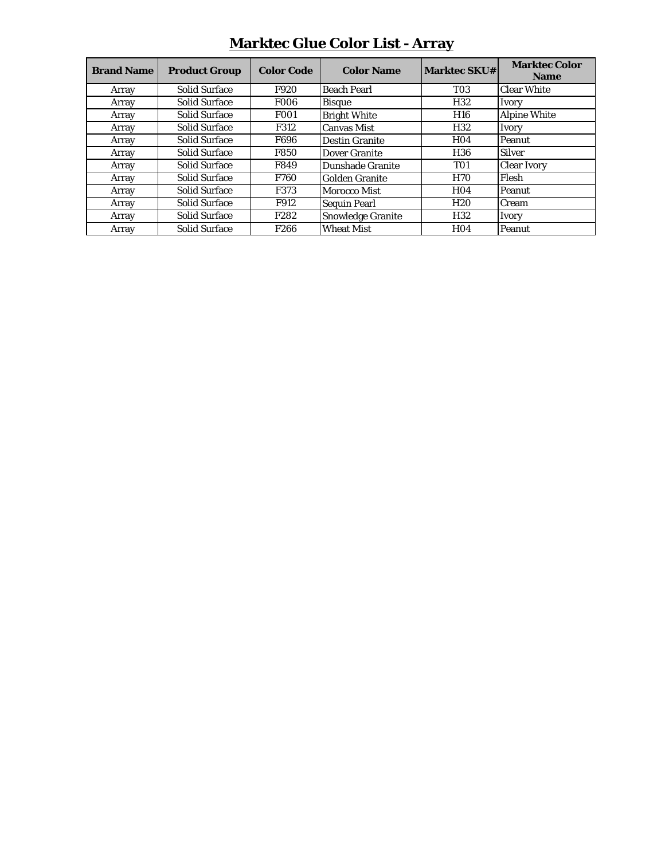| <b>Brand Name</b> | <b>Product Group</b> | <b>Color Code</b> | <b>Color Name</b>        | <b>Marktec SKU#</b> | <b>Marktec Color</b><br><b>Name</b> |
|-------------------|----------------------|-------------------|--------------------------|---------------------|-------------------------------------|
| Array             | <b>Solid Surface</b> | F920              | <b>Beach Pearl</b>       | <b>T03</b>          | <b>Clear White</b>                  |
| Array             | <b>Solid Surface</b> | <b>F006</b>       | <b>Bisque</b>            | H <sub>32</sub>     | Ivory                               |
| Array             | <b>Solid Surface</b> | <b>F001</b>       | <b>Bright White</b>      | <b>H16</b>          | <b>Alpine White</b>                 |
| Array             | <b>Solid Surface</b> | F312              | <b>Canvas Mist</b>       | H <sub>32</sub>     | Ivory                               |
| Array             | <b>Solid Surface</b> | F696              | <b>Destin Granite</b>    | <b>H04</b>          | Peanut                              |
| Array             | <b>Solid Surface</b> | <b>F850</b>       | Dover Granite            | H <sub>36</sub>     | <b>Silver</b>                       |
| Array             | <b>Solid Surface</b> | F849              | Dunshade Granite         | <b>T01</b>          | <b>Clear Ivory</b>                  |
| Array             | <b>Solid Surface</b> | <b>F760</b>       | <b>Golden Granite</b>    | <b>H70</b>          | Flesh                               |
| Array             | <b>Solid Surface</b> | F373              | Morocco Mist             | <b>H04</b>          | Peanut                              |
| Array             | <b>Solid Surface</b> | F912              | <b>Sequin Pearl</b>      | <b>H20</b>          | Cream                               |
| Array             | <b>Solid Surface</b> | F282              | <b>Snowledge Granite</b> | H <sub>32</sub>     | Ivory                               |
| Array             | <b>Solid Surface</b> | F <sub>266</sub>  | <b>Wheat Mist</b>        | H <sub>04</sub>     | Peanut                              |

## **Marktec Glue Color List - Array**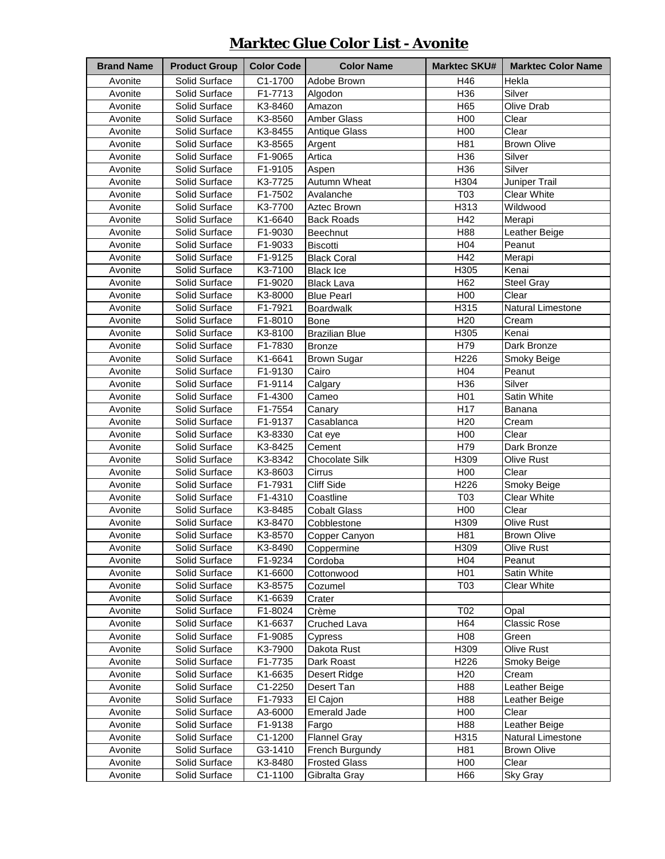### **Marktec Glue Color List - Avonite**

| <b>Brand Name</b> | <b>Product Group</b> | <b>Color Code</b> | <b>Color Name</b>          | <b>Marktec SKU#</b> | <b>Marktec Color Name</b> |
|-------------------|----------------------|-------------------|----------------------------|---------------------|---------------------------|
| Avonite           | Solid Surface        | C1-1700           | Adobe Brown                | H46                 | Hekla                     |
| Avonite           | Solid Surface        | F1-7713           | Algodon                    | H36                 | Silver                    |
| Avonite           | Solid Surface        | K3-8460           | Amazon                     | H65                 | Olive Drab                |
| Avonite           | Solid Surface        | K3-8560           | Amber Glass                | H00                 | Clear                     |
| Avonite           | Solid Surface        | K3-8455           | <b>Antique Glass</b>       | H00                 | Clear                     |
| Avonite           | Solid Surface        | K3-8565           | Argent                     | H81                 | <b>Brown Olive</b>        |
| Avonite           | Solid Surface        | F1-9065           | Artica                     | H36                 | Silver                    |
| Avonite           | Solid Surface        | F1-9105           | Aspen                      | H36                 | Silver                    |
| Avonite           | Solid Surface        | K3-7725           | Autumn Wheat               | H304                | Juniper Trail             |
| Avonite           | Solid Surface        | F1-7502           | Avalanche                  | T03                 | <b>Clear White</b>        |
| Avonite           | Solid Surface        | K3-7700           | Aztec Brown                | H313                | Wildwood                  |
| Avonite           | Solid Surface        | K1-6640           | <b>Back Roads</b>          | H42                 | Merapi                    |
| Avonite           | Solid Surface        | F1-9030           | Beechnut                   | H88                 | Leather Beige             |
| Avonite           | Solid Surface        | F1-9033           | <b>Biscotti</b>            | H04                 | Peanut                    |
| Avonite           | Solid Surface        | F1-9125           | <b>Black Coral</b>         | H42                 | Merapi                    |
| Avonite           | Solid Surface        | K3-7100           | <b>Black Ice</b>           | H305                | Kenai                     |
| Avonite           | Solid Surface        | F1-9020           | <b>Black Lava</b>          | H62                 | <b>Steel Gray</b>         |
| Avonite           | Solid Surface        | K3-8000           | <b>Blue Pearl</b>          | H00                 | Clear                     |
| Avonite           | Solid Surface        | F1-7921           | <b>Boardwalk</b>           | H315                | Natural Limestone         |
| Avonite           | Solid Surface        | F1-8010           | <b>Bone</b>                | H <sub>20</sub>     | Cream                     |
| Avonite           | Solid Surface        | K3-8100           | <b>Brazilian Blue</b>      | H305                | Kenai                     |
| Avonite           | Solid Surface        | F1-7830           | <b>Bronze</b>              | H79                 | Dark Bronze               |
| Avonite           | Solid Surface        | K1-6641           | Brown Sugar                | H226                | Smoky Beige               |
| Avonite           | Solid Surface        | F1-9130           | Cairo                      | H <sub>04</sub>     | Peanut                    |
| Avonite           | Solid Surface        | F1-9114           | Calgary                    | H36                 | Silver                    |
| Avonite           | Solid Surface        | F1-4300           | Cameo                      | H <sub>01</sub>     | Satin White               |
| Avonite           | Solid Surface        | F1-7554           | Canary                     | H17                 | Banana                    |
| Avonite           | Solid Surface        | F1-9137           | Casablanca                 | H <sub>20</sub>     | Cream                     |
| Avonite           | Solid Surface        | K3-8330           | Cat eye                    | H00                 | Clear                     |
| Avonite           | Solid Surface        | K3-8425           | Cement                     | H79                 | Dark Bronze               |
| Avonite           | Solid Surface        | K3-8342           | <b>Chocolate Silk</b>      | H309                | <b>Olive Rust</b>         |
| Avonite           | Solid Surface        | K3-8603           | Cirrus                     | H00                 | Clear                     |
| Avonite           | Solid Surface        | F1-7931           | <b>Cliff Side</b>          | H226                | Smoky Beige               |
| Avonite           | Solid Surface        | F1-4310           | Coastline                  | T03                 | <b>Clear White</b>        |
| Avonite           | Solid Surface        | K3-8485           | Cobalt Glass               | H00                 | Clear                     |
| Avonite           | Solid Surface        | K3-8470           | Cobblestone                | H309                | <b>Olive Rust</b>         |
| Avonite           | Solid Surface        | K3-8570           | Copper Canyon              | H81                 | <b>Brown Olive</b>        |
| Avonite           | Solid Surface        | K3-8490           | Coppermine                 | H309                | Olive Rust                |
| Avonite           | Solid Surface        | F1-9234           | Cordoba                    | H <sub>04</sub>     | Peanut                    |
| Avonite           | Solid Surface        | K1-6600           | Cottonwood                 | H <sub>0</sub> 1    | Satin White               |
| Avonite           | Solid Surface        | K3-8575           | Cozumel                    | T <sub>0</sub> 3    | <b>Clear White</b>        |
| Avonite           | Solid Surface        | K1-6639           | Crater                     |                     |                           |
| Avonite           | Solid Surface        | F1-8024           | Crème                      | T02                 | Opal                      |
| Avonite           | Solid Surface        | K1-6637           | <b>Cruched Lava</b>        | H64                 | Classic Rose              |
| Avonite           | Solid Surface        | F1-9085           | Cypress                    | H08                 | Green                     |
| Avonite           | Solid Surface        | K3-7900           | Dakota Rust                | H309                | Olive Rust                |
| Avonite           | Solid Surface        | F1-7735           |                            | H226                | Smoky Beige               |
| Avonite           | Solid Surface        | K1-6635           | Dark Roast                 | H <sub>20</sub>     | Cream                     |
| Avonite           | Solid Surface        | C1-2250           | Desert Ridge<br>Desert Tan | H88                 | Leather Beige             |
|                   | Solid Surface        |                   |                            | H88                 |                           |
| Avonite           | Solid Surface        | F1-7933           | El Cajon                   | H00                 | Leather Beige             |
| Avonite           |                      | A3-6000           | <b>Emerald Jade</b>        |                     | Clear                     |
| Avonite           | Solid Surface        | F1-9138           | Fargo                      | H88                 | Leather Beige             |
| Avonite           | Solid Surface        | C1-1200           | <b>Flannel Gray</b>        | H315                | Natural Limestone         |
| Avonite           | Solid Surface        | G3-1410           | French Burgundy            | H81                 | <b>Brown Olive</b>        |
| Avonite           | Solid Surface        | K3-8480           | <b>Frosted Glass</b>       | H <sub>0</sub>      | Clear                     |
| Avonite           | Solid Surface        | C1-1100           | Gibralta Gray              | H66                 | Sky Gray                  |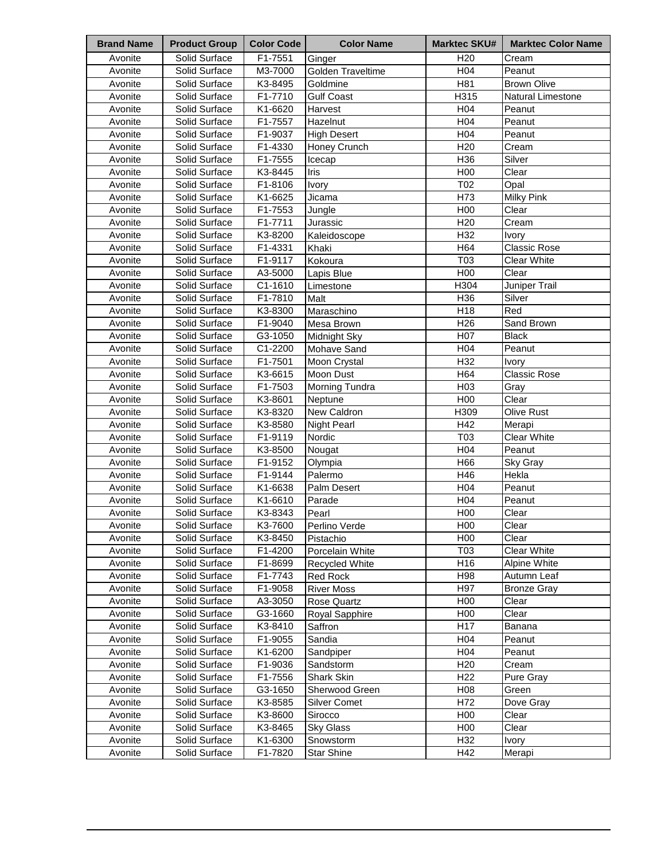| H <sub>20</sub><br>Avonite<br>Solid Surface<br>F1-7551<br>Cream<br>Ginger<br>H04<br>Avonite<br>Solid Surface<br>M3-7000<br>Golden Traveltime<br>Peanut<br>H81<br>Avonite<br>Solid Surface<br>K3-8495<br><b>Brown Olive</b><br>Goldmine<br>Avonite<br>F1-7710<br>H315<br>Natural Limestone<br>Solid Surface<br><b>Gulf Coast</b><br>H04<br>Avonite<br>Solid Surface<br>K1-6620<br>Peanut<br>Harvest<br>H04<br>Avonite<br>F1-7557<br>Solid Surface<br>Hazelnut<br>Peanut<br>Avonite<br>H <sub>04</sub><br>Solid Surface<br>F1-9037<br>Peanut<br><b>High Desert</b><br>H <sub>20</sub><br>Avonite<br>Solid Surface<br>F1-4330<br>Cream<br>Honey Crunch<br>H36<br>Avonite<br>Solid Surface<br>F1-7555<br>Silver<br>Icecap<br>H00<br>Avonite<br>Solid Surface<br>K3-8445<br>Clear<br>Iris<br>T02<br>Avonite<br>Solid Surface<br>F1-8106<br>Opal<br>Ivory<br>H73<br>Milky Pink<br>Avonite<br>Solid Surface<br>K1-6625<br>Jicama<br>Avonite<br>F1-7553<br>H <sub>0</sub><br>Clear<br>Solid Surface<br>Jungle<br>H <sub>20</sub><br>Avonite<br>F1-7711<br>Jurassic<br>Cream<br>Solid Surface<br>H32<br>Avonite<br>K3-8200<br>Solid Surface<br>Kaleidoscope<br><b>Ivory</b><br>H64<br><b>Classic Rose</b><br>Solid Surface<br>F1-4331<br>Khaki<br>Avonite<br>T03<br>Solid Surface<br>F1-9117<br>Kokoura<br>Clear White<br>Avonite<br>H <sub>00</sub><br>Avonite<br>Solid Surface<br>A3-5000<br>Lapis Blue<br>Clear<br>H304<br>Avonite<br>Solid Surface<br>C1-1610<br>Juniper Trail<br>Limestone<br>H36<br>Avonite<br>Solid Surface<br>F1-7810<br>Malt<br>Silver<br>Red<br>Avonite<br>K3-8300<br>Maraschino<br>H <sub>18</sub><br>Solid Surface<br>H <sub>26</sub><br>Avonite<br>F1-9040<br>Mesa Brown<br>Sand Brown<br>Solid Surface<br>H07<br>Avonite<br><b>Black</b><br>Solid Surface<br>G3-1050<br>Midnight Sky<br>C1-2200<br>H <sub>04</sub><br>Avonite<br>Solid Surface<br>Mohave Sand<br>Peanut<br>H32<br>Avonite<br>Solid Surface<br>F1-7501<br>Moon Crystal<br><b>Ivory</b><br>H64<br>Avonite<br>K3-6615<br><b>Classic Rose</b><br>Solid Surface<br>Moon Dust<br>H03<br>Avonite<br>Solid Surface<br>F1-7503<br>Morning Tundra<br>Gray<br>H00<br>Clear<br>Avonite<br>Solid Surface<br>K3-8601<br>Neptune<br>Avonite<br>K3-8320<br>H309<br>Olive Rust<br>Solid Surface<br>New Caldron<br>H42<br>Avonite<br>Solid Surface<br>K3-8580<br>Merapi<br><b>Night Pearl</b><br>T03<br>F1-9119<br><b>Clear White</b><br>Avonite<br>Solid Surface<br>Nordic<br>Solid Surface<br>K3-8500<br>H <sub>04</sub><br>Avonite<br>Peanut<br>Nougat<br>Solid Surface<br>F1-9152<br>H66<br>Sky Gray<br>Avonite<br>Olympia<br>Avonite<br>Solid Surface<br>F1-9144<br>H46<br>Hekla<br>Palermo<br>Avonite<br>Solid Surface<br>K1-6638<br>H <sub>04</sub><br>Peanut<br>Palm Desert<br>H04<br>Avonite<br>Solid Surface<br>K1-6610<br>Peanut<br>Parade<br>H <sub>00</sub><br>Avonite<br>Solid Surface<br>K3-8343<br>Clear<br>Pearl<br>Avonite<br>Solid Surface<br>K3-7600<br>Perlino Verde<br>H <sub>0</sub><br>Clear<br>Avonite<br>Solid Surface<br>K3-8450<br>Pistachio<br>H <sub>0</sub><br>Clear<br>Avonite<br>F1-4200<br>Porcelain White<br>T03<br><b>Clear White</b><br>Solid Surface<br>H16<br>Avonite<br>Solid Surface<br>F1-8699<br>Recycled White<br>Alpine White<br>Red Rock<br>H98<br>Avonite<br>Solid Surface<br>F1-7743<br>Autumn Leaf<br>H97<br>Avonite<br><b>River Moss</b><br>Solid Surface<br>F1-9058<br><b>Bronze Gray</b><br>H <sub>00</sub><br>Avonite<br>Solid Surface<br>A3-3050<br>Rose Quartz<br>Clear<br>G3-1660<br>Royal Sapphire<br>H <sub>00</sub><br>Avonite<br>Solid Surface<br>Clear<br>Saffron<br>H <sub>17</sub><br>Avonite<br>Solid Surface<br>K3-8410<br>Banana<br>H <sub>04</sub><br>Avonite<br>Solid Surface<br>F1-9055<br>Sandia<br>Peanut<br>H04<br>Avonite<br>Solid Surface<br>K1-6200<br>Peanut<br>Sandpiper<br>H <sub>20</sub><br>Avonite<br>Solid Surface<br>F1-9036<br>Cream<br>Sandstorm<br>H <sub>22</sub><br>Avonite<br>Solid Surface<br>F1-7556<br>Pure Gray<br>Shark Skin<br>Avonite<br>Solid Surface<br>G3-1650<br>H <sub>0</sub> 8<br>Green<br>Sherwood Green<br>H72<br>Avonite<br>Solid Surface<br>K3-8585<br>Dove Gray<br><b>Silver Comet</b><br>H <sub>00</sub><br>Avonite<br>Solid Surface<br>K3-8600<br>Clear<br>Sirocco<br>H <sub>00</sub><br>Avonite<br>Solid Surface<br>K3-8465<br>Clear<br><b>Sky Glass</b><br>Avonite<br>H32<br>Solid Surface<br>K1-6300<br>Snowstorm<br>Ivory | <b>Brand Name</b> | <b>Product Group</b> | <b>Color Code</b> | <b>Color Name</b> | <b>Marktec SKU#</b> | <b>Marktec Color Name</b> |
|----------------------------------------------------------------------------------------------------------------------------------------------------------------------------------------------------------------------------------------------------------------------------------------------------------------------------------------------------------------------------------------------------------------------------------------------------------------------------------------------------------------------------------------------------------------------------------------------------------------------------------------------------------------------------------------------------------------------------------------------------------------------------------------------------------------------------------------------------------------------------------------------------------------------------------------------------------------------------------------------------------------------------------------------------------------------------------------------------------------------------------------------------------------------------------------------------------------------------------------------------------------------------------------------------------------------------------------------------------------------------------------------------------------------------------------------------------------------------------------------------------------------------------------------------------------------------------------------------------------------------------------------------------------------------------------------------------------------------------------------------------------------------------------------------------------------------------------------------------------------------------------------------------------------------------------------------------------------------------------------------------------------------------------------------------------------------------------------------------------------------------------------------------------------------------------------------------------------------------------------------------------------------------------------------------------------------------------------------------------------------------------------------------------------------------------------------------------------------------------------------------------------------------------------------------------------------------------------------------------------------------------------------------------------------------------------------------------------------------------------------------------------------------------------------------------------------------------------------------------------------------------------------------------------------------------------------------------------------------------------------------------------------------------------------------------------------------------------------------------------------------------------------------------------------------------------------------------------------------------------------------------------------------------------------------------------------------------------------------------------------------------------------------------------------------------------------------------------------------------------------------------------------------------------------------------------------------------------------------------------------------------------------------------------------------------------------------------------------------------------------------------------------------------------------------------------------------------------------------------------------------------------------------------------------------------------------------------------------------------------------------------------------------------------------------------------------------------------------------------------------------------------------------------------------------------------------------------------------------------------------------------------------------------------------------------------------------------------------------------------------------------------------------------|-------------------|----------------------|-------------------|-------------------|---------------------|---------------------------|
|                                                                                                                                                                                                                                                                                                                                                                                                                                                                                                                                                                                                                                                                                                                                                                                                                                                                                                                                                                                                                                                                                                                                                                                                                                                                                                                                                                                                                                                                                                                                                                                                                                                                                                                                                                                                                                                                                                                                                                                                                                                                                                                                                                                                                                                                                                                                                                                                                                                                                                                                                                                                                                                                                                                                                                                                                                                                                                                                                                                                                                                                                                                                                                                                                                                                                                                                                                                                                                                                                                                                                                                                                                                                                                                                                                                                                                                                                                                                                                                                                                                                                                                                                                                                                                                                                                                                                                                                                |                   |                      |                   |                   |                     |                           |
|                                                                                                                                                                                                                                                                                                                                                                                                                                                                                                                                                                                                                                                                                                                                                                                                                                                                                                                                                                                                                                                                                                                                                                                                                                                                                                                                                                                                                                                                                                                                                                                                                                                                                                                                                                                                                                                                                                                                                                                                                                                                                                                                                                                                                                                                                                                                                                                                                                                                                                                                                                                                                                                                                                                                                                                                                                                                                                                                                                                                                                                                                                                                                                                                                                                                                                                                                                                                                                                                                                                                                                                                                                                                                                                                                                                                                                                                                                                                                                                                                                                                                                                                                                                                                                                                                                                                                                                                                |                   |                      |                   |                   |                     |                           |
|                                                                                                                                                                                                                                                                                                                                                                                                                                                                                                                                                                                                                                                                                                                                                                                                                                                                                                                                                                                                                                                                                                                                                                                                                                                                                                                                                                                                                                                                                                                                                                                                                                                                                                                                                                                                                                                                                                                                                                                                                                                                                                                                                                                                                                                                                                                                                                                                                                                                                                                                                                                                                                                                                                                                                                                                                                                                                                                                                                                                                                                                                                                                                                                                                                                                                                                                                                                                                                                                                                                                                                                                                                                                                                                                                                                                                                                                                                                                                                                                                                                                                                                                                                                                                                                                                                                                                                                                                |                   |                      |                   |                   |                     |                           |
|                                                                                                                                                                                                                                                                                                                                                                                                                                                                                                                                                                                                                                                                                                                                                                                                                                                                                                                                                                                                                                                                                                                                                                                                                                                                                                                                                                                                                                                                                                                                                                                                                                                                                                                                                                                                                                                                                                                                                                                                                                                                                                                                                                                                                                                                                                                                                                                                                                                                                                                                                                                                                                                                                                                                                                                                                                                                                                                                                                                                                                                                                                                                                                                                                                                                                                                                                                                                                                                                                                                                                                                                                                                                                                                                                                                                                                                                                                                                                                                                                                                                                                                                                                                                                                                                                                                                                                                                                |                   |                      |                   |                   |                     |                           |
|                                                                                                                                                                                                                                                                                                                                                                                                                                                                                                                                                                                                                                                                                                                                                                                                                                                                                                                                                                                                                                                                                                                                                                                                                                                                                                                                                                                                                                                                                                                                                                                                                                                                                                                                                                                                                                                                                                                                                                                                                                                                                                                                                                                                                                                                                                                                                                                                                                                                                                                                                                                                                                                                                                                                                                                                                                                                                                                                                                                                                                                                                                                                                                                                                                                                                                                                                                                                                                                                                                                                                                                                                                                                                                                                                                                                                                                                                                                                                                                                                                                                                                                                                                                                                                                                                                                                                                                                                |                   |                      |                   |                   |                     |                           |
|                                                                                                                                                                                                                                                                                                                                                                                                                                                                                                                                                                                                                                                                                                                                                                                                                                                                                                                                                                                                                                                                                                                                                                                                                                                                                                                                                                                                                                                                                                                                                                                                                                                                                                                                                                                                                                                                                                                                                                                                                                                                                                                                                                                                                                                                                                                                                                                                                                                                                                                                                                                                                                                                                                                                                                                                                                                                                                                                                                                                                                                                                                                                                                                                                                                                                                                                                                                                                                                                                                                                                                                                                                                                                                                                                                                                                                                                                                                                                                                                                                                                                                                                                                                                                                                                                                                                                                                                                |                   |                      |                   |                   |                     |                           |
|                                                                                                                                                                                                                                                                                                                                                                                                                                                                                                                                                                                                                                                                                                                                                                                                                                                                                                                                                                                                                                                                                                                                                                                                                                                                                                                                                                                                                                                                                                                                                                                                                                                                                                                                                                                                                                                                                                                                                                                                                                                                                                                                                                                                                                                                                                                                                                                                                                                                                                                                                                                                                                                                                                                                                                                                                                                                                                                                                                                                                                                                                                                                                                                                                                                                                                                                                                                                                                                                                                                                                                                                                                                                                                                                                                                                                                                                                                                                                                                                                                                                                                                                                                                                                                                                                                                                                                                                                |                   |                      |                   |                   |                     |                           |
|                                                                                                                                                                                                                                                                                                                                                                                                                                                                                                                                                                                                                                                                                                                                                                                                                                                                                                                                                                                                                                                                                                                                                                                                                                                                                                                                                                                                                                                                                                                                                                                                                                                                                                                                                                                                                                                                                                                                                                                                                                                                                                                                                                                                                                                                                                                                                                                                                                                                                                                                                                                                                                                                                                                                                                                                                                                                                                                                                                                                                                                                                                                                                                                                                                                                                                                                                                                                                                                                                                                                                                                                                                                                                                                                                                                                                                                                                                                                                                                                                                                                                                                                                                                                                                                                                                                                                                                                                |                   |                      |                   |                   |                     |                           |
|                                                                                                                                                                                                                                                                                                                                                                                                                                                                                                                                                                                                                                                                                                                                                                                                                                                                                                                                                                                                                                                                                                                                                                                                                                                                                                                                                                                                                                                                                                                                                                                                                                                                                                                                                                                                                                                                                                                                                                                                                                                                                                                                                                                                                                                                                                                                                                                                                                                                                                                                                                                                                                                                                                                                                                                                                                                                                                                                                                                                                                                                                                                                                                                                                                                                                                                                                                                                                                                                                                                                                                                                                                                                                                                                                                                                                                                                                                                                                                                                                                                                                                                                                                                                                                                                                                                                                                                                                |                   |                      |                   |                   |                     |                           |
|                                                                                                                                                                                                                                                                                                                                                                                                                                                                                                                                                                                                                                                                                                                                                                                                                                                                                                                                                                                                                                                                                                                                                                                                                                                                                                                                                                                                                                                                                                                                                                                                                                                                                                                                                                                                                                                                                                                                                                                                                                                                                                                                                                                                                                                                                                                                                                                                                                                                                                                                                                                                                                                                                                                                                                                                                                                                                                                                                                                                                                                                                                                                                                                                                                                                                                                                                                                                                                                                                                                                                                                                                                                                                                                                                                                                                                                                                                                                                                                                                                                                                                                                                                                                                                                                                                                                                                                                                |                   |                      |                   |                   |                     |                           |
|                                                                                                                                                                                                                                                                                                                                                                                                                                                                                                                                                                                                                                                                                                                                                                                                                                                                                                                                                                                                                                                                                                                                                                                                                                                                                                                                                                                                                                                                                                                                                                                                                                                                                                                                                                                                                                                                                                                                                                                                                                                                                                                                                                                                                                                                                                                                                                                                                                                                                                                                                                                                                                                                                                                                                                                                                                                                                                                                                                                                                                                                                                                                                                                                                                                                                                                                                                                                                                                                                                                                                                                                                                                                                                                                                                                                                                                                                                                                                                                                                                                                                                                                                                                                                                                                                                                                                                                                                |                   |                      |                   |                   |                     |                           |
|                                                                                                                                                                                                                                                                                                                                                                                                                                                                                                                                                                                                                                                                                                                                                                                                                                                                                                                                                                                                                                                                                                                                                                                                                                                                                                                                                                                                                                                                                                                                                                                                                                                                                                                                                                                                                                                                                                                                                                                                                                                                                                                                                                                                                                                                                                                                                                                                                                                                                                                                                                                                                                                                                                                                                                                                                                                                                                                                                                                                                                                                                                                                                                                                                                                                                                                                                                                                                                                                                                                                                                                                                                                                                                                                                                                                                                                                                                                                                                                                                                                                                                                                                                                                                                                                                                                                                                                                                |                   |                      |                   |                   |                     |                           |
|                                                                                                                                                                                                                                                                                                                                                                                                                                                                                                                                                                                                                                                                                                                                                                                                                                                                                                                                                                                                                                                                                                                                                                                                                                                                                                                                                                                                                                                                                                                                                                                                                                                                                                                                                                                                                                                                                                                                                                                                                                                                                                                                                                                                                                                                                                                                                                                                                                                                                                                                                                                                                                                                                                                                                                                                                                                                                                                                                                                                                                                                                                                                                                                                                                                                                                                                                                                                                                                                                                                                                                                                                                                                                                                                                                                                                                                                                                                                                                                                                                                                                                                                                                                                                                                                                                                                                                                                                |                   |                      |                   |                   |                     |                           |
|                                                                                                                                                                                                                                                                                                                                                                                                                                                                                                                                                                                                                                                                                                                                                                                                                                                                                                                                                                                                                                                                                                                                                                                                                                                                                                                                                                                                                                                                                                                                                                                                                                                                                                                                                                                                                                                                                                                                                                                                                                                                                                                                                                                                                                                                                                                                                                                                                                                                                                                                                                                                                                                                                                                                                                                                                                                                                                                                                                                                                                                                                                                                                                                                                                                                                                                                                                                                                                                                                                                                                                                                                                                                                                                                                                                                                                                                                                                                                                                                                                                                                                                                                                                                                                                                                                                                                                                                                |                   |                      |                   |                   |                     |                           |
|                                                                                                                                                                                                                                                                                                                                                                                                                                                                                                                                                                                                                                                                                                                                                                                                                                                                                                                                                                                                                                                                                                                                                                                                                                                                                                                                                                                                                                                                                                                                                                                                                                                                                                                                                                                                                                                                                                                                                                                                                                                                                                                                                                                                                                                                                                                                                                                                                                                                                                                                                                                                                                                                                                                                                                                                                                                                                                                                                                                                                                                                                                                                                                                                                                                                                                                                                                                                                                                                                                                                                                                                                                                                                                                                                                                                                                                                                                                                                                                                                                                                                                                                                                                                                                                                                                                                                                                                                |                   |                      |                   |                   |                     |                           |
|                                                                                                                                                                                                                                                                                                                                                                                                                                                                                                                                                                                                                                                                                                                                                                                                                                                                                                                                                                                                                                                                                                                                                                                                                                                                                                                                                                                                                                                                                                                                                                                                                                                                                                                                                                                                                                                                                                                                                                                                                                                                                                                                                                                                                                                                                                                                                                                                                                                                                                                                                                                                                                                                                                                                                                                                                                                                                                                                                                                                                                                                                                                                                                                                                                                                                                                                                                                                                                                                                                                                                                                                                                                                                                                                                                                                                                                                                                                                                                                                                                                                                                                                                                                                                                                                                                                                                                                                                |                   |                      |                   |                   |                     |                           |
|                                                                                                                                                                                                                                                                                                                                                                                                                                                                                                                                                                                                                                                                                                                                                                                                                                                                                                                                                                                                                                                                                                                                                                                                                                                                                                                                                                                                                                                                                                                                                                                                                                                                                                                                                                                                                                                                                                                                                                                                                                                                                                                                                                                                                                                                                                                                                                                                                                                                                                                                                                                                                                                                                                                                                                                                                                                                                                                                                                                                                                                                                                                                                                                                                                                                                                                                                                                                                                                                                                                                                                                                                                                                                                                                                                                                                                                                                                                                                                                                                                                                                                                                                                                                                                                                                                                                                                                                                |                   |                      |                   |                   |                     |                           |
|                                                                                                                                                                                                                                                                                                                                                                                                                                                                                                                                                                                                                                                                                                                                                                                                                                                                                                                                                                                                                                                                                                                                                                                                                                                                                                                                                                                                                                                                                                                                                                                                                                                                                                                                                                                                                                                                                                                                                                                                                                                                                                                                                                                                                                                                                                                                                                                                                                                                                                                                                                                                                                                                                                                                                                                                                                                                                                                                                                                                                                                                                                                                                                                                                                                                                                                                                                                                                                                                                                                                                                                                                                                                                                                                                                                                                                                                                                                                                                                                                                                                                                                                                                                                                                                                                                                                                                                                                |                   |                      |                   |                   |                     |                           |
|                                                                                                                                                                                                                                                                                                                                                                                                                                                                                                                                                                                                                                                                                                                                                                                                                                                                                                                                                                                                                                                                                                                                                                                                                                                                                                                                                                                                                                                                                                                                                                                                                                                                                                                                                                                                                                                                                                                                                                                                                                                                                                                                                                                                                                                                                                                                                                                                                                                                                                                                                                                                                                                                                                                                                                                                                                                                                                                                                                                                                                                                                                                                                                                                                                                                                                                                                                                                                                                                                                                                                                                                                                                                                                                                                                                                                                                                                                                                                                                                                                                                                                                                                                                                                                                                                                                                                                                                                |                   |                      |                   |                   |                     |                           |
|                                                                                                                                                                                                                                                                                                                                                                                                                                                                                                                                                                                                                                                                                                                                                                                                                                                                                                                                                                                                                                                                                                                                                                                                                                                                                                                                                                                                                                                                                                                                                                                                                                                                                                                                                                                                                                                                                                                                                                                                                                                                                                                                                                                                                                                                                                                                                                                                                                                                                                                                                                                                                                                                                                                                                                                                                                                                                                                                                                                                                                                                                                                                                                                                                                                                                                                                                                                                                                                                                                                                                                                                                                                                                                                                                                                                                                                                                                                                                                                                                                                                                                                                                                                                                                                                                                                                                                                                                |                   |                      |                   |                   |                     |                           |
|                                                                                                                                                                                                                                                                                                                                                                                                                                                                                                                                                                                                                                                                                                                                                                                                                                                                                                                                                                                                                                                                                                                                                                                                                                                                                                                                                                                                                                                                                                                                                                                                                                                                                                                                                                                                                                                                                                                                                                                                                                                                                                                                                                                                                                                                                                                                                                                                                                                                                                                                                                                                                                                                                                                                                                                                                                                                                                                                                                                                                                                                                                                                                                                                                                                                                                                                                                                                                                                                                                                                                                                                                                                                                                                                                                                                                                                                                                                                                                                                                                                                                                                                                                                                                                                                                                                                                                                                                |                   |                      |                   |                   |                     |                           |
|                                                                                                                                                                                                                                                                                                                                                                                                                                                                                                                                                                                                                                                                                                                                                                                                                                                                                                                                                                                                                                                                                                                                                                                                                                                                                                                                                                                                                                                                                                                                                                                                                                                                                                                                                                                                                                                                                                                                                                                                                                                                                                                                                                                                                                                                                                                                                                                                                                                                                                                                                                                                                                                                                                                                                                                                                                                                                                                                                                                                                                                                                                                                                                                                                                                                                                                                                                                                                                                                                                                                                                                                                                                                                                                                                                                                                                                                                                                                                                                                                                                                                                                                                                                                                                                                                                                                                                                                                |                   |                      |                   |                   |                     |                           |
|                                                                                                                                                                                                                                                                                                                                                                                                                                                                                                                                                                                                                                                                                                                                                                                                                                                                                                                                                                                                                                                                                                                                                                                                                                                                                                                                                                                                                                                                                                                                                                                                                                                                                                                                                                                                                                                                                                                                                                                                                                                                                                                                                                                                                                                                                                                                                                                                                                                                                                                                                                                                                                                                                                                                                                                                                                                                                                                                                                                                                                                                                                                                                                                                                                                                                                                                                                                                                                                                                                                                                                                                                                                                                                                                                                                                                                                                                                                                                                                                                                                                                                                                                                                                                                                                                                                                                                                                                |                   |                      |                   |                   |                     |                           |
|                                                                                                                                                                                                                                                                                                                                                                                                                                                                                                                                                                                                                                                                                                                                                                                                                                                                                                                                                                                                                                                                                                                                                                                                                                                                                                                                                                                                                                                                                                                                                                                                                                                                                                                                                                                                                                                                                                                                                                                                                                                                                                                                                                                                                                                                                                                                                                                                                                                                                                                                                                                                                                                                                                                                                                                                                                                                                                                                                                                                                                                                                                                                                                                                                                                                                                                                                                                                                                                                                                                                                                                                                                                                                                                                                                                                                                                                                                                                                                                                                                                                                                                                                                                                                                                                                                                                                                                                                |                   |                      |                   |                   |                     |                           |
|                                                                                                                                                                                                                                                                                                                                                                                                                                                                                                                                                                                                                                                                                                                                                                                                                                                                                                                                                                                                                                                                                                                                                                                                                                                                                                                                                                                                                                                                                                                                                                                                                                                                                                                                                                                                                                                                                                                                                                                                                                                                                                                                                                                                                                                                                                                                                                                                                                                                                                                                                                                                                                                                                                                                                                                                                                                                                                                                                                                                                                                                                                                                                                                                                                                                                                                                                                                                                                                                                                                                                                                                                                                                                                                                                                                                                                                                                                                                                                                                                                                                                                                                                                                                                                                                                                                                                                                                                |                   |                      |                   |                   |                     |                           |
|                                                                                                                                                                                                                                                                                                                                                                                                                                                                                                                                                                                                                                                                                                                                                                                                                                                                                                                                                                                                                                                                                                                                                                                                                                                                                                                                                                                                                                                                                                                                                                                                                                                                                                                                                                                                                                                                                                                                                                                                                                                                                                                                                                                                                                                                                                                                                                                                                                                                                                                                                                                                                                                                                                                                                                                                                                                                                                                                                                                                                                                                                                                                                                                                                                                                                                                                                                                                                                                                                                                                                                                                                                                                                                                                                                                                                                                                                                                                                                                                                                                                                                                                                                                                                                                                                                                                                                                                                |                   |                      |                   |                   |                     |                           |
|                                                                                                                                                                                                                                                                                                                                                                                                                                                                                                                                                                                                                                                                                                                                                                                                                                                                                                                                                                                                                                                                                                                                                                                                                                                                                                                                                                                                                                                                                                                                                                                                                                                                                                                                                                                                                                                                                                                                                                                                                                                                                                                                                                                                                                                                                                                                                                                                                                                                                                                                                                                                                                                                                                                                                                                                                                                                                                                                                                                                                                                                                                                                                                                                                                                                                                                                                                                                                                                                                                                                                                                                                                                                                                                                                                                                                                                                                                                                                                                                                                                                                                                                                                                                                                                                                                                                                                                                                |                   |                      |                   |                   |                     |                           |
|                                                                                                                                                                                                                                                                                                                                                                                                                                                                                                                                                                                                                                                                                                                                                                                                                                                                                                                                                                                                                                                                                                                                                                                                                                                                                                                                                                                                                                                                                                                                                                                                                                                                                                                                                                                                                                                                                                                                                                                                                                                                                                                                                                                                                                                                                                                                                                                                                                                                                                                                                                                                                                                                                                                                                                                                                                                                                                                                                                                                                                                                                                                                                                                                                                                                                                                                                                                                                                                                                                                                                                                                                                                                                                                                                                                                                                                                                                                                                                                                                                                                                                                                                                                                                                                                                                                                                                                                                |                   |                      |                   |                   |                     |                           |
|                                                                                                                                                                                                                                                                                                                                                                                                                                                                                                                                                                                                                                                                                                                                                                                                                                                                                                                                                                                                                                                                                                                                                                                                                                                                                                                                                                                                                                                                                                                                                                                                                                                                                                                                                                                                                                                                                                                                                                                                                                                                                                                                                                                                                                                                                                                                                                                                                                                                                                                                                                                                                                                                                                                                                                                                                                                                                                                                                                                                                                                                                                                                                                                                                                                                                                                                                                                                                                                                                                                                                                                                                                                                                                                                                                                                                                                                                                                                                                                                                                                                                                                                                                                                                                                                                                                                                                                                                |                   |                      |                   |                   |                     |                           |
|                                                                                                                                                                                                                                                                                                                                                                                                                                                                                                                                                                                                                                                                                                                                                                                                                                                                                                                                                                                                                                                                                                                                                                                                                                                                                                                                                                                                                                                                                                                                                                                                                                                                                                                                                                                                                                                                                                                                                                                                                                                                                                                                                                                                                                                                                                                                                                                                                                                                                                                                                                                                                                                                                                                                                                                                                                                                                                                                                                                                                                                                                                                                                                                                                                                                                                                                                                                                                                                                                                                                                                                                                                                                                                                                                                                                                                                                                                                                                                                                                                                                                                                                                                                                                                                                                                                                                                                                                |                   |                      |                   |                   |                     |                           |
|                                                                                                                                                                                                                                                                                                                                                                                                                                                                                                                                                                                                                                                                                                                                                                                                                                                                                                                                                                                                                                                                                                                                                                                                                                                                                                                                                                                                                                                                                                                                                                                                                                                                                                                                                                                                                                                                                                                                                                                                                                                                                                                                                                                                                                                                                                                                                                                                                                                                                                                                                                                                                                                                                                                                                                                                                                                                                                                                                                                                                                                                                                                                                                                                                                                                                                                                                                                                                                                                                                                                                                                                                                                                                                                                                                                                                                                                                                                                                                                                                                                                                                                                                                                                                                                                                                                                                                                                                |                   |                      |                   |                   |                     |                           |
|                                                                                                                                                                                                                                                                                                                                                                                                                                                                                                                                                                                                                                                                                                                                                                                                                                                                                                                                                                                                                                                                                                                                                                                                                                                                                                                                                                                                                                                                                                                                                                                                                                                                                                                                                                                                                                                                                                                                                                                                                                                                                                                                                                                                                                                                                                                                                                                                                                                                                                                                                                                                                                                                                                                                                                                                                                                                                                                                                                                                                                                                                                                                                                                                                                                                                                                                                                                                                                                                                                                                                                                                                                                                                                                                                                                                                                                                                                                                                                                                                                                                                                                                                                                                                                                                                                                                                                                                                |                   |                      |                   |                   |                     |                           |
|                                                                                                                                                                                                                                                                                                                                                                                                                                                                                                                                                                                                                                                                                                                                                                                                                                                                                                                                                                                                                                                                                                                                                                                                                                                                                                                                                                                                                                                                                                                                                                                                                                                                                                                                                                                                                                                                                                                                                                                                                                                                                                                                                                                                                                                                                                                                                                                                                                                                                                                                                                                                                                                                                                                                                                                                                                                                                                                                                                                                                                                                                                                                                                                                                                                                                                                                                                                                                                                                                                                                                                                                                                                                                                                                                                                                                                                                                                                                                                                                                                                                                                                                                                                                                                                                                                                                                                                                                |                   |                      |                   |                   |                     |                           |
|                                                                                                                                                                                                                                                                                                                                                                                                                                                                                                                                                                                                                                                                                                                                                                                                                                                                                                                                                                                                                                                                                                                                                                                                                                                                                                                                                                                                                                                                                                                                                                                                                                                                                                                                                                                                                                                                                                                                                                                                                                                                                                                                                                                                                                                                                                                                                                                                                                                                                                                                                                                                                                                                                                                                                                                                                                                                                                                                                                                                                                                                                                                                                                                                                                                                                                                                                                                                                                                                                                                                                                                                                                                                                                                                                                                                                                                                                                                                                                                                                                                                                                                                                                                                                                                                                                                                                                                                                |                   |                      |                   |                   |                     |                           |
|                                                                                                                                                                                                                                                                                                                                                                                                                                                                                                                                                                                                                                                                                                                                                                                                                                                                                                                                                                                                                                                                                                                                                                                                                                                                                                                                                                                                                                                                                                                                                                                                                                                                                                                                                                                                                                                                                                                                                                                                                                                                                                                                                                                                                                                                                                                                                                                                                                                                                                                                                                                                                                                                                                                                                                                                                                                                                                                                                                                                                                                                                                                                                                                                                                                                                                                                                                                                                                                                                                                                                                                                                                                                                                                                                                                                                                                                                                                                                                                                                                                                                                                                                                                                                                                                                                                                                                                                                |                   |                      |                   |                   |                     |                           |
|                                                                                                                                                                                                                                                                                                                                                                                                                                                                                                                                                                                                                                                                                                                                                                                                                                                                                                                                                                                                                                                                                                                                                                                                                                                                                                                                                                                                                                                                                                                                                                                                                                                                                                                                                                                                                                                                                                                                                                                                                                                                                                                                                                                                                                                                                                                                                                                                                                                                                                                                                                                                                                                                                                                                                                                                                                                                                                                                                                                                                                                                                                                                                                                                                                                                                                                                                                                                                                                                                                                                                                                                                                                                                                                                                                                                                                                                                                                                                                                                                                                                                                                                                                                                                                                                                                                                                                                                                |                   |                      |                   |                   |                     |                           |
|                                                                                                                                                                                                                                                                                                                                                                                                                                                                                                                                                                                                                                                                                                                                                                                                                                                                                                                                                                                                                                                                                                                                                                                                                                                                                                                                                                                                                                                                                                                                                                                                                                                                                                                                                                                                                                                                                                                                                                                                                                                                                                                                                                                                                                                                                                                                                                                                                                                                                                                                                                                                                                                                                                                                                                                                                                                                                                                                                                                                                                                                                                                                                                                                                                                                                                                                                                                                                                                                                                                                                                                                                                                                                                                                                                                                                                                                                                                                                                                                                                                                                                                                                                                                                                                                                                                                                                                                                |                   |                      |                   |                   |                     |                           |
|                                                                                                                                                                                                                                                                                                                                                                                                                                                                                                                                                                                                                                                                                                                                                                                                                                                                                                                                                                                                                                                                                                                                                                                                                                                                                                                                                                                                                                                                                                                                                                                                                                                                                                                                                                                                                                                                                                                                                                                                                                                                                                                                                                                                                                                                                                                                                                                                                                                                                                                                                                                                                                                                                                                                                                                                                                                                                                                                                                                                                                                                                                                                                                                                                                                                                                                                                                                                                                                                                                                                                                                                                                                                                                                                                                                                                                                                                                                                                                                                                                                                                                                                                                                                                                                                                                                                                                                                                |                   |                      |                   |                   |                     |                           |
|                                                                                                                                                                                                                                                                                                                                                                                                                                                                                                                                                                                                                                                                                                                                                                                                                                                                                                                                                                                                                                                                                                                                                                                                                                                                                                                                                                                                                                                                                                                                                                                                                                                                                                                                                                                                                                                                                                                                                                                                                                                                                                                                                                                                                                                                                                                                                                                                                                                                                                                                                                                                                                                                                                                                                                                                                                                                                                                                                                                                                                                                                                                                                                                                                                                                                                                                                                                                                                                                                                                                                                                                                                                                                                                                                                                                                                                                                                                                                                                                                                                                                                                                                                                                                                                                                                                                                                                                                |                   |                      |                   |                   |                     |                           |
|                                                                                                                                                                                                                                                                                                                                                                                                                                                                                                                                                                                                                                                                                                                                                                                                                                                                                                                                                                                                                                                                                                                                                                                                                                                                                                                                                                                                                                                                                                                                                                                                                                                                                                                                                                                                                                                                                                                                                                                                                                                                                                                                                                                                                                                                                                                                                                                                                                                                                                                                                                                                                                                                                                                                                                                                                                                                                                                                                                                                                                                                                                                                                                                                                                                                                                                                                                                                                                                                                                                                                                                                                                                                                                                                                                                                                                                                                                                                                                                                                                                                                                                                                                                                                                                                                                                                                                                                                |                   |                      |                   |                   |                     |                           |
|                                                                                                                                                                                                                                                                                                                                                                                                                                                                                                                                                                                                                                                                                                                                                                                                                                                                                                                                                                                                                                                                                                                                                                                                                                                                                                                                                                                                                                                                                                                                                                                                                                                                                                                                                                                                                                                                                                                                                                                                                                                                                                                                                                                                                                                                                                                                                                                                                                                                                                                                                                                                                                                                                                                                                                                                                                                                                                                                                                                                                                                                                                                                                                                                                                                                                                                                                                                                                                                                                                                                                                                                                                                                                                                                                                                                                                                                                                                                                                                                                                                                                                                                                                                                                                                                                                                                                                                                                |                   |                      |                   |                   |                     |                           |
|                                                                                                                                                                                                                                                                                                                                                                                                                                                                                                                                                                                                                                                                                                                                                                                                                                                                                                                                                                                                                                                                                                                                                                                                                                                                                                                                                                                                                                                                                                                                                                                                                                                                                                                                                                                                                                                                                                                                                                                                                                                                                                                                                                                                                                                                                                                                                                                                                                                                                                                                                                                                                                                                                                                                                                                                                                                                                                                                                                                                                                                                                                                                                                                                                                                                                                                                                                                                                                                                                                                                                                                                                                                                                                                                                                                                                                                                                                                                                                                                                                                                                                                                                                                                                                                                                                                                                                                                                |                   |                      |                   |                   |                     |                           |
|                                                                                                                                                                                                                                                                                                                                                                                                                                                                                                                                                                                                                                                                                                                                                                                                                                                                                                                                                                                                                                                                                                                                                                                                                                                                                                                                                                                                                                                                                                                                                                                                                                                                                                                                                                                                                                                                                                                                                                                                                                                                                                                                                                                                                                                                                                                                                                                                                                                                                                                                                                                                                                                                                                                                                                                                                                                                                                                                                                                                                                                                                                                                                                                                                                                                                                                                                                                                                                                                                                                                                                                                                                                                                                                                                                                                                                                                                                                                                                                                                                                                                                                                                                                                                                                                                                                                                                                                                |                   |                      |                   |                   |                     |                           |
|                                                                                                                                                                                                                                                                                                                                                                                                                                                                                                                                                                                                                                                                                                                                                                                                                                                                                                                                                                                                                                                                                                                                                                                                                                                                                                                                                                                                                                                                                                                                                                                                                                                                                                                                                                                                                                                                                                                                                                                                                                                                                                                                                                                                                                                                                                                                                                                                                                                                                                                                                                                                                                                                                                                                                                                                                                                                                                                                                                                                                                                                                                                                                                                                                                                                                                                                                                                                                                                                                                                                                                                                                                                                                                                                                                                                                                                                                                                                                                                                                                                                                                                                                                                                                                                                                                                                                                                                                |                   |                      |                   |                   |                     |                           |
|                                                                                                                                                                                                                                                                                                                                                                                                                                                                                                                                                                                                                                                                                                                                                                                                                                                                                                                                                                                                                                                                                                                                                                                                                                                                                                                                                                                                                                                                                                                                                                                                                                                                                                                                                                                                                                                                                                                                                                                                                                                                                                                                                                                                                                                                                                                                                                                                                                                                                                                                                                                                                                                                                                                                                                                                                                                                                                                                                                                                                                                                                                                                                                                                                                                                                                                                                                                                                                                                                                                                                                                                                                                                                                                                                                                                                                                                                                                                                                                                                                                                                                                                                                                                                                                                                                                                                                                                                |                   |                      |                   |                   |                     |                           |
|                                                                                                                                                                                                                                                                                                                                                                                                                                                                                                                                                                                                                                                                                                                                                                                                                                                                                                                                                                                                                                                                                                                                                                                                                                                                                                                                                                                                                                                                                                                                                                                                                                                                                                                                                                                                                                                                                                                                                                                                                                                                                                                                                                                                                                                                                                                                                                                                                                                                                                                                                                                                                                                                                                                                                                                                                                                                                                                                                                                                                                                                                                                                                                                                                                                                                                                                                                                                                                                                                                                                                                                                                                                                                                                                                                                                                                                                                                                                                                                                                                                                                                                                                                                                                                                                                                                                                                                                                |                   |                      |                   |                   |                     |                           |
|                                                                                                                                                                                                                                                                                                                                                                                                                                                                                                                                                                                                                                                                                                                                                                                                                                                                                                                                                                                                                                                                                                                                                                                                                                                                                                                                                                                                                                                                                                                                                                                                                                                                                                                                                                                                                                                                                                                                                                                                                                                                                                                                                                                                                                                                                                                                                                                                                                                                                                                                                                                                                                                                                                                                                                                                                                                                                                                                                                                                                                                                                                                                                                                                                                                                                                                                                                                                                                                                                                                                                                                                                                                                                                                                                                                                                                                                                                                                                                                                                                                                                                                                                                                                                                                                                                                                                                                                                |                   |                      |                   |                   |                     |                           |
|                                                                                                                                                                                                                                                                                                                                                                                                                                                                                                                                                                                                                                                                                                                                                                                                                                                                                                                                                                                                                                                                                                                                                                                                                                                                                                                                                                                                                                                                                                                                                                                                                                                                                                                                                                                                                                                                                                                                                                                                                                                                                                                                                                                                                                                                                                                                                                                                                                                                                                                                                                                                                                                                                                                                                                                                                                                                                                                                                                                                                                                                                                                                                                                                                                                                                                                                                                                                                                                                                                                                                                                                                                                                                                                                                                                                                                                                                                                                                                                                                                                                                                                                                                                                                                                                                                                                                                                                                |                   |                      |                   |                   |                     |                           |
|                                                                                                                                                                                                                                                                                                                                                                                                                                                                                                                                                                                                                                                                                                                                                                                                                                                                                                                                                                                                                                                                                                                                                                                                                                                                                                                                                                                                                                                                                                                                                                                                                                                                                                                                                                                                                                                                                                                                                                                                                                                                                                                                                                                                                                                                                                                                                                                                                                                                                                                                                                                                                                                                                                                                                                                                                                                                                                                                                                                                                                                                                                                                                                                                                                                                                                                                                                                                                                                                                                                                                                                                                                                                                                                                                                                                                                                                                                                                                                                                                                                                                                                                                                                                                                                                                                                                                                                                                |                   |                      |                   |                   |                     |                           |
|                                                                                                                                                                                                                                                                                                                                                                                                                                                                                                                                                                                                                                                                                                                                                                                                                                                                                                                                                                                                                                                                                                                                                                                                                                                                                                                                                                                                                                                                                                                                                                                                                                                                                                                                                                                                                                                                                                                                                                                                                                                                                                                                                                                                                                                                                                                                                                                                                                                                                                                                                                                                                                                                                                                                                                                                                                                                                                                                                                                                                                                                                                                                                                                                                                                                                                                                                                                                                                                                                                                                                                                                                                                                                                                                                                                                                                                                                                                                                                                                                                                                                                                                                                                                                                                                                                                                                                                                                |                   |                      |                   |                   |                     |                           |
|                                                                                                                                                                                                                                                                                                                                                                                                                                                                                                                                                                                                                                                                                                                                                                                                                                                                                                                                                                                                                                                                                                                                                                                                                                                                                                                                                                                                                                                                                                                                                                                                                                                                                                                                                                                                                                                                                                                                                                                                                                                                                                                                                                                                                                                                                                                                                                                                                                                                                                                                                                                                                                                                                                                                                                                                                                                                                                                                                                                                                                                                                                                                                                                                                                                                                                                                                                                                                                                                                                                                                                                                                                                                                                                                                                                                                                                                                                                                                                                                                                                                                                                                                                                                                                                                                                                                                                                                                |                   |                      |                   |                   |                     |                           |
|                                                                                                                                                                                                                                                                                                                                                                                                                                                                                                                                                                                                                                                                                                                                                                                                                                                                                                                                                                                                                                                                                                                                                                                                                                                                                                                                                                                                                                                                                                                                                                                                                                                                                                                                                                                                                                                                                                                                                                                                                                                                                                                                                                                                                                                                                                                                                                                                                                                                                                                                                                                                                                                                                                                                                                                                                                                                                                                                                                                                                                                                                                                                                                                                                                                                                                                                                                                                                                                                                                                                                                                                                                                                                                                                                                                                                                                                                                                                                                                                                                                                                                                                                                                                                                                                                                                                                                                                                |                   |                      |                   |                   |                     |                           |
|                                                                                                                                                                                                                                                                                                                                                                                                                                                                                                                                                                                                                                                                                                                                                                                                                                                                                                                                                                                                                                                                                                                                                                                                                                                                                                                                                                                                                                                                                                                                                                                                                                                                                                                                                                                                                                                                                                                                                                                                                                                                                                                                                                                                                                                                                                                                                                                                                                                                                                                                                                                                                                                                                                                                                                                                                                                                                                                                                                                                                                                                                                                                                                                                                                                                                                                                                                                                                                                                                                                                                                                                                                                                                                                                                                                                                                                                                                                                                                                                                                                                                                                                                                                                                                                                                                                                                                                                                |                   |                      |                   |                   |                     |                           |
|                                                                                                                                                                                                                                                                                                                                                                                                                                                                                                                                                                                                                                                                                                                                                                                                                                                                                                                                                                                                                                                                                                                                                                                                                                                                                                                                                                                                                                                                                                                                                                                                                                                                                                                                                                                                                                                                                                                                                                                                                                                                                                                                                                                                                                                                                                                                                                                                                                                                                                                                                                                                                                                                                                                                                                                                                                                                                                                                                                                                                                                                                                                                                                                                                                                                                                                                                                                                                                                                                                                                                                                                                                                                                                                                                                                                                                                                                                                                                                                                                                                                                                                                                                                                                                                                                                                                                                                                                |                   |                      |                   |                   |                     |                           |
|                                                                                                                                                                                                                                                                                                                                                                                                                                                                                                                                                                                                                                                                                                                                                                                                                                                                                                                                                                                                                                                                                                                                                                                                                                                                                                                                                                                                                                                                                                                                                                                                                                                                                                                                                                                                                                                                                                                                                                                                                                                                                                                                                                                                                                                                                                                                                                                                                                                                                                                                                                                                                                                                                                                                                                                                                                                                                                                                                                                                                                                                                                                                                                                                                                                                                                                                                                                                                                                                                                                                                                                                                                                                                                                                                                                                                                                                                                                                                                                                                                                                                                                                                                                                                                                                                                                                                                                                                |                   |                      |                   |                   |                     |                           |
|                                                                                                                                                                                                                                                                                                                                                                                                                                                                                                                                                                                                                                                                                                                                                                                                                                                                                                                                                                                                                                                                                                                                                                                                                                                                                                                                                                                                                                                                                                                                                                                                                                                                                                                                                                                                                                                                                                                                                                                                                                                                                                                                                                                                                                                                                                                                                                                                                                                                                                                                                                                                                                                                                                                                                                                                                                                                                                                                                                                                                                                                                                                                                                                                                                                                                                                                                                                                                                                                                                                                                                                                                                                                                                                                                                                                                                                                                                                                                                                                                                                                                                                                                                                                                                                                                                                                                                                                                | Avonite           | Solid Surface        | F1-7820           | <b>Star Shine</b> | H42                 | Merapi                    |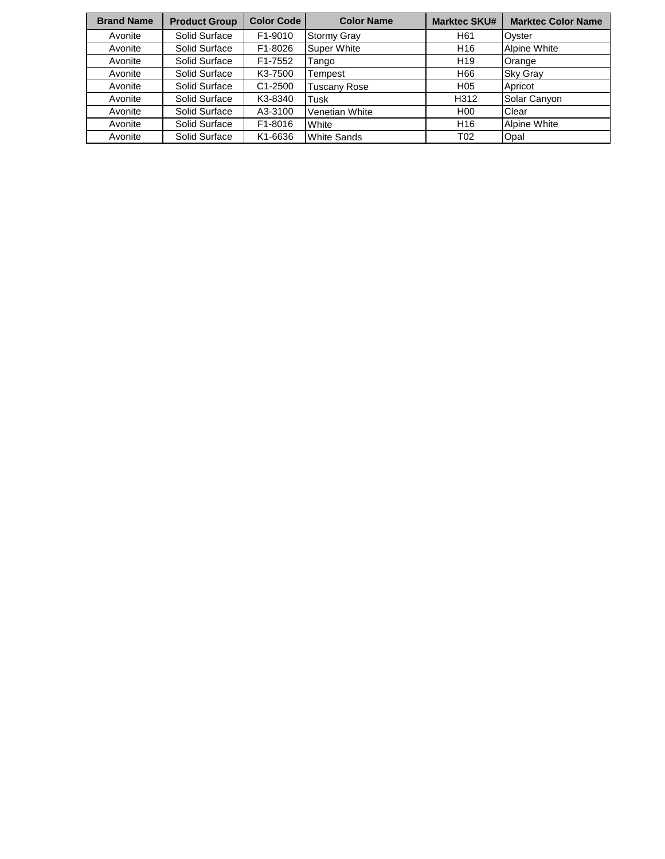| <b>Brand Name</b> | <b>Product Group</b> | <b>Color Code</b> | <b>Color Name</b>   | <b>Marktec SKU#</b> | <b>Marktec Color Name</b> |
|-------------------|----------------------|-------------------|---------------------|---------------------|---------------------------|
| Avonite           | Solid Surface        | F1-9010           | <b>Stormy Gray</b>  | H <sub>61</sub>     | Oyster                    |
| Avonite           | Solid Surface        | F1-8026           | <b>Super White</b>  | H16                 | Alpine White              |
| Avonite           | Solid Surface        | F1-7552           | Tango               | H <sub>19</sub>     | Orange                    |
| Avonite           | Solid Surface        | K3-7500           | Tempest             | H66                 | <b>Sky Gray</b>           |
| Avonite           | Solid Surface        | C1-2500           | <b>Tuscany Rose</b> | H <sub>05</sub>     | Apricot                   |
| Avonite           | Solid Surface        | K3-8340           | Tusk                | H312                | Solar Canyon              |
| Avonite           | Solid Surface        | A3-3100           | Venetian White      | H <sub>0</sub>      | Clear                     |
| Avonite           | Solid Surface        | F1-8016           | White               | H <sub>16</sub>     | <b>Alpine White</b>       |
| Avonite           | Solid Surface        | K1-6636           | <b>White Sands</b>  | T <sub>02</sub>     | Opal                      |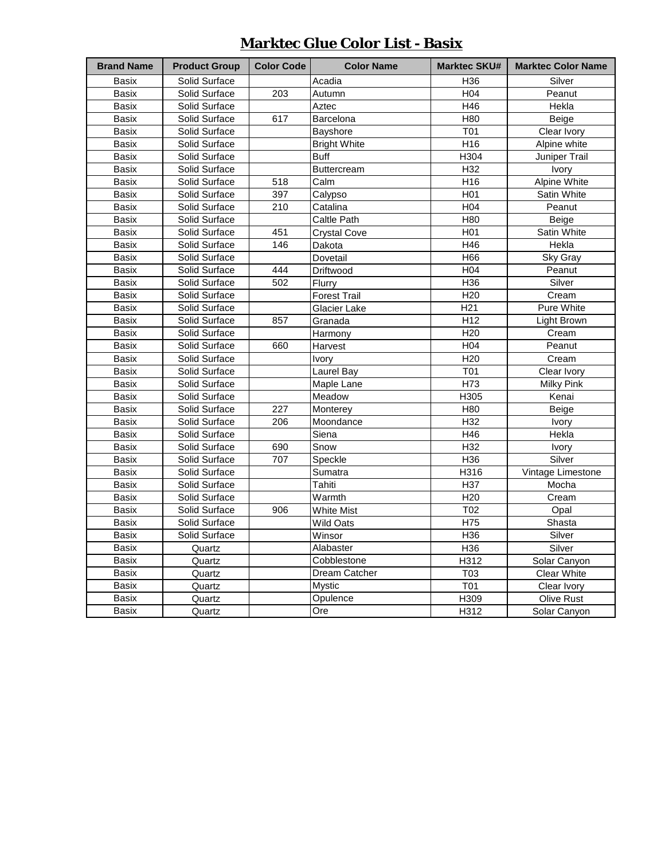| <b>Marktec Glue Color List - Basix</b> |  |  |
|----------------------------------------|--|--|
|                                        |  |  |

| <b>Brand Name</b> | <b>Product Group</b> | <b>Color Code</b> | <b>Color Name</b>   | <b>Marktec SKU#</b> | <b>Marktec Color Name</b> |
|-------------------|----------------------|-------------------|---------------------|---------------------|---------------------------|
| <b>Basix</b>      | Solid Surface        |                   | Acadia              | H36                 | Silver                    |
| Basix             | Solid Surface        | 203               | Autumn              | H <sub>04</sub>     | Peanut                    |
| Basix             | Solid Surface        |                   | Aztec               | H46                 | Hekla                     |
| <b>Basix</b>      | Solid Surface        | 617               | Barcelona           | H80                 | Beige                     |
| Basix             | Solid Surface        |                   | Bayshore            | <b>T01</b>          | Clear Ivory               |
| Basix             | Solid Surface        |                   | <b>Bright White</b> | H16                 | Alpine white              |
| Basix             | Solid Surface        |                   | <b>Buff</b>         | H304                | Juniper Trail             |
| Basix             | Solid Surface        |                   | Buttercream         | H <sub>32</sub>     | Ivory                     |
| Basix             | Solid Surface        | $\overline{518}$  | Calm                | H <sub>16</sub>     | <b>Alpine White</b>       |
| <b>Basix</b>      | Solid Surface        | 397               | Calypso             | H <sub>01</sub>     | Satin White               |
| Basix             | Solid Surface        | $\overline{210}$  | Catalina            | H <sub>04</sub>     | Peanut                    |
| Basix             | Solid Surface        |                   | Caltle Path         | <b>H80</b>          | Beige                     |
| Basix             | Solid Surface        | 451               | <b>Crystal Cove</b> | H01                 | Satin White               |
| Basix             | Solid Surface        | 146               | Dakota              | H46                 | Hekla                     |
| <b>Basix</b>      | Solid Surface        |                   | Dovetail            | H66                 | Sky Gray                  |
| Basix             | Solid Surface        | 444               | Driftwood           | H04                 | Peanut                    |
| Basix             | Solid Surface        | 502               | Flurry              | H <sub>36</sub>     | Silver                    |
| Basix             | Solid Surface        |                   | <b>Forest Trail</b> | H <sub>20</sub>     | Cream                     |
| Basix             | Solid Surface        |                   | Glacier Lake        | H <sub>21</sub>     | Pure White                |
| Basix             | Solid Surface        | 857               | Granada             | H <sub>12</sub>     | Light Brown               |
| <b>Basix</b>      | Solid Surface        |                   | Harmony             | H <sub>20</sub>     | Cream                     |
| Basix             | Solid Surface        | 660               | Harvest             | H04                 | Peanut                    |
| Basix             | Solid Surface        |                   | <b>Ivory</b>        | H20                 | Cream                     |
| <b>Basix</b>      | Solid Surface        |                   | Laurel Bay          | T01                 | Clear Ivory               |
| Basix             | Solid Surface        |                   | Maple Lane          | H73                 | <b>Milky Pink</b>         |
| Basix             | Solid Surface        |                   | Meadow              | H305                | Kenai                     |
| Basix             | Solid Surface        | 227               | Monterey            | H80                 | Beige                     |
| Basix             | Solid Surface        | 206               | Moondance           | H <sub>32</sub>     | Ivory                     |
| Basix             | Solid Surface        |                   | Siena               | H46                 | Hekla                     |
| Basix             | Solid Surface        | 690               | Snow                | H <sub>32</sub>     | Ivory                     |
| Basix             | Solid Surface        | 707               | Speckle             | H <sub>36</sub>     | Silver                    |
| <b>Basix</b>      | Solid Surface        |                   | Sumatra             | H316                | Vintage Limestone         |
| Basix             | Solid Surface        |                   | Tahiti              | H <sub>37</sub>     | Mocha                     |
| Basix             | Solid Surface        |                   | Warmth              | H <sub>20</sub>     | Cream                     |
| Basix             | Solid Surface        | 906               | White Mist          | T02                 | Opal                      |
| Basix             | Solid Surface        |                   | Wild Oats           | H75                 | Shasta                    |
| Basix             | Solid Surface        |                   | Winsor              | H <sub>36</sub>     | Silver                    |
| Basix             | Quartz               |                   | Alabaster           | H <sub>36</sub>     | Silver                    |
| Basix             | Quartz               |                   | Cobblestone         | H312                | Solar Canyon              |
| Basix             | Quartz               |                   | Dream Catcher       | T <sub>03</sub>     | Clear White               |
| Basix             | Quartz               |                   | <b>Mystic</b>       | T01                 | Clear Ivory               |
| Basix             | Quartz               |                   | Opulence            | H309                | Olive Rust                |
| Basix             | Quartz               |                   | Ore                 | H312                | Solar Canyon              |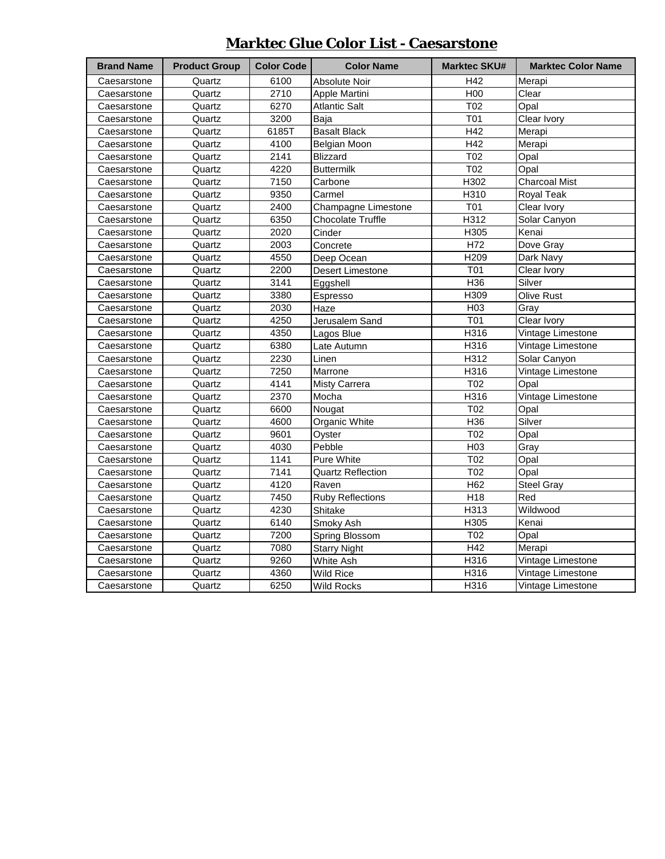### **Marktec Glue Color List - Caesarstone**

| <b>Brand Name</b> | <b>Product Group</b> | <b>Color Code</b> | <b>Color Name</b>        | <b>Marktec SKU#</b> | <b>Marktec Color Name</b> |
|-------------------|----------------------|-------------------|--------------------------|---------------------|---------------------------|
| Caesarstone       | Quartz               | 6100              | Absolute Noir            | H42                 | Merapi                    |
| Caesarstone       | Quartz               | 2710              | Apple Martini            | H00                 | Clear                     |
| Caesarstone       | Quartz               | 6270              | Atlantic Salt            | T02                 | Opal                      |
| Caesarstone       | Quartz               | 3200              | Baja                     | T01                 | Clear Ivory               |
| Caesarstone       | Quartz               | 6185T             | <b>Basalt Black</b>      | H42                 | Merapi                    |
| Caesarstone       | Quartz               | 4100              | Belgian Moon             | $\overline{H42}$    | Merapi                    |
| Caesarstone       | Quartz               | 2141              | <b>Blizzard</b>          | T02                 | Opal                      |
| Caesarstone       | Quartz               | 4220              | <b>Buttermilk</b>        | T02                 | Opal                      |
| Caesarstone       | Quartz               | 7150              | Carbone                  | H302                | <b>Charcoal Mist</b>      |
| Caesarstone       | Quartz               | 9350              | Carmel                   | H310                | Royal Teak                |
| Caesarstone       | Quartz               | 2400              | Champagne Limestone      | T01                 | Clear Ivory               |
| Caesarstone       | Quartz               | 6350              | <b>Chocolate Truffle</b> | H312                | Solar Canyon              |
| Caesarstone       | Quartz               | 2020              | Cinder                   | H305                | Kenai                     |
| Caesarstone       | Quartz               | 2003              | Concrete                 | H72                 | Dove Gray                 |
| Caesarstone       | Quartz               | 4550              | Deep Ocean               | H209                | Dark Navy                 |
| Caesarstone       | Quartz               | 2200              | Desert Limestone         | T01                 | Clear Ivory               |
| Caesarstone       | Quartz               | 3141              | Eggshell                 | H36                 | Silver                    |
| Caesarstone       | Quartz               | 3380              | Espresso                 | H309                | Olive Rust                |
| Caesarstone       | Quartz               | 2030              | Haze                     | H <sub>03</sub>     | Gray                      |
| Caesarstone       | Quartz               | 4250              | Jerusalem Sand           | T01                 | Clear Ivory               |
| Caesarstone       | Quartz               | 4350              | Lagos Blue               | H316                | Vintage Limestone         |
| Caesarstone       | Quartz               | 6380              | Late Autumn              | H316                | Vintage Limestone         |
| Caesarstone       | Quartz               | 2230              | Linen                    | H312                | Solar Canyon              |
| Caesarstone       | Quartz               | 7250              | Marrone                  | H316                | Vintage Limestone         |
| Caesarstone       | Quartz               | 4141              | Misty Carrera            | T02                 | Opal                      |
| Caesarstone       | Quartz               | 2370              | Mocha                    | H316                | Vintage Limestone         |
| Caesarstone       | Quartz               | 6600              | Nougat                   | T02                 | Opal                      |
| Caesarstone       | Quartz               | 4600              | Organic White            | H36                 | Silver                    |
| Caesarstone       | Quartz               | 9601              | Oyster                   | T02                 | Opal                      |
| Caesarstone       | Quartz               | 4030              | Pebble                   | H <sub>03</sub>     | Gray                      |
| Caesarstone       | Quartz               | 1141              | Pure White               | T02                 | Opal                      |
| Caesarstone       | Quartz               | 7141              | <b>Quartz Reflection</b> | T02                 | Opal                      |
| Caesarstone       | Quartz               | 4120              | Raven                    | H62                 | <b>Steel Gray</b>         |
| Caesarstone       | Quartz               | 7450              | <b>Ruby Reflections</b>  | H <sub>18</sub>     | Red                       |
| Caesarstone       | Quartz               | 4230              | Shitake                  | H313                | Wildwood                  |
| Caesarstone       | Quartz               | 6140              | Smoky Ash                | H305                | Kenai                     |
| Caesarstone       | Quartz               | 7200              | Spring Blossom           | T02                 | Opal                      |
| Caesarstone       | Quartz               | 7080              | <b>Starry Night</b>      | H42                 | Merapi                    |
| Caesarstone       | Quartz               | 9260              | White Ash                | H316                | Vintage Limestone         |
| Caesarstone       | Quartz               | 4360              | Wild Rice                | H316                | Vintage Limestone         |
| Caesarstone       | Quartz               | 6250              | <b>Wild Rocks</b>        | H316                | Vintage Limestone         |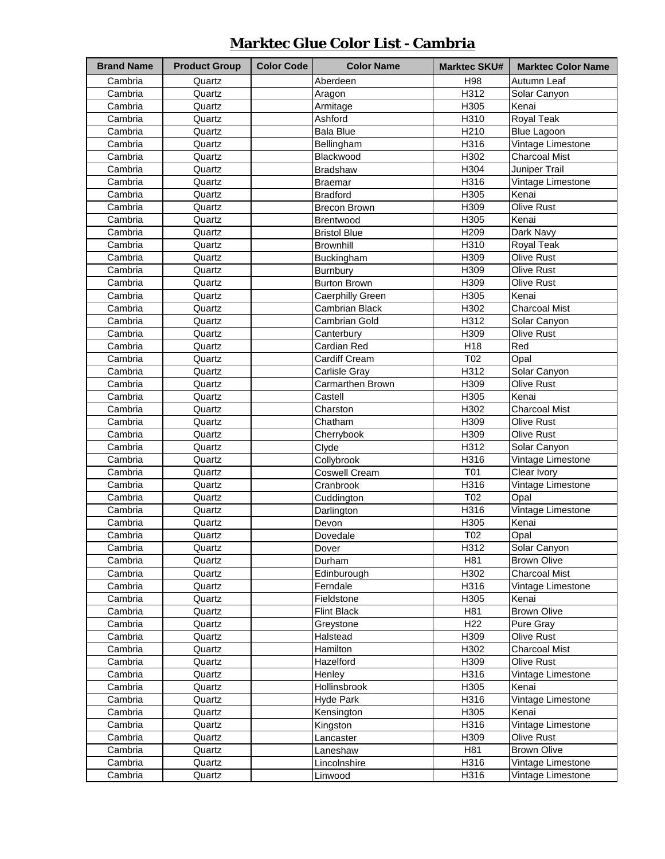### **Marktec Glue Color List - Cambria**

| <b>Brand Name</b> | <b>Product Group</b> | <b>Color Code</b> | <b>Color Name</b>   | <b>Marktec SKU#</b> | <b>Marktec Color Name</b> |
|-------------------|----------------------|-------------------|---------------------|---------------------|---------------------------|
| Cambria           | Quartz               |                   | Aberdeen            | H98                 | Autumn Leaf               |
| Cambria           | Quartz               |                   | Aragon              | H312                | Solar Canyon              |
| Cambria           | Quartz               |                   | Armitage            | H305                | Kenai                     |
| Cambria           | Quartz               |                   | Ashford             | H310                | Royal Teak                |
| Cambria           | Quartz               |                   | <b>Bala Blue</b>    | H210                | Blue Lagoon               |
| Cambria           | Quartz               |                   | Bellingham          | H316                | Vintage Limestone         |
| Cambria           | Quartz               |                   | Blackwood           | H302                | <b>Charcoal Mist</b>      |
| Cambria           | Quartz               |                   | <b>Bradshaw</b>     | H304                | Juniper Trail             |
| Cambria           | Quartz               |                   | <b>Braemar</b>      | H316                | Vintage Limestone         |
| Cambria           | Quartz               |                   | <b>Bradford</b>     | H305                | Kenai                     |
| Cambria           | Quartz               |                   | <b>Brecon Brown</b> | H309                | <b>Olive Rust</b>         |
| Cambria           | Quartz               |                   | Brentwood           | H305                | Kenai                     |
| Cambria           | Quartz               |                   | <b>Bristol Blue</b> | H209                | Dark Navy                 |
| Cambria           | Quartz               |                   | <b>Brownhill</b>    | H310                | Royal Teak                |
| Cambria           | Quartz               |                   | Buckingham          | H309                | Olive Rust                |
| Cambria           | Quartz               |                   | Burnbury            | H309                | <b>Olive Rust</b>         |
| Cambria           | Quartz               |                   | <b>Burton Brown</b> | H309                | Olive Rust                |
| Cambria           | Quartz               |                   | Caerphilly Green    | H305                | Kenai                     |
| Cambria           | Quartz               |                   | Cambrian Black      | H302                | <b>Charcoal Mist</b>      |
| Cambria           | Quartz               |                   | Cambrian Gold       | H312                | Solar Canyon              |
| Cambria           | Quartz               |                   | Canterbury          | H309                | Olive Rust                |
| Cambria           | Quartz               |                   | Cardian Red         | H18                 | Red                       |
| Cambria           | Quartz               |                   | Cardiff Cream       | T02                 | Opal                      |
| Cambria           | Quartz               |                   | Carlisle Gray       | H312                | Solar Canyon              |
| Cambria           | Quartz               |                   | Carmarthen Brown    | H309                | <b>Olive Rust</b>         |
| Cambria           | Quartz               |                   | Castell             | H305                | Kenai                     |
| Cambria           | Quartz               |                   | Charston            | H302                | <b>Charcoal Mist</b>      |
| Cambria           | Quartz               |                   | Chatham             | H309                | Olive Rust                |
| Cambria           | Quartz               |                   | Cherrybook          | H309                | Olive Rust                |
| Cambria           | Quartz               |                   | Clyde               | H312                | Solar Canyon              |
| Cambria           | Quartz               |                   | Collybrook          | H316                | Vintage Limestone         |
| Cambria           | Quartz               |                   | Coswell Cream       | T01                 | Clear Ivory               |
| Cambria           | Quartz               |                   | Cranbrook           | H316                | Vintage Limestone         |
| Cambria           | Quartz               |                   | Cuddington          | T02                 | Opal                      |
| Cambria           | Quartz               |                   | Darlington          | H316                | Vintage Limestone         |
| Cambria           | Quartz               |                   | Devon               | H305                | Kenai                     |
| Cambria           | Quartz               |                   | Dovedale            | T02                 | Opal                      |
| Cambria           | Quartz               |                   | Dover               | H312                | Solar Canyon              |
| Cambria           | Quartz               |                   | Durham              | H81                 | <b>Brown Olive</b>        |
| Cambria           | Quartz               |                   | Edinburough         | H302                | <b>Charcoal Mist</b>      |
| Cambria           | Quartz               |                   | Ferndale            | H316                | Vintage Limestone         |
| Cambria           | Quartz               |                   | Fieldstone          | H305                | Kenai                     |
| Cambria           | Quartz               |                   | <b>Flint Black</b>  | H81                 | <b>Brown Olive</b>        |
| Cambria           | Quartz               |                   | Greystone           | H <sub>22</sub>     | Pure Gray                 |
| Cambria           | Quartz               |                   | Halstead            | H309                | Olive Rust                |
| Cambria           | Quartz               |                   | Hamilton            | H302                | <b>Charcoal Mist</b>      |
| Cambria           | Quartz               |                   | Hazelford           | H309                | Olive Rust                |
| Cambria           | Quartz               |                   | Henley              | H316                | Vintage Limestone         |
| Cambria           | Quartz               |                   | Hollinsbrook        | H305                | Kenai                     |
| Cambria           | Quartz               |                   | <b>Hyde Park</b>    | H316                | Vintage Limestone         |
| Cambria           | Quartz               |                   | Kensington          | H305                | Kenai                     |
| Cambria           | Quartz               |                   | Kingston            | H316                | Vintage Limestone         |
| Cambria           | Quartz               |                   | Lancaster           | H309                | Olive Rust                |
| Cambria           | Quartz               |                   | Laneshaw            | H81                 | <b>Brown Olive</b>        |
| Cambria           | Quartz               |                   | Lincolnshire        | H316                | Vintage Limestone         |
| Cambria           | Quartz               |                   | Linwood             | H316                | Vintage Limestone         |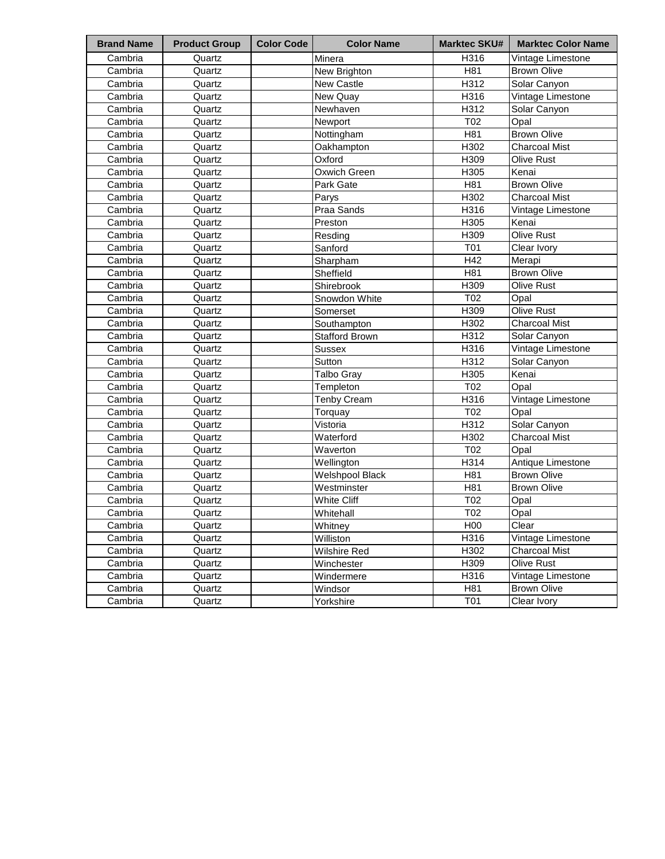| <b>Brand Name</b> | <b>Product Group</b> | <b>Color Code</b> | <b>Color Name</b>      | <b>Marktec SKU#</b> | <b>Marktec Color Name</b> |
|-------------------|----------------------|-------------------|------------------------|---------------------|---------------------------|
| Cambria           | Quartz               |                   | Minera                 | H316                | Vintage Limestone         |
| Cambria           | Quartz               |                   | New Brighton           | H81                 | <b>Brown Olive</b>        |
| Cambria           | Quartz               |                   | New Castle             | H312                | Solar Canyon              |
| Cambria           | Quartz               |                   | New Quay               | H316                | Vintage Limestone         |
| Cambria           | Quartz               |                   | Newhaven               | H312                | Solar Canyon              |
| Cambria           | Quartz               |                   | Newport                | T02                 | Opal                      |
| Cambria           | Quartz               |                   | Nottingham             | H81                 | <b>Brown Olive</b>        |
| Cambria           | Quartz               |                   | Oakhampton             | H302                | <b>Charcoal Mist</b>      |
| Cambria           | Quartz               |                   | Oxford                 | H309                | Olive Rust                |
| Cambria           | Quartz               |                   | Oxwich Green           | H305                | Kenai                     |
| Cambria           | Quartz               |                   | Park Gate              | H81                 | <b>Brown Olive</b>        |
| Cambria           | Quartz               |                   | Parys                  | H302                | <b>Charcoal Mist</b>      |
| Cambria           | Quartz               |                   | Praa Sands             | H316                | Vintage Limestone         |
| Cambria           | Quartz               |                   | Preston                | H305                | Kenai                     |
| Cambria           | Quartz               |                   | Resding                | H309                | Olive Rust                |
| Cambria           | Quartz               |                   | Sanford                | T01                 | Clear Ivory               |
| Cambria           | Quartz               |                   | Sharpham               | H42                 | Merapi                    |
| Cambria           | Quartz               |                   | Sheffield              | H81                 | <b>Brown Olive</b>        |
| Cambria           | Quartz               |                   | Shirebrook             | H309                | Olive Rust                |
| Cambria           | Quartz               |                   | Snowdon White          | T02                 | Opal                      |
| Cambria           | Quartz               |                   | Somerset               | H309                | <b>Olive Rust</b>         |
| Cambria           | Quartz               |                   | Southampton            | H302                | <b>Charcoal Mist</b>      |
| Cambria           | Quartz               |                   | <b>Stafford Brown</b>  | H312                | Solar Canyon              |
| Cambria           | Quartz               |                   | <b>Sussex</b>          | H316                | Vintage Limestone         |
| Cambria           | Quartz               |                   | Sutton                 | H312                | Solar Canyon              |
| Cambria           | Quartz               |                   | <b>Talbo Gray</b>      | H305                | Kenai                     |
| Cambria           | Quartz               |                   | Templeton              | T02                 | Opal                      |
| Cambria           | Quartz               |                   | <b>Tenby Cream</b>     | H316                | Vintage Limestone         |
| Cambria           | Quartz               |                   | Torquay                | T02                 | Opal                      |
| Cambria           | Quartz               |                   | Vistoria               | H312                | Solar Canyon              |
| Cambria           | Quartz               |                   | Waterford              | H302                | <b>Charcoal Mist</b>      |
| Cambria           | Quartz               |                   | Waverton               | T02                 | Opal                      |
| Cambria           | Quartz               |                   | Wellington             | H314                | Antique Limestone         |
| Cambria           | Quartz               |                   | <b>Welshpool Black</b> | H81                 | <b>Brown Olive</b>        |
| Cambria           | Quartz               |                   | Westminster            | H81                 | <b>Brown Olive</b>        |
| Cambria           | Quartz               |                   | <b>White Cliff</b>     | T02                 | Opal                      |
| Cambria           | Quartz               |                   | Whitehall              | T02                 | Opal                      |
| Cambria           | Quartz               |                   | Whitney                | H <sub>0</sub>      | Clear                     |
| Cambria           | Quartz               |                   | Williston              | H316                | Vintage Limestone         |
| Cambria           | Quartz               |                   | Wilshire Red           | H302                | Charcoal Mist             |
| Cambria           | Quartz               |                   | Winchester             | H309                | Olive Rust                |
| Cambria           | Quartz               |                   | Windermere             | H316                | Vintage Limestone         |
| Cambria           | Quartz               |                   | Windsor                | H81                 | <b>Brown Olive</b>        |
| Cambria           | Quartz               |                   | Yorkshire              | <b>T01</b>          | Clear Ivory               |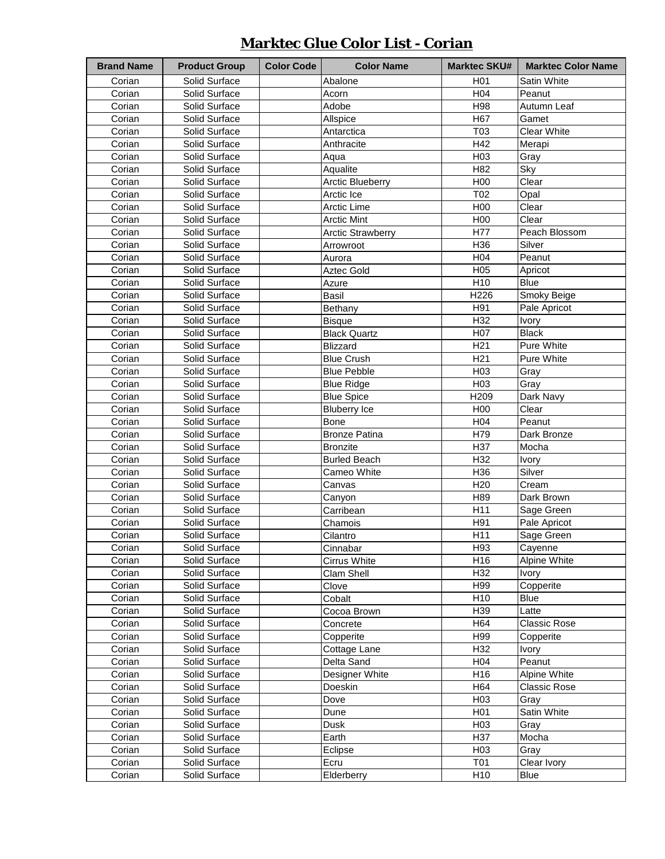### **Marktec Glue Color List - Corian**

| <b>Brand Name</b> | <b>Product Group</b> | <b>Color Code</b> | <b>Color Name</b>        | <b>Marktec SKU#</b> | <b>Marktec Color Name</b> |
|-------------------|----------------------|-------------------|--------------------------|---------------------|---------------------------|
| Corian            | Solid Surface        |                   | Abalone                  | H <sub>01</sub>     | Satin White               |
| Corian            | Solid Surface        |                   | Acorn                    | H <sub>04</sub>     | Peanut                    |
| Corian            | Solid Surface        |                   | Adobe                    | H98                 | Autumn Leaf               |
| Corian            | Solid Surface        |                   | Allspice                 | H67                 | Gamet                     |
| Corian            | Solid Surface        |                   | Antarctica               | T03                 | <b>Clear White</b>        |
| Corian            | Solid Surface        |                   | Anthracite               | H42                 | Merapi                    |
| Corian            | Solid Surface        |                   | Aqua                     | H03                 | Gray                      |
| Corian            | Solid Surface        |                   | Aqualite                 | H82                 | Sky                       |
| Corian            | Solid Surface        |                   | <b>Arctic Blueberry</b>  | H00                 | Clear                     |
| Corian            | Solid Surface        |                   | Arctic Ice               | T02                 | Opal                      |
| Corian            | Solid Surface        |                   | Arctic Lime              | H00                 | Clear                     |
| Corian            | Solid Surface        |                   | <b>Arctic Mint</b>       | H00                 | Clear                     |
| Corian            | Solid Surface        |                   | <b>Arctic Strawberry</b> | H77                 | Peach Blossom             |
| Corian            | Solid Surface        |                   | Arrowroot                | H36                 | Silver                    |
| Corian            | Solid Surface        |                   | Aurora                   | H <sub>04</sub>     | Peanut                    |
| Corian            | Solid Surface        |                   | Aztec Gold               | H <sub>05</sub>     | Apricot                   |
| Corian            | Solid Surface        |                   | Azure                    | H <sub>10</sub>     | <b>Blue</b>               |
| Corian            | Solid Surface        |                   | Basil                    | H226                | Smoky Beige               |
| Corian            | Solid Surface        |                   | Bethany                  | H91                 | Pale Apricot              |
| Corian            | Solid Surface        |                   | <b>Bisque</b>            | H32                 | Ivory                     |
| Corian            | Solid Surface        |                   | <b>Black Quartz</b>      | H07                 | <b>Black</b>              |
| Corian            | Solid Surface        |                   | <b>Blizzard</b>          | H <sub>21</sub>     | Pure White                |
| Corian            | Solid Surface        |                   | <b>Blue Crush</b>        | H <sub>21</sub>     | Pure White                |
| Corian            | Solid Surface        |                   | <b>Blue Pebble</b>       | H03                 | Gray                      |
| Corian            | Solid Surface        |                   | <b>Blue Ridge</b>        | H <sub>03</sub>     | Gray                      |
| Corian            | Solid Surface        |                   | <b>Blue Spice</b>        | H209                | Dark Navy                 |
| Corian            | Solid Surface        |                   | <b>Bluberry Ice</b>      | H00                 | Clear                     |
| Corian            | Solid Surface        |                   | Bone                     | H04                 | Peanut                    |
| Corian            | Solid Surface        |                   | <b>Bronze Patina</b>     | H79                 | Dark Bronze               |
| Corian            | Solid Surface        |                   | <b>Bronzite</b>          | H37                 | Mocha                     |
| Corian            | Solid Surface        |                   | <b>Burled Beach</b>      | H32                 | Ivory                     |
| Corian            | Solid Surface        |                   | Cameo White              | H36                 | Silver                    |
| Corian            | Solid Surface        |                   | Canvas                   | H <sub>20</sub>     | Cream                     |
| Corian            | Solid Surface        |                   | Canyon                   | H89                 | Dark Brown                |
| Corian            | Solid Surface        |                   | Carribean                | H11                 | Sage Green                |
| Corian            | Solid Surface        |                   | Chamois                  | H91                 | Pale Apricot              |
| Corian            | Solid Surface        |                   | Cilantro                 | H <sub>11</sub>     | Sage Green                |
| Corian            | Solid Surface        |                   | Cinnabar                 | H93                 | Cayenne                   |
| Corian            | Solid Surface        |                   | Cirrus White             | H16                 | Alpine White              |
| Corian            | Solid Surface        |                   | Clam Shell               | H32                 | <b>Ivory</b>              |
| Corian            | Solid Surface        |                   | Clove                    | H99                 | Copperite                 |
| Corian            | Solid Surface        |                   | Cobalt                   | H10                 | Blue                      |
| Corian            | Solid Surface        |                   | Cocoa Brown              | H39                 | Latte                     |
| Corian            | Solid Surface        |                   | Concrete                 | H64                 | <b>Classic Rose</b>       |
| Corian            | Solid Surface        |                   | Copperite                | H99                 | Copperite                 |
| Corian            | Solid Surface        |                   | Cottage Lane             | H32                 | <b>Ivory</b>              |
| Corian            | Solid Surface        |                   | Delta Sand               | H <sub>04</sub>     | Peanut                    |
| Corian            | Solid Surface        |                   | Designer White           | H16                 | Alpine White              |
| Corian            | Solid Surface        |                   | Doeskin                  | H64                 | <b>Classic Rose</b>       |
| Corian            | Solid Surface        |                   | Dove                     | H <sub>03</sub>     | Gray                      |
| Corian            | Solid Surface        |                   | Dune                     | H <sub>0</sub> 1    | Satin White               |
| Corian            | Solid Surface        |                   | Dusk                     | H <sub>03</sub>     | Gray                      |
| Corian            | Solid Surface        |                   | Earth                    | H37                 | Mocha                     |
| Corian            | Solid Surface        |                   | Eclipse                  | H <sub>03</sub>     | Gray                      |
| Corian            | Solid Surface        |                   | Ecru                     | T01                 | Clear Ivory               |
| Corian            | Solid Surface        |                   | Elderberry               | H10                 | Blue                      |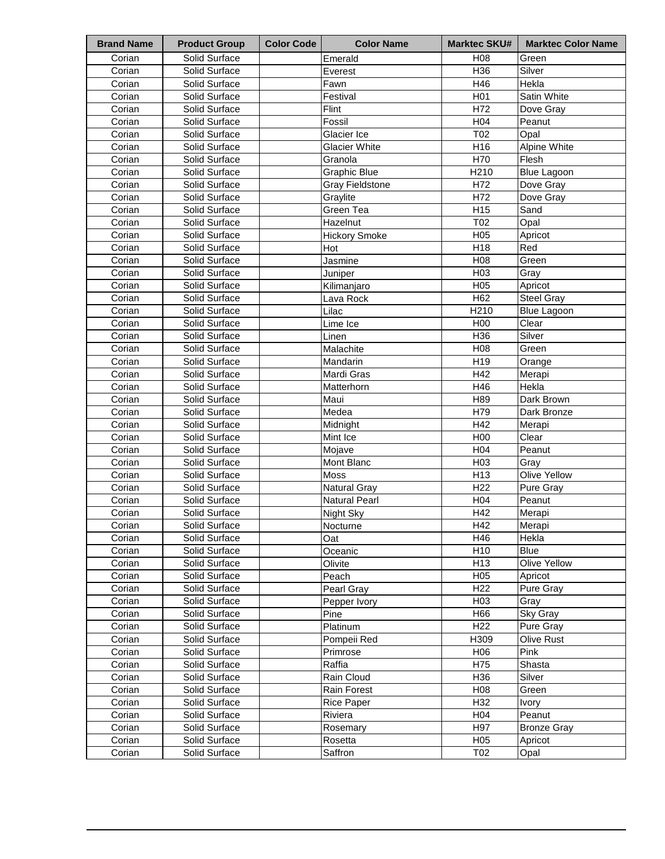| <b>Brand Name</b> | <b>Product Group</b> | <b>Color Code</b> | <b>Color Name</b>      | <b>Marktec SKU#</b> | <b>Marktec Color Name</b> |
|-------------------|----------------------|-------------------|------------------------|---------------------|---------------------------|
| Corian            | Solid Surface        |                   | Emerald                | H08                 | Green                     |
| Corian            | Solid Surface        |                   | Everest                | H36                 | Silver                    |
| Corian            | Solid Surface        |                   | Fawn                   | H46                 | Hekla                     |
| Corian            | Solid Surface        |                   | Festival               | H <sub>0</sub> 1    | Satin White               |
| Corian            | Solid Surface        |                   | Flint                  | H72                 | Dove Gray                 |
| Corian            | Solid Surface        |                   | Fossil                 | H04                 | Peanut                    |
| Corian            | Solid Surface        |                   | Glacier Ice            | T02                 | Opal                      |
| Corian            | Solid Surface        |                   | <b>Glacier White</b>   | H16                 | Alpine White              |
| Corian            | Solid Surface        |                   | Granola                | H70                 | Flesh                     |
| Corian            | Solid Surface        |                   | <b>Graphic Blue</b>    | H210                | <b>Blue Lagoon</b>        |
| Corian            | Solid Surface        |                   | <b>Gray Fieldstone</b> | H72                 | Dove Gray                 |
| Corian            | Solid Surface        |                   | Graylite               | H72                 | Dove Gray                 |
| Corian            | Solid Surface        |                   | Green Tea              | H <sub>15</sub>     | Sand                      |
| Corian            | Solid Surface        |                   | Hazelnut               | T02                 | Opal                      |
| Corian            | Solid Surface        |                   | <b>Hickory Smoke</b>   | H05                 | Apricot                   |
| Corian            | Solid Surface        |                   | Hot                    | H <sub>18</sub>     | Red                       |
| Corian            | Solid Surface        |                   | Jasmine                | H08                 | Green                     |
| Corian            | Solid Surface        |                   | Juniper                | H <sub>03</sub>     | Grav                      |
| Corian            | Solid Surface        |                   | Kilimanjaro            | H05                 | Apricot                   |
| Corian            | Solid Surface        |                   | Lava Rock              | H62                 | Steel Gray                |
| Corian            | Solid Surface        |                   | Lilac                  | H210                | <b>Blue Lagoon</b>        |
| Corian            | Solid Surface        |                   | Lime Ice               | H00                 | Clear                     |
| Corian            | Solid Surface        |                   | Linen                  | H36                 | Silver                    |
| Corian            | Solid Surface        |                   | Malachite              | H08                 | Green                     |
| Corian            | Solid Surface        |                   | Mandarin               | H19                 | Orange                    |
| Corian            | Solid Surface        |                   | Mardi Gras             | H42                 | Merapi                    |
| Corian            | Solid Surface        |                   | Matterhorn             | H46                 | Hekla                     |
| Corian            | Solid Surface        |                   | Maui                   | H89                 | Dark Brown                |
| Corian            | Solid Surface        |                   | Medea                  | H79                 | Dark Bronze               |
| Corian            | Solid Surface        |                   | Midnight               | H42                 | Merapi                    |
| Corian            | Solid Surface        |                   | Mint Ice               | H <sub>00</sub>     | Clear                     |
| Corian            | Solid Surface        |                   | Mojave                 | H04                 | Peanut                    |
| Corian            | Solid Surface        |                   | Mont Blanc             | H <sub>03</sub>     | Gray                      |
| Corian            | Solid Surface        |                   | Moss                   | H13                 | Olive Yellow              |
| Corian            | Solid Surface        |                   | <b>Natural Gray</b>    | H <sub>22</sub>     | Pure Gray                 |
| Corian            | Solid Surface        |                   | <b>Natural Pearl</b>   | H <sub>04</sub>     | Peanut                    |
| Corian            | Solid Surface        |                   | Night Sky              | H42                 | Merapi                    |
| Corian            | Solid Surface        |                   | Nocturne               | H42                 | Merapi                    |
| Corian            | Solid Surface        |                   | Oat                    | H46                 | Hekla                     |
| Corian            | Solid Surface        |                   | Oceanic                | H <sub>10</sub>     | Blue                      |
| Corian            | Solid Surface        |                   | Olivite                | H13                 | Olive Yellow              |
| Corian            | Solid Surface        |                   | Peach                  | H <sub>05</sub>     | Apricot                   |
| Corian            | Solid Surface        |                   | Pearl Gray             | H <sub>22</sub>     | <b>Pure Gray</b>          |
| Corian            | Solid Surface        |                   | Pepper Ivory           | H <sub>03</sub>     | Gray                      |
| Corian            | Solid Surface        |                   | Pine                   | H66                 | Sky Gray                  |
| Corian            | Solid Surface        |                   | Platinum               | H <sub>22</sub>     | Pure Gray                 |
| Corian            | Solid Surface        |                   | Pompeii Red            | H309                | Olive Rust                |
| Corian            | Solid Surface        |                   | Primrose               | H <sub>06</sub>     | Pink                      |
| Corian            | Solid Surface        |                   | Raffia                 | H75                 | Shasta                    |
| Corian            | Solid Surface        |                   | Rain Cloud             | H <sub>36</sub>     | Silver                    |
| Corian            | Solid Surface        |                   | Rain Forest            | H <sub>08</sub>     | Green                     |
| Corian            | Solid Surface        |                   | <b>Rice Paper</b>      | H <sub>32</sub>     | Ivory                     |
| Corian            | Solid Surface        |                   | Riviera                | H <sub>04</sub>     | Peanut                    |
| Corian            | Solid Surface        |                   | Rosemary               | H97                 | <b>Bronze Gray</b>        |
| Corian            | Solid Surface        |                   | Rosetta                | H <sub>05</sub>     | Apricot                   |
| Corian            | Solid Surface        |                   | Saffron                | T02                 | Opal                      |
|                   |                      |                   |                        |                     |                           |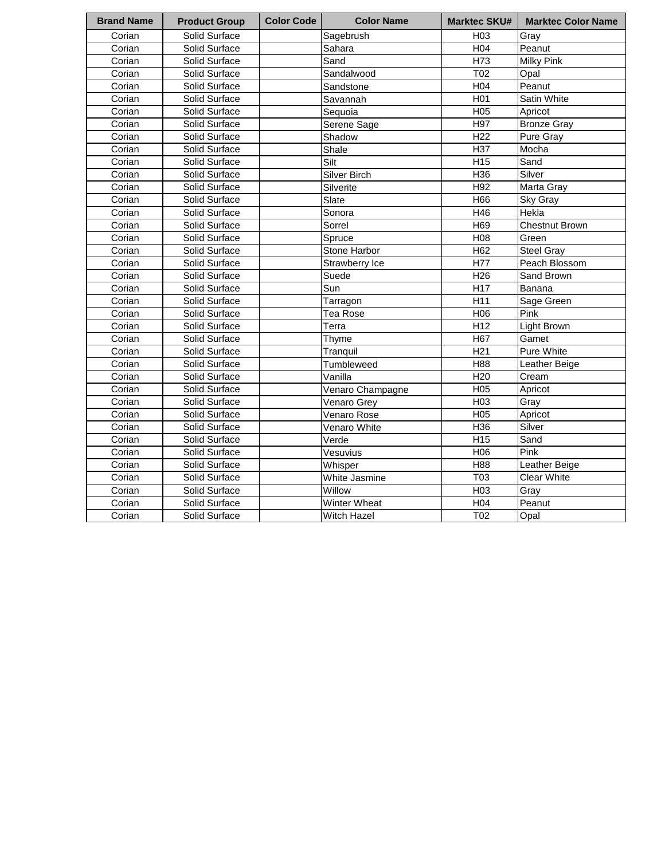| <b>Brand Name</b> | <b>Product Group</b> | <b>Color Code</b> | <b>Color Name</b>   | <b>Marktec SKU#</b> | <b>Marktec Color Name</b> |
|-------------------|----------------------|-------------------|---------------------|---------------------|---------------------------|
| Corian            | Solid Surface        |                   | Sagebrush           | H <sub>03</sub>     | Gray                      |
| Corian            | Solid Surface        |                   | Sahara              | H <sub>04</sub>     | Peanut                    |
| Corian            | Solid Surface        |                   | Sand                | H <sub>73</sub>     | <b>Milky Pink</b>         |
| Corian            | Solid Surface        |                   | Sandalwood          | T <sub>02</sub>     | Opal                      |
| Corian            | Solid Surface        |                   | Sandstone           | H04                 | Peanut                    |
| Corian            | Solid Surface        |                   | Savannah            | H <sub>01</sub>     | Satin White               |
| Corian            | Solid Surface        |                   | Sequoia             | H <sub>05</sub>     | Apricot                   |
| Corian            | Solid Surface        |                   | Serene Sage         | H97                 | <b>Bronze Gray</b>        |
| Corian            | Solid Surface        |                   | Shadow              | H <sub>22</sub>     | Pure Gray                 |
| Corian            | Solid Surface        |                   | Shale               | H37                 | Mocha                     |
| Corian            | Solid Surface        |                   | Silt                | H <sub>15</sub>     | Sand                      |
| Corian            | Solid Surface        |                   | Silver Birch        | H36                 | Silver                    |
| Corian            | Solid Surface        |                   | Silverite           | H92                 | Marta Gray                |
| Corian            | Solid Surface        |                   | Slate               | H66                 | Sky Gray                  |
| Corian            | Solid Surface        |                   | Sonora              | H46                 | Hekla                     |
| Corian            | Solid Surface        |                   | Sorrel              | H69                 | <b>Chestnut Brown</b>     |
| Corian            | Solid Surface        |                   | Spruce              | H08                 | Green                     |
| Corian            | Solid Surface        |                   | Stone Harbor        | H62                 | <b>Steel Gray</b>         |
| Corian            | Solid Surface        |                   | Strawberry Ice      | H77                 | Peach Blossom             |
| Corian            | Solid Surface        |                   | Suede               | H <sub>26</sub>     | Sand Brown                |
| Corian            | Solid Surface        |                   | Sun                 | H <sub>17</sub>     | Banana                    |
| Corian            | Solid Surface        |                   | Tarragon            | H11                 | Sage Green                |
| Corian            | Solid Surface        |                   | <b>Tea Rose</b>     | H06                 | Pink                      |
| Corian            | Solid Surface        |                   | Terra               | H12                 | Light Brown               |
| Corian            | Solid Surface        |                   | Thyme               | H67                 | Gamet                     |
| Corian            | Solid Surface        |                   | Tranquil            | H <sub>21</sub>     | Pure White                |
| Corian            | Solid Surface        |                   | Tumbleweed          | H88                 | Leather Beige             |
| Corian            | Solid Surface        |                   | Vanilla             | H <sub>20</sub>     | Cream                     |
| Corian            | Solid Surface        |                   | Venaro Champagne    | H05                 | Apricot                   |
| Corian            | Solid Surface        |                   | Venaro Grey         | H <sub>03</sub>     | Gray                      |
| Corian            | Solid Surface        |                   | Venaro Rose         | H05                 | Apricot                   |
| Corian            | Solid Surface        |                   | Venaro White        | H36                 | Silver                    |
| Corian            | Solid Surface        |                   | Verde               | H <sub>15</sub>     | Sand                      |
| Corian            | Solid Surface        |                   | Vesuvius            | H06                 | Pink                      |
| Corian            | Solid Surface        |                   | Whisper             | H88                 | Leather Beige             |
| Corian            | Solid Surface        |                   | White Jasmine       | T03                 | <b>Clear White</b>        |
| Corian            | Solid Surface        |                   | Willow              | H03                 | Gray                      |
| Corian            | Solid Surface        |                   | <b>Winter Wheat</b> | H04                 | Peanut                    |
| Corian            | Solid Surface        |                   | <b>Witch Hazel</b>  | T02                 | Opal                      |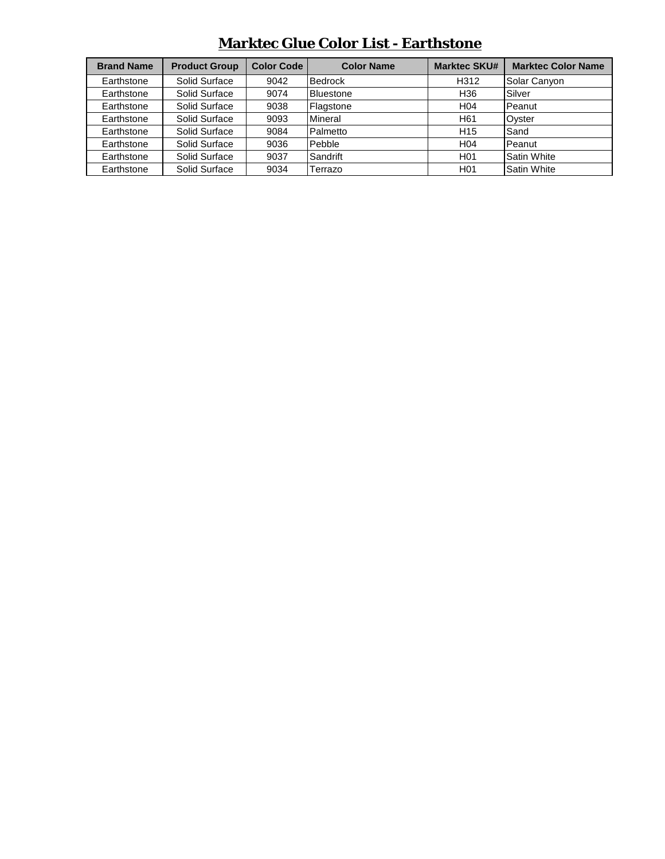| <b>Brand Name</b> | <b>Product Group</b> | <b>Color Code</b> | <b>Color Name</b> | <b>Marktec SKU#</b> | <b>Marktec Color Name</b> |
|-------------------|----------------------|-------------------|-------------------|---------------------|---------------------------|
| Earthstone        | Solid Surface        | 9042              | Bedrock           | H312                | Solar Canyon              |
| Earthstone        | Solid Surface        | 9074              | <b>Bluestone</b>  | H <sub>36</sub>     | Silver                    |
| Earthstone        | Solid Surface        | 9038              | Flagstone         | H <sub>04</sub>     | Peanut                    |
| Earthstone        | Solid Surface        | 9093              | Mineral           | H <sub>61</sub>     | Oyster                    |
| Earthstone        | Solid Surface        | 9084              | Palmetto          | H <sub>15</sub>     | Sand                      |
| Earthstone        | Solid Surface        | 9036              | Pebble            | H <sub>04</sub>     | Peanut                    |
| Earthstone        | Solid Surface        | 9037              | Sandrift          | H <sub>0</sub> 1    | Satin White               |
| Earthstone        | Solid Surface        | 9034              | Terrazo           | H <sub>0</sub> 1    | <b>Satin White</b>        |

### **Marktec Glue Color List - Earthstone**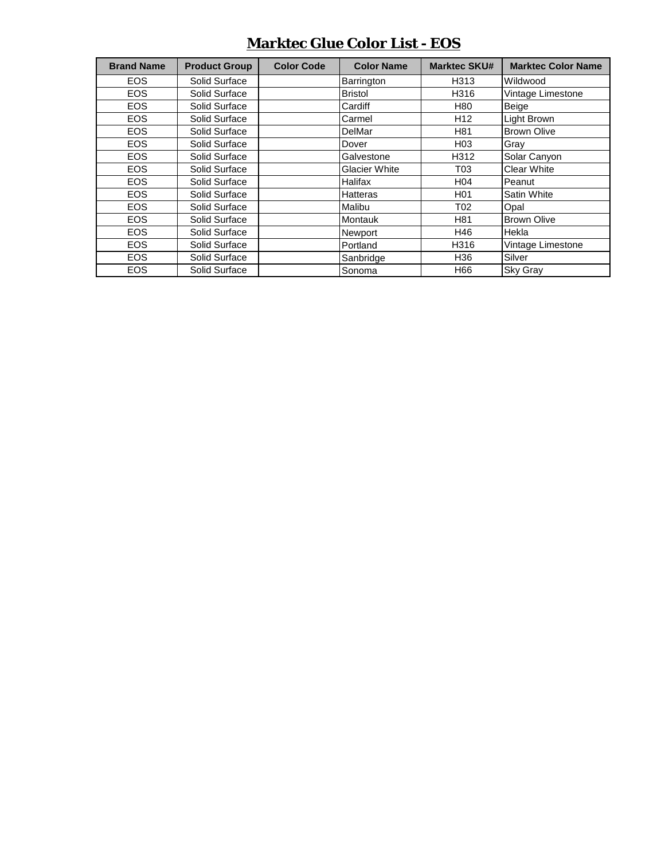#### **Marktec Glue Color List - EOS**

| <b>Brand Name</b> | <b>Product Group</b> | <b>Color Code</b> | <b>Color Name</b>    | <b>Marktec SKU#</b> | <b>Marktec Color Name</b> |
|-------------------|----------------------|-------------------|----------------------|---------------------|---------------------------|
| <b>EOS</b>        | Solid Surface        |                   | Barrington           | H313                | Wildwood                  |
| <b>EOS</b>        | Solid Surface        |                   | <b>Bristol</b>       | H316                | Vintage Limestone         |
| <b>EOS</b>        | Solid Surface        |                   | Cardiff              | H80                 | Beige                     |
| <b>EOS</b>        | Solid Surface        |                   | Carmel               | H <sub>12</sub>     | <b>Light Brown</b>        |
| <b>EOS</b>        | Solid Surface        |                   | <b>DelMar</b>        | H81                 | <b>Brown Olive</b>        |
| <b>EOS</b>        | Solid Surface        |                   | Dover                | H <sub>03</sub>     | Grav                      |
| <b>EOS</b>        | Solid Surface        |                   | Galvestone           | H312                | Solar Canyon              |
| <b>EOS</b>        | Solid Surface        |                   | <b>Glacier White</b> | T03                 | <b>Clear White</b>        |
| <b>EOS</b>        | Solid Surface        |                   | Halifax              | H04                 | Peanut                    |
| <b>EOS</b>        | Solid Surface        |                   | <b>Hatteras</b>      | H <sub>01</sub>     | Satin White               |
| <b>EOS</b>        | Solid Surface        |                   | Malibu               | T02                 | Opal                      |
| <b>EOS</b>        | Solid Surface        |                   | Montauk              | H81                 | <b>Brown Olive</b>        |
| <b>EOS</b>        | Solid Surface        |                   | Newport              | H46                 | Hekla                     |
| <b>EOS</b>        | Solid Surface        |                   | Portland             | H316                | Vintage Limestone         |
| <b>EOS</b>        | Solid Surface        |                   | Sanbridge            | H36                 | Silver                    |
| <b>EOS</b>        | Solid Surface        |                   | Sonoma               | H66                 | <b>Sky Gray</b>           |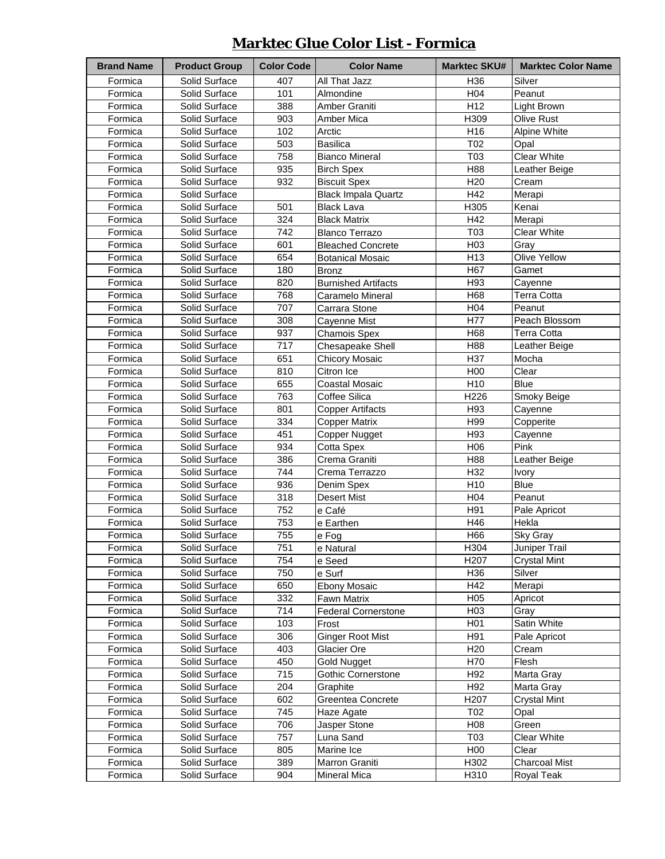## **Marktec Glue Color List - Formica**

| <b>Brand Name</b> | <b>Product Group</b> | <b>Color Code</b> | <b>Color Name</b>          | <b>Marktec SKU#</b> | <b>Marktec Color Name</b> |
|-------------------|----------------------|-------------------|----------------------------|---------------------|---------------------------|
| Formica           | Solid Surface        | 407               | All That Jazz              | H <sub>36</sub>     | Silver                    |
| Formica           | Solid Surface        | 101               | Almondine                  | H04                 | Peanut                    |
| Formica           | Solid Surface        | 388               | Amber Graniti              | H <sub>12</sub>     | Light Brown               |
| Formica           | Solid Surface        | 903               | Amber Mica                 | H309                | Olive Rust                |
| Formica           | Solid Surface        | 102               | Arctic                     | H16                 | Alpine White              |
| Formica           | Solid Surface        | 503               | <b>Basilica</b>            | T <sub>02</sub>     | Opal                      |
| Formica           | Solid Surface        | 758               | <b>Bianco Mineral</b>      | T03                 | <b>Clear White</b>        |
| Formica           | Solid Surface        | 935               | <b>Birch Spex</b>          | H88                 | Leather Beige             |
| Formica           | Solid Surface        | 932               | <b>Biscuit Spex</b>        | H <sub>20</sub>     | Cream                     |
| Formica           | Solid Surface        |                   | <b>Black Impala Quartz</b> | H42                 | Merapi                    |
| Formica           | Solid Surface        | 501               | <b>Black Lava</b>          | H305                | Kenai                     |
| Formica           | Solid Surface        | 324               | <b>Black Matrix</b>        | H42                 | Merapi                    |
| Formica           | Solid Surface        | 742               | <b>Blanco Terrazo</b>      | T03                 | <b>Clear White</b>        |
| Formica           | Solid Surface        | 601               | <b>Bleached Concrete</b>   | H03                 | Gray                      |
| Formica           | Solid Surface        | 654               | <b>Botanical Mosaic</b>    | H <sub>13</sub>     | Olive Yellow              |
| Formica           | Solid Surface        | 180               | <b>Bronz</b>               | H67                 | Gamet                     |
| Formica           | Solid Surface        | 820               | <b>Burnished Artifacts</b> | H93                 | Cayenne                   |
| Formica           | Solid Surface        | 768               | Caramelo Mineral           | H68                 | <b>Terra Cotta</b>        |
| Formica           | Solid Surface        | 707               | Carrara Stone              | H04                 | Peanut                    |
| Formica           | Solid Surface        | 308               | Cayenne Mist               | H77                 | Peach Blossom             |
| Formica           | Solid Surface        | 937               | <b>Chamois Spex</b>        | H68                 | <b>Terra Cotta</b>        |
| Formica           | Solid Surface        | 717               | Chesapeake Shell           | H88                 | Leather Beige             |
| Formica           | Solid Surface        | 651               | <b>Chicory Mosaic</b>      | H37                 | Mocha                     |
| Formica           | Solid Surface        | 810               | Citron Ice                 | H00                 | Clear                     |
| Formica           | Solid Surface        | 655               | Coastal Mosaic             | H10                 | <b>Blue</b>               |
| Formica           | Solid Surface        | 763               | Coffee Silica              | H226                | Smoky Beige               |
| Formica           | Solid Surface        | 801               | <b>Copper Artifacts</b>    | H93                 | Cayenne                   |
| Formica           | Solid Surface        | 334               | <b>Copper Matrix</b>       | H99                 | Copperite                 |
| Formica           | Solid Surface        | 451               | Copper Nugget              | H93                 | Cayenne                   |
| Formica           | Solid Surface        | 934               | Cotta Spex                 | H06                 | Pink                      |
| Formica           | Solid Surface        | 386               | Crema Graniti              | H88                 | Leather Beige             |
| Formica           | Solid Surface        | 744               | Crema Terrazzo             | H32                 | Ivory                     |
| Formica           | Solid Surface        | 936               | Denim Spex                 | H10                 | <b>Blue</b>               |
| Formica           | Solid Surface        | 318               | <b>Desert Mist</b>         | H04                 | Peanut                    |
| Formica           | Solid Surface        | 752               | e Café                     | H91                 | Pale Apricot              |
| Formica           | Solid Surface        | 753               | e Earthen                  | H46                 | Hekla                     |
| Formica           | Solid Surface        | 755               | e Fog                      | H66                 | Sky Gray                  |
| Formica           | Solid Surface        | 751               | e Natural                  | H304                | Juniper Trail             |
| Formica           | Solid Surface        | 754               | e Seed                     | H <sub>20</sub> 7   | Crystal Mint              |
| Formica           | Solid Surface        | 750               | e Surf                     | H36                 | Silver                    |
| Formica           | Solid Surface        | 650               | <b>Ebony Mosaic</b>        | H42                 | Merapi                    |
| Formica           | Solid Surface        | 332               | Fawn Matrix                | H <sub>05</sub>     | Apricot                   |
| Formica           | Solid Surface        | 714               | <b>Federal Cornerstone</b> | H <sub>03</sub>     | Gray                      |
| Formica           | Solid Surface        | 103               | Frost                      | H <sub>0</sub> 1    | Satin White               |
| Formica           | Solid Surface        | 306               | <b>Ginger Root Mist</b>    | H91                 | Pale Apricot              |
| Formica           | Solid Surface        | 403               | Glacier Ore                | H <sub>20</sub>     | Cream                     |
| Formica           | Solid Surface        | 450               | Gold Nugget                | H70                 | Flesh                     |
| Formica           | Solid Surface        | 715               | <b>Gothic Cornerstone</b>  | H92                 | Marta Gray                |
| Formica           | Solid Surface        | 204               | Graphite                   | H92                 | Marta Gray                |
| Formica           | Solid Surface        | 602               | Greentea Concrete          | H <sub>207</sub>    | <b>Crystal Mint</b>       |
| Formica           | Solid Surface        | 745               | Haze Agate                 | T02                 | Opal                      |
| Formica           | Solid Surface        | 706               | Jasper Stone               | H08                 | Green                     |
| Formica           | Solid Surface        | 757               | Luna Sand                  | T03                 | <b>Clear White</b>        |
| Formica           | Solid Surface        | 805               | Marine Ice                 | H00                 | Clear                     |
| Formica           | Solid Surface        | 389               | Marron Graniti             | H302                | <b>Charcoal Mist</b>      |
| Formica           | Solid Surface        | 904               | <b>Mineral Mica</b>        | H310                | Royal Teak                |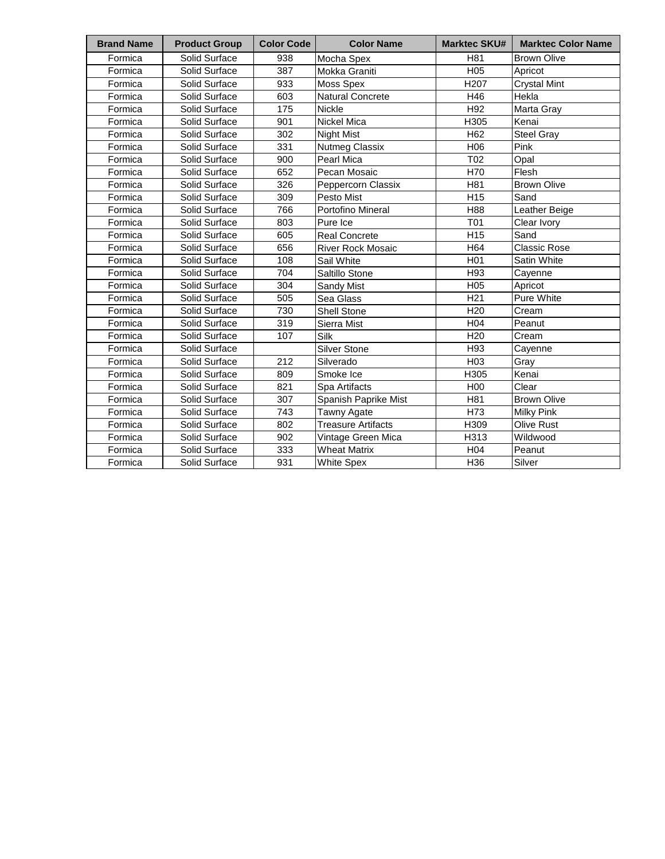| <b>Brand Name</b> | <b>Product Group</b> | <b>Color Code</b> | <b>Color Name</b>         | <b>Marktec SKU#</b> | <b>Marktec Color Name</b> |
|-------------------|----------------------|-------------------|---------------------------|---------------------|---------------------------|
| Formica           | Solid Surface        | 938               | Mocha Spex                | H81                 | <b>Brown Olive</b>        |
| Formica           | Solid Surface        | 387               | Mokka Graniti             | H05                 | Apricot                   |
| Formica           | Solid Surface        | 933               | Moss Spex                 | H <sub>207</sub>    | <b>Crystal Mint</b>       |
| Formica           | Solid Surface        | 603               | Natural Concrete          | H46                 | Hekla                     |
| Formica           | Solid Surface        | 175               | Nickle                    | H92                 | Marta Gray                |
| Formica           | Solid Surface        | 901               | Nickel Mica               | H305                | Kenai                     |
| Formica           | Solid Surface        | 302               | Night Mist                | H62                 | <b>Steel Gray</b>         |
| Formica           | Solid Surface        | 331               | <b>Nutmeg Classix</b>     | H06                 | Pink                      |
| Formica           | Solid Surface        | 900               | Pearl Mica                | T <sub>02</sub>     | Opal                      |
| Formica           | Solid Surface        | 652               | Pecan Mosaic              | H70                 | Flesh                     |
| Formica           | Solid Surface        | 326               | Peppercorn Classix        | H81                 | <b>Brown Olive</b>        |
| Formica           | Solid Surface        | 309               | Pesto Mist                | H <sub>15</sub>     | Sand                      |
| Formica           | Solid Surface        | 766               | Portofino Mineral         | H88                 | Leather Beige             |
| Formica           | Solid Surface        | 803               | Pure Ice                  | T01                 | Clear Ivory               |
| Formica           | Solid Surface        | 605               | <b>Real Concrete</b>      | H <sub>15</sub>     | Sand                      |
| Formica           | Solid Surface        | 656               | <b>River Rock Mosaic</b>  | H64                 | <b>Classic Rose</b>       |
| Formica           | Solid Surface        | 108               | Sail White                | H <sub>01</sub>     | <b>Satin White</b>        |
| Formica           | Solid Surface        | 704               | Saltillo Stone            | H93                 | Cayenne                   |
| Formica           | Solid Surface        | 304               | Sandy Mist                | H05                 | Apricot                   |
| Formica           | Solid Surface        | 505               | Sea Glass                 | H <sub>21</sub>     | <b>Pure White</b>         |
| Formica           | Solid Surface        | 730               | <b>Shell Stone</b>        | H <sub>20</sub>     | Cream                     |
| Formica           | Solid Surface        | 319               | Sierra Mist               | H04                 | Peanut                    |
| Formica           | Solid Surface        | 107               | Silk                      | H <sub>20</sub>     | Cream                     |
| Formica           | Solid Surface        |                   | <b>Silver Stone</b>       | H93                 | Cavenne                   |
| Formica           | Solid Surface        | 212               | Silverado                 | H <sub>03</sub>     | Gray                      |
| Formica           | Solid Surface        | 809               | Smoke Ice                 | H305                | Kenai                     |
| Formica           | Solid Surface        | 821               | Spa Artifacts             | H <sub>00</sub>     | Clear                     |
| Formica           | Solid Surface        | 307               | Spanish Paprike Mist      | H81                 | <b>Brown Olive</b>        |
| Formica           | Solid Surface        | 743               | <b>Tawny Agate</b>        | H73                 | <b>Milky Pink</b>         |
| Formica           | Solid Surface        | 802               | <b>Treasure Artifacts</b> | H309                | <b>Olive Rust</b>         |
| Formica           | Solid Surface        | 902               | Vintage Green Mica        | H313                | Wildwood                  |
| Formica           | Solid Surface        | 333               | <b>Wheat Matrix</b>       | H <sub>04</sub>     | Peanut                    |
| Formica           | Solid Surface        | 931               | White Spex                | H36                 | Silver                    |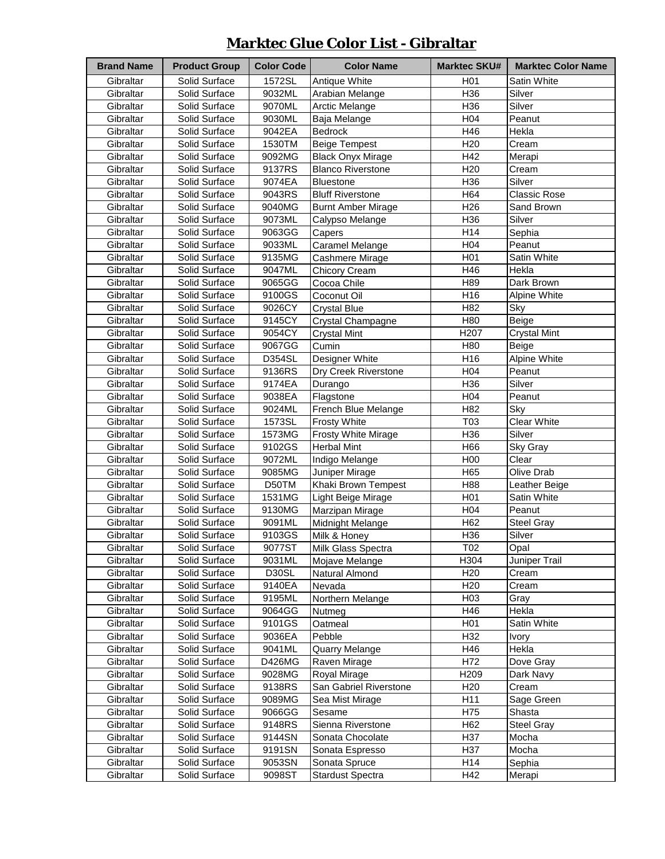## **Marktec Glue Color List - Gibraltar**

| <b>Brand Name</b> | <b>Product Group</b> | <b>Color Code</b> | <b>Color Name</b>          | <b>Marktec SKU#</b> | <b>Marktec Color Name</b> |
|-------------------|----------------------|-------------------|----------------------------|---------------------|---------------------------|
| Gibraltar         | Solid Surface        | 1572SL            | Antique White              | H <sub>0</sub> 1    | Satin White               |
| Gibraltar         | Solid Surface        | 9032ML            | Arabian Melange            | H36                 | Silver                    |
| Gibraltar         | Solid Surface        | 9070ML            | <b>Arctic Melange</b>      | H36                 | Silver                    |
| Gibraltar         | Solid Surface        | 9030ML            | Baja Melange               | H <sub>04</sub>     | Peanut                    |
| Gibraltar         | Solid Surface        | 9042EA            | Bedrock                    | H46                 | Hekla                     |
| Gibraltar         | Solid Surface        | 1530TM            | <b>Beige Tempest</b>       | H <sub>20</sub>     | Cream                     |
| Gibraltar         | Solid Surface        | 9092MG            | <b>Black Onyx Mirage</b>   | H42                 | Merapi                    |
| Gibraltar         | Solid Surface        | 9137RS            | <b>Blanco Riverstone</b>   | H <sub>20</sub>     | Cream                     |
| Gibraltar         | Solid Surface        | 9074EA            | <b>Bluestone</b>           | H36                 | Silver                    |
| Gibraltar         | Solid Surface        | 9043RS            | <b>Bluff Riverstone</b>    | H64                 | Classic Rose              |
| Gibraltar         | Solid Surface        | 9040MG            | <b>Burnt Amber Mirage</b>  | H <sub>26</sub>     | Sand Brown                |
| Gibraltar         | Solid Surface        | 9073ML            | Calypso Melange            | H36                 | Silver                    |
| Gibraltar         | Solid Surface        | 9063GG            | Capers                     | H14                 | Sephia                    |
| Gibraltar         | Solid Surface        | 9033ML            | Caramel Melange            | H04                 | Peanut                    |
| Gibraltar         | Solid Surface        | 9135MG            | Cashmere Mirage            | H <sub>01</sub>     | Satin White               |
| Gibraltar         | Solid Surface        | 9047ML            | <b>Chicory Cream</b>       | H46                 | Hekla                     |
| Gibraltar         | Solid Surface        | 9065GG            | Cocoa Chile                | H89                 | Dark Brown                |
| Gibraltar         | Solid Surface        | 9100GS            | Coconut Oil                | H <sub>16</sub>     | Alpine White              |
| Gibraltar         | Solid Surface        | 9026CY            | <b>Crystal Blue</b>        | H82                 | Sky                       |
| Gibraltar         | Solid Surface        | 9145CY            | Crystal Champagne          | H80                 | Beige                     |
| Gibraltar         | Solid Surface        | 9054CY            | <b>Crystal Mint</b>        | H207                | <b>Crystal Mint</b>       |
| Gibraltar         | Solid Surface        | 9067GG            | Cumin                      | H80                 | Beige                     |
| Gibraltar         | Solid Surface        | D354SL            | Designer White             | H <sub>16</sub>     | Alpine White              |
| Gibraltar         | Solid Surface        | 9136RS            | Dry Creek Riverstone       | H <sub>04</sub>     | Peanut                    |
| Gibraltar         | Solid Surface        | 9174EA            | Durango                    | H36                 | Silver                    |
| Gibraltar         | Solid Surface        | 9038EA            | Flagstone                  | H04                 | Peanut                    |
| Gibraltar         | Solid Surface        | 9024ML            | French Blue Melange        | H82                 | Sky                       |
| Gibraltar         | Solid Surface        | 1573SL            | <b>Frosty White</b>        | T03                 | <b>Clear White</b>        |
| Gibraltar         | Solid Surface        | 1573MG            | <b>Frosty White Mirage</b> | H36                 | Silver                    |
| Gibraltar         | Solid Surface        | 9102GS            | <b>Herbal Mint</b>         | H66                 | Sky Gray                  |
| Gibraltar         | Solid Surface        | 9072ML            | Indigo Melange             | H <sub>00</sub>     | Clear                     |
| Gibraltar         | Solid Surface        | 9085MG            | Juniper Mirage             | H65                 | Olive Drab                |
| Gibraltar         | Solid Surface        | D50TM             | Khaki Brown Tempest        | H88                 | Leather Beige             |
| Gibraltar         | Solid Surface        | 1531MG            | Light Beige Mirage         | H <sub>01</sub>     | Satin White               |
| Gibraltar         | Solid Surface        | 9130MG            | Marzipan Mirage            | H04                 | Peanut                    |
| Gibraltar         | Solid Surface        | 9091ML            | Midnight Melange           | H62                 | <b>Steel Gray</b>         |
| Gibraltar         | Solid Surface        | 9103GS            | Milk & Honey               | H36                 | Silver                    |
| Gibraltar         | Solid Surface        | 9077ST            | Milk Glass Spectra         | T02                 | Opal                      |
| Gibraltar         | Solid Surface        | 9031ML            | Mojave Melange             | H304                | Juniper Trail             |
| Gibraltar         | Solid Surface        | D30SL             | Natural Almond             | H <sub>20</sub>     | Cream                     |
| Gibraltar         | Solid Surface        | 9140EA            | Nevada                     | H <sub>20</sub>     | Cream                     |
| Gibraltar         | Solid Surface        | 9195ML            | Northern Melange           | H03                 | Gray                      |
| Gibraltar         | Solid Surface        | 9064GG            | Nutmeg                     | H46                 | Hekla                     |
| Gibraltar         | Solid Surface        | 9101GS            | Oatmeal                    | H <sub>0</sub> 1    | Satin White               |
| Gibraltar         | Solid Surface        | 9036EA            | Pebble                     | H32                 | <b>Ivory</b>              |
| Gibraltar         | Solid Surface        | 9041ML            | <b>Quarry Melange</b>      | H46                 | Hekla                     |
| Gibraltar         | Solid Surface        | D426MG            | Raven Mirage               | H72                 | Dove Gray                 |
| Gibraltar         | Solid Surface        | 9028MG            | Royal Mirage               | H <sub>209</sub>    | Dark Navy                 |
| Gibraltar         | Solid Surface        | 9138RS            | San Gabriel Riverstone     | H <sub>20</sub>     | Cream                     |
| Gibraltar         | Solid Surface        | 9089MG            | Sea Mist Mirage            | H <sub>11</sub>     | Sage Green                |
| Gibraltar         | Solid Surface        | 9066GG            | Sesame                     | H75                 | Shasta                    |
| Gibraltar         | Solid Surface        | 9148RS            | Sienna Riverstone          | H62                 | <b>Steel Gray</b>         |
| Gibraltar         | Solid Surface        | 9144SN            | Sonata Chocolate           | H37                 | Mocha                     |
| Gibraltar         | Solid Surface        | 9191SN            | Sonata Espresso            | H37                 | Mocha                     |
| Gibraltar         | Solid Surface        | 9053SN            | Sonata Spruce              | H14                 | Sephia                    |
| Gibraltar         | Solid Surface        | 9098ST            | <b>Stardust Spectra</b>    | H42                 | Merapi                    |
|                   |                      |                   |                            |                     |                           |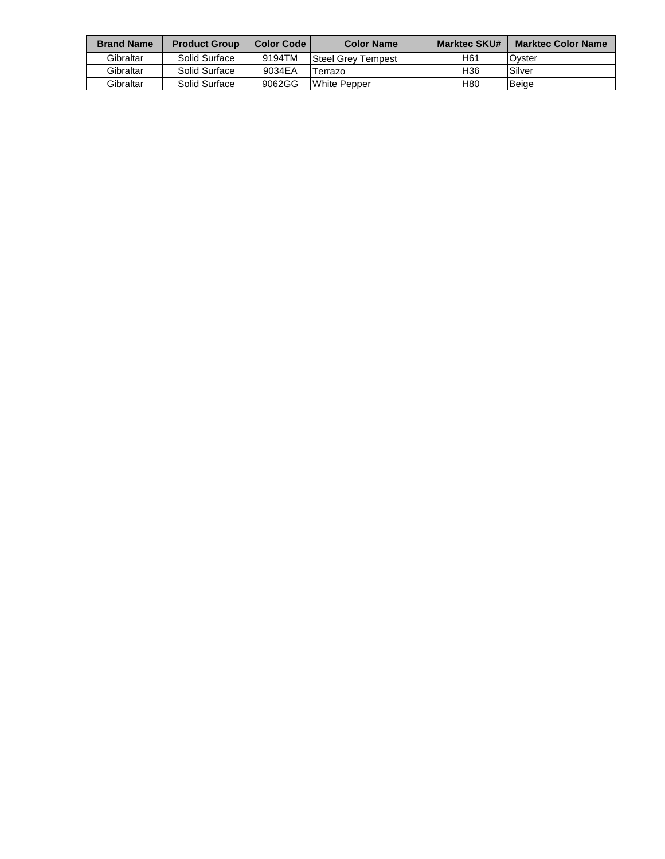| <b>Brand Name</b> | <b>Product Group</b> | <b>Color Code</b> | <b>Color Name</b>         | <b>Marktec SKU#</b> | <b>Marktec Color Name</b> |
|-------------------|----------------------|-------------------|---------------------------|---------------------|---------------------------|
| Gibraltar         | Solid Surface        | 9194TM            | <b>Steel Grev Tempest</b> | H61                 | Ovster                    |
| Gibraltar         | Solid Surface        | 9034EA            | Terrazo                   | H36                 | Silver                    |
| Gibraltar         | Solid Surface        | 9062GG            | White Pepper              | H80                 | Beige                     |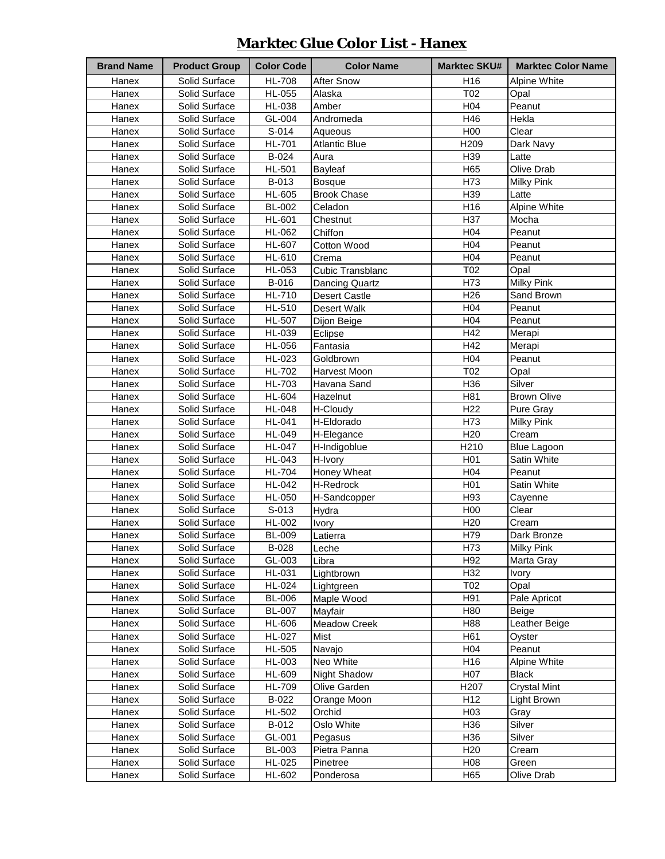### **Marktec Glue Color List - Hanex**

| <b>Brand Name</b> | <b>Product Group</b> | <b>Color Code</b> | <b>Color Name</b>    | <b>Marktec SKU#</b> | <b>Marktec Color Name</b> |
|-------------------|----------------------|-------------------|----------------------|---------------------|---------------------------|
| Hanex             | Solid Surface        | <b>HL-708</b>     | <b>After Snow</b>    | H16                 | Alpine White              |
| Hanex             | Solid Surface        | HL-055            | Alaska               | T02                 | Opal                      |
| Hanex             | Solid Surface        | HL-038            | Amber                | H04                 | Peanut                    |
| Hanex             | Solid Surface        | GL-004            | Andromeda            | H46                 | Hekla                     |
| Hanex             | Solid Surface        | S-014             | Aqueous              | H <sub>00</sub>     | Clear                     |
| Hanex             | Solid Surface        | <b>HL-701</b>     | <b>Atlantic Blue</b> | H209                | Dark Navy                 |
| Hanex             | Solid Surface        | B-024             | Aura                 | H39                 | Latte                     |
| Hanex             | Solid Surface        | HL-501            | Bayleaf              | H65                 | Olive Drab                |
| Hanex             | Solid Surface        | B-013             | <b>Bosque</b>        | H73                 | <b>Milky Pink</b>         |
| Hanex             | Solid Surface        | HL-605            | <b>Brook Chase</b>   | H39                 | Latte                     |
| <b>Hanex</b>      | Solid Surface        | <b>BL-002</b>     | Celadon              | H16                 | Alpine White              |
| Hanex             | Solid Surface        | HL-601            | Chestnut             | H <sub>37</sub>     | Mocha                     |
| Hanex             | Solid Surface        | HL-062            | Chiffon              | H04                 | Peanut                    |
| Hanex             | Solid Surface        | HL-607            | Cotton Wood          | H04                 | Peanut                    |
| Hanex             | Solid Surface        | HL-610            | Crema                | H04                 | Peanut                    |
| Hanex             | Solid Surface        | HL-053            | Cubic Transblanc     | T02                 | Opal                      |
| Hanex             | Solid Surface        | B-016             | Dancing Quartz       | H73                 | <b>Milky Pink</b>         |
| Hanex             | Solid Surface        | HL-710            | <b>Desert Castle</b> | H <sub>26</sub>     | Sand Brown                |
| Hanex             | Solid Surface        | HL-510            | Desert Walk          | H04                 | Peanut                    |
| Hanex             | Solid Surface        | <b>HL-507</b>     | Dijon Beige          | H04                 | Peanut                    |
| Hanex             | Solid Surface        | HL-039            | Eclipse              | H42                 | Merapi                    |
| Hanex             | Solid Surface        | HL-056            | Fantasia             | H42                 | Merapi                    |
| Hanex             | Solid Surface        | HL-023            | Goldbrown            | H04                 | Peanut                    |
| Hanex             | Solid Surface        | HL-702            | Harvest Moon         | T02                 | Opal                      |
| Hanex             | Solid Surface        | HL-703            | Havana Sand          | H36                 | Silver                    |
| Hanex             | Solid Surface        | HL-604            | Hazelnut             | H81                 | <b>Brown Olive</b>        |
| Hanex             | Solid Surface        | <b>HL-048</b>     | H-Cloudy             | H <sub>22</sub>     | Pure Gray                 |
| Hanex             | Solid Surface        | HL-041            | H-Eldorado           | H73                 | <b>Milky Pink</b>         |
| Hanex             | Solid Surface        | HL-049            | H-Elegance           | H <sub>20</sub>     | Cream                     |
| Hanex             | Solid Surface        | <b>HL-047</b>     | H-Indigoblue         | H <sub>210</sub>    | <b>Blue Lagoon</b>        |
| Hanex             | Solid Surface        | HL-043            | H-Ivory              | H <sub>0</sub> 1    | Satin White               |
| Hanex             | Solid Surface        | <b>HL-704</b>     | Honey Wheat          | H <sub>04</sub>     | Peanut                    |
| Hanex             | Solid Surface        | HL-042            | H-Redrock            | H <sub>01</sub>     | Satin White               |
| Hanex             | Solid Surface        | HL-050            | H-Sandcopper         | H93                 | Cayenne                   |
| Hanex             | Solid Surface        | S-013             | Hydra                | H <sub>0</sub>      | Clear                     |
| Hanex             | Solid Surface        | HL-002            | Ivory                | H <sub>20</sub>     | Cream                     |
| Hanex             | Solid Surface        | <b>BL-009</b>     | Latierra             | H79                 | Dark Bronze               |
| Hanex             | Solid Surface        | B-028             | Leche                | H73                 | <b>Milky Pink</b>         |
| Hanex             | Solid Surface        | GL-003            | Libra                | H92                 | Marta Gray                |
| Hanex             | Solid Surface        | <b>HL-031</b>     | Lightbrown           | H32                 | <b>Ivory</b>              |
| Hanex             | Solid Surface        | HL-024            | Lightgreen           | T02                 | Opal                      |
| Hanex             | Solid Surface        | <b>BL-006</b>     | Maple Wood           | H91                 | Pale Apricot              |
| Hanex             | Solid Surface        | <b>BL-007</b>     | Mayfair              | H80                 | Beige                     |
| Hanex             | Solid Surface        | HL-606            | <b>Meadow Creek</b>  | H88                 | Leather Beige             |
| Hanex             | Solid Surface        | HL-027            | Mist                 | H61                 | Oyster                    |
| Hanex             | Solid Surface        | HL-505            | Navajo               | H04                 | Peanut                    |
| Hanex             | Solid Surface        | HL-003            | Neo White            | H16                 | <b>Alpine White</b>       |
| Hanex             | Solid Surface        | HL-609            | <b>Night Shadow</b>  | H07                 | <b>Black</b>              |
| Hanex             | Solid Surface        | HL-709            | Olive Garden         | H <sub>207</sub>    | <b>Crystal Mint</b>       |
| Hanex             | Solid Surface        | B-022             | Orange Moon          | H12                 | Light Brown               |
| Hanex             | Solid Surface        | HL-502            | Orchid               | H03                 | Gray                      |
| Hanex             | Solid Surface        | B-012             | Oslo White           | H36                 | Silver                    |
| Hanex             | Solid Surface        | GL-001            | Pegasus              | H36                 | Silver                    |
| Hanex             | Solid Surface        | <b>BL-003</b>     | Pietra Panna         | H <sub>20</sub>     | Cream                     |
| Hanex             | Solid Surface        | HL-025            | Pinetree             | H08                 | Green                     |
| Hanex             | Solid Surface        | HL-602            | Ponderosa            | H65                 | Olive Drab                |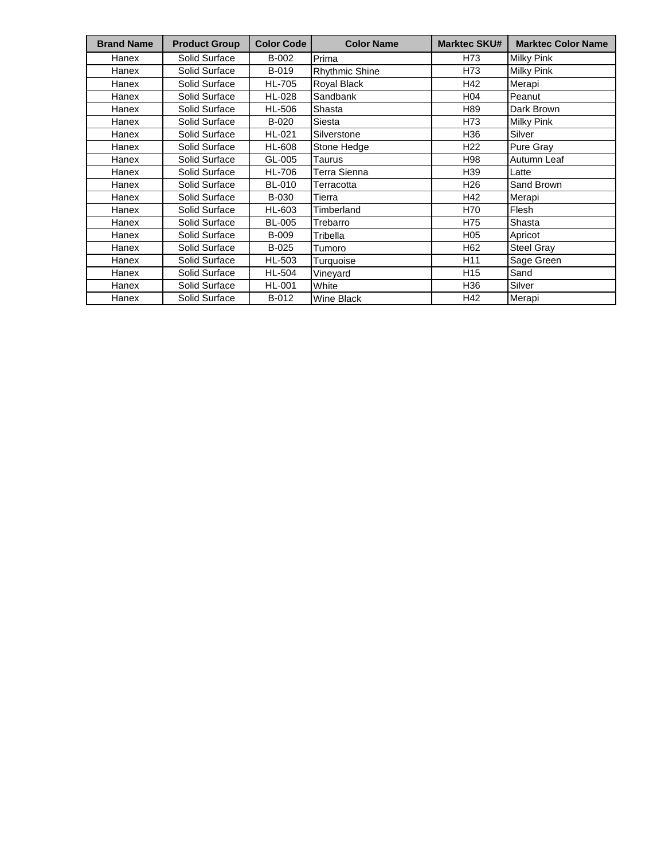| <b>Brand Name</b> | <b>Product Group</b> | <b>Color Code</b> | <b>Color Name</b>     | <b>Marktec SKU#</b> | <b>Marktec Color Name</b> |
|-------------------|----------------------|-------------------|-----------------------|---------------------|---------------------------|
| Hanex             | Solid Surface        | B-002             | Prima                 | H73                 | Milky Pink                |
| Hanex             | Solid Surface        | B-019             | <b>Rhythmic Shine</b> | H73                 | <b>Milky Pink</b>         |
| Hanex             | Solid Surface        | <b>HL-705</b>     | Royal Black           | H42                 | Merapi                    |
| Hanex             | Solid Surface        | <b>HL-028</b>     | Sandbank              | H04                 | Peanut                    |
| Hanex             | Solid Surface        | <b>HL-506</b>     | Shasta                | H89                 | Dark Brown                |
| Hanex             | Solid Surface        | B-020             | <b>Siesta</b>         | H73                 | <b>Milky Pink</b>         |
| Hanex             | Solid Surface        | HL-021            | Silverstone           | H36                 | Silver                    |
| Hanex             | Solid Surface        | <b>HL-608</b>     | Stone Hedge           | H <sub>22</sub>     | Pure Gray                 |
| Hanex             | Solid Surface        | GL-005            | Taurus                | H98                 | Autumn Leaf               |
| Hanex             | Solid Surface        | <b>HL-706</b>     | Terra Sienna          | H39                 | Latte                     |
| Hanex             | Solid Surface        | <b>BL-010</b>     | Terracotta            | H <sub>26</sub>     | Sand Brown                |
| Hanex             | Solid Surface        | B-030             | Tierra                | H42                 | Merapi                    |
| Hanex             | Solid Surface        | HL-603            | Timberland            | H70                 | Flesh                     |
| Hanex             | Solid Surface        | <b>BL-005</b>     | Trebarro              | H75                 | Shasta                    |
| Hanex             | Solid Surface        | <b>B-009</b>      | Tribella              | H <sub>05</sub>     | Apricot                   |
| Hanex             | Solid Surface        | B-025             | Tumoro                | H62                 | Steel Gray                |
| Hanex             | Solid Surface        | <b>HL-503</b>     | Turquoise             | H <sub>11</sub>     | Sage Green                |
| Hanex             | Solid Surface        | <b>HL-504</b>     | Vineyard              | H <sub>15</sub>     | Sand                      |
| Hanex             | Solid Surface        | <b>HL-001</b>     | White                 | H36                 | Silver                    |
| Hanex             | Solid Surface        | B-012             | Wine Black            | H42                 | Merapi                    |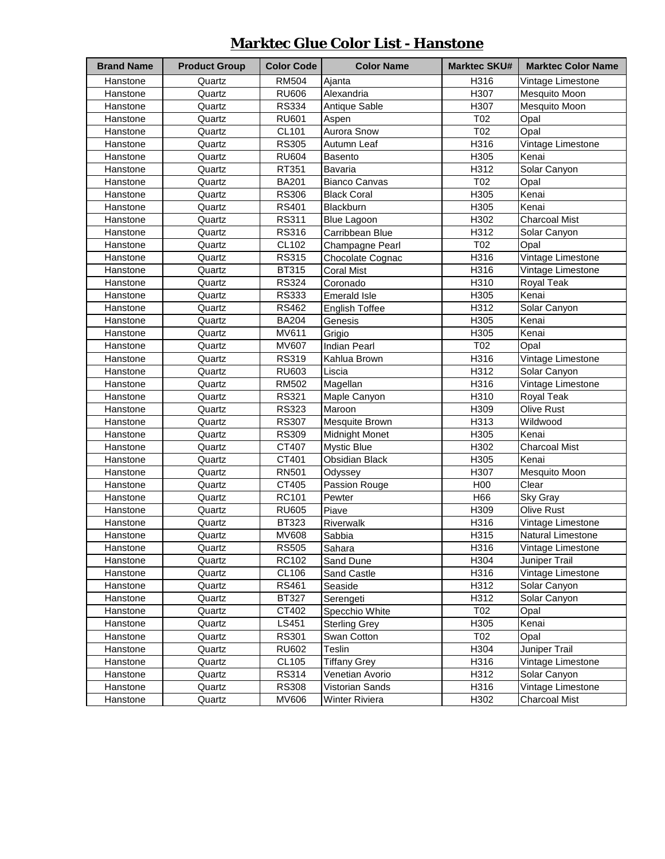# **Marktec Glue Color List - Hanstone**

| <b>Brand Name</b> | <b>Product Group</b> | <b>Color Code</b> | <b>Color Name</b>     | <b>Marktec SKU#</b> | <b>Marktec Color Name</b> |
|-------------------|----------------------|-------------------|-----------------------|---------------------|---------------------------|
| Hanstone          | Quartz               | <b>RM504</b>      | Ajanta                | H316                | Vintage Limestone         |
| Hanstone          | Quartz               | <b>RU606</b>      | Alexandria            | H307                | Mesquito Moon             |
| Hanstone          | Quartz               | <b>RS334</b>      | Antique Sable         | H307                | Mesquito Moon             |
| Hanstone          | Quartz               | <b>RU601</b>      | Aspen                 | T02                 | Opal                      |
| Hanstone          | Quartz               | <b>CL101</b>      | Aurora Snow           | T02                 | Opal                      |
| Hanstone          | Quartz               | <b>RS305</b>      | Autumn Leaf           | H316                | Vintage Limestone         |
| Hanstone          | Quartz               | <b>RU604</b>      | Basento               | H305                | Kenai                     |
| Hanstone          | Quartz               | RT351             | Bavaria               | H312                | Solar Canyon              |
| Hanstone          | Quartz               | <b>BA201</b>      | <b>Bianco Canvas</b>  | T02                 | Opal                      |
| Hanstone          | Quartz               | <b>RS306</b>      | <b>Black Coral</b>    | H305                | Kenai                     |
| Hanstone          | Quartz               | <b>RS401</b>      | Blackburn             | H305                | Kenai                     |
| Hanstone          | Quartz               | <b>RS311</b>      | <b>Blue Lagoon</b>    | H302                | <b>Charcoal Mist</b>      |
| Hanstone          | Quartz               | <b>RS316</b>      | Carribbean Blue       | H312                | Solar Canyon              |
| Hanstone          | Quartz               | CL102             | Champagne Pearl       | T02                 | Opal                      |
| Hanstone          | Quartz               | <b>RS315</b>      | Chocolate Cognac      | H316                | Vintage Limestone         |
| Hanstone          | Quartz               | BT315             | <b>Coral Mist</b>     | H316                | Vintage Limestone         |
| Hanstone          | Quartz               | <b>RS324</b>      | Coronado              | H310                | Royal Teak                |
| Hanstone          | Quartz               | <b>RS333</b>      | <b>Emerald Isle</b>   | H305                | Kenai                     |
| Hanstone          | Quartz               | <b>RS462</b>      | <b>English Toffee</b> | H312                | Solar Canyon              |
| Hanstone          | Quartz               | <b>BA204</b>      | Genesis               | H305                | Kenai                     |
| Hanstone          | Quartz               | MV611             | Grigio                | H305                | Kenai                     |
| Hanstone          | Quartz               | MV607             | <b>Indian Pearl</b>   | T02                 | Opal                      |
| Hanstone          | Quartz               | <b>RS319</b>      | Kahlua Brown          | H316                | Vintage Limestone         |
| Hanstone          | Quartz               | <b>RU603</b>      | Liscia                | H312                | Solar Canyon              |
| Hanstone          | Quartz               | RM502             | Magellan              | H316                | Vintage Limestone         |
| Hanstone          | Quartz               | <b>RS321</b>      | Maple Canyon          | H310                | Royal Teak                |
| Hanstone          | Quartz               | <b>RS323</b>      | Maroon                | H <sub>309</sub>    | Olive Rust                |
| Hanstone          | Quartz               | <b>RS307</b>      | Mesquite Brown        | H313                | Wildwood                  |
| Hanstone          | Quartz               | <b>RS309</b>      | <b>Midnight Monet</b> | H305                | Kenai                     |
| Hanstone          | Quartz               | CT407             | Mystic Blue           | H302                | <b>Charcoal Mist</b>      |
| Hanstone          | Quartz               | CT401             | <b>Obsidian Black</b> | H305                | Kenai                     |
| Hanstone          | Quartz               | <b>RN501</b>      | Odyssey               | H307                | Mesquito Moon             |
| Hanstone          | Quartz               | CT405             | Passion Rouge         | H <sub>00</sub>     | Clear                     |
| Hanstone          | Quartz               | RC101             | Pewter                | H66                 | Sky Gray                  |
| Hanstone          | Quartz               | <b>RU605</b>      | Piave                 | H <sub>309</sub>    | <b>Olive Rust</b>         |
| Hanstone          | Quartz               | BT323             | Riverwalk             | H316                | Vintage Limestone         |
| Hanstone          | Quartz               | MV608             | Sabbia                | H315                | Natural Limestone         |
| Hanstone          | Quartz               | <b>RS505</b>      | Sahara                | H316                | Vintage Limestone         |
| Hanstone          | Quartz               | RC102             | Sand Dune             | H304                | Juniper Trail             |
| Hanstone          | Quartz               | CL106             | Sand Castle           | H316                | Vintage Limestone         |
| Hanstone          | Quartz               | <b>RS461</b>      | Seaside               | H312                | Solar Canyon              |
| Hanstone          | Quartz               | <b>BT327</b>      | Serengeti             | H312                | Solar Canyon              |
| Hanstone          | Quartz               | CT402             | Specchio White        | T02                 | Opal                      |
| Hanstone          | Quartz               | LS451             | <b>Sterling Grey</b>  | H305                | Kenai                     |
| Hanstone          | Quartz               | <b>RS301</b>      | Swan Cotton           | T02                 | Opal                      |
| Hanstone          | Quartz               | <b>RU602</b>      | Teslin                | H304                | Juniper Trail             |
| Hanstone          | Quartz               | <b>CL105</b>      | <b>Tiffany Grey</b>   | H316                | Vintage Limestone         |
| Hanstone          | Quartz               | <b>RS314</b>      | Venetian Avorio       | H312                | Solar Canyon              |
| Hanstone          | Quartz               | <b>RS308</b>      | Vistorian Sands       | H316                | Vintage Limestone         |
| Hanstone          | Quartz               | MV606             | Winter Riviera        | H302                | <b>Charcoal Mist</b>      |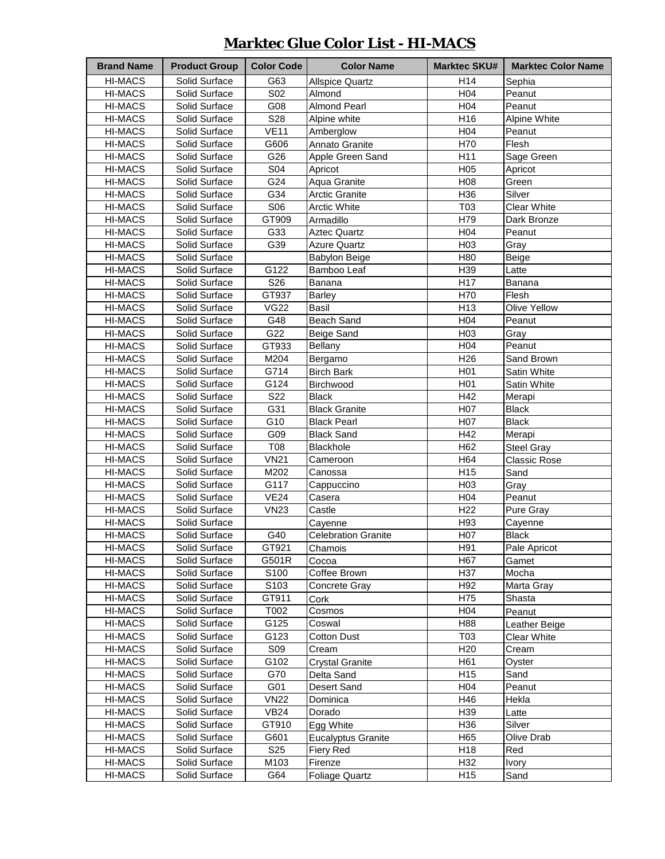### **Marktec Glue Color List - HI-MACS**

| <b>Brand Name</b>  | <b>Product Group</b>           | <b>Color Code</b> | <b>Color Name</b>          | <b>Marktec SKU#</b>    | <b>Marktec Color Name</b> |
|--------------------|--------------------------------|-------------------|----------------------------|------------------------|---------------------------|
| <b>HI-MACS</b>     | Solid Surface                  | G63               | <b>Allspice Quartz</b>     | H <sub>14</sub>        | Sephia                    |
| <b>HI-MACS</b>     | Solid Surface                  | S02               | Almond                     | H <sub>04</sub>        | Peanut                    |
| <b>HI-MACS</b>     | Solid Surface                  | G08               | <b>Almond Pearl</b>        | H <sub>04</sub>        | Peanut                    |
| <b>HI-MACS</b>     | Solid Surface                  | S28               | Alpine white               | H16                    | Alpine White              |
| <b>HI-MACS</b>     | Solid Surface                  | <b>VE11</b>       | Amberglow                  | H <sub>04</sub>        | Peanut                    |
| <b>HI-MACS</b>     | Solid Surface                  | G606              | Annato Granite             | H70                    | Flesh                     |
| <b>HI-MACS</b>     | Solid Surface                  | G26               | Apple Green Sand           | H11                    | Sage Green                |
| <b>HI-MACS</b>     | Solid Surface                  | <b>S04</b>        | Apricot                    | H <sub>05</sub>        | Apricot                   |
| <b>HI-MACS</b>     | Solid Surface                  | G24               | Aqua Granite               | H08                    | Green                     |
|                    |                                | G34               |                            | H36                    | Silver                    |
| <b>HI-MACS</b>     | Solid Surface                  |                   | <b>Arctic Granite</b>      |                        |                           |
| <b>HI-MACS</b>     | Solid Surface                  | S06               | <b>Arctic White</b>        | T03                    | <b>Clear White</b>        |
| <b>HI-MACS</b>     | Solid Surface                  | GT909             | Armadillo                  | H79                    | Dark Bronze               |
| <b>HI-MACS</b>     | Solid Surface                  | G33               | <b>Aztec Quartz</b>        | H04                    | Peanut                    |
| <b>HI-MACS</b>     | Solid Surface                  | G39               | <b>Azure Quartz</b>        | H03                    | Gray                      |
| <b>HI-MACS</b>     | Solid Surface                  |                   | <b>Babylon Beige</b>       | H80                    | Beige                     |
| <b>HI-MACS</b>     | Solid Surface                  | G122              | Bamboo Leaf                | H39                    | Latte                     |
| <b>HI-MACS</b>     | Solid Surface                  | S26               | Banana                     | H17                    | Banana                    |
| <b>HI-MACS</b>     | Solid Surface                  | GT937             | <b>Barley</b>              | H70                    | Flesh                     |
| <b>HI-MACS</b>     | Solid Surface                  | <b>VG22</b>       | Basil                      | H <sub>13</sub>        | Olive Yellow              |
| <b>HI-MACS</b>     | Solid Surface                  | G48               | <b>Beach Sand</b>          | H04                    | Peanut                    |
| <b>HI-MACS</b>     | Solid Surface                  | G22               | Beige Sand                 | H03                    | Gray                      |
| <b>HI-MACS</b>     | Solid Surface                  | GT933             | <b>Bellany</b>             | H <sub>04</sub>        | Peanut                    |
| <b>HI-MACS</b>     | Solid Surface                  | M204              | Bergamo                    | H <sub>26</sub>        | Sand Brown                |
| <b>HI-MACS</b>     | Solid Surface                  | G714              | <b>Birch Bark</b>          | H <sub>01</sub>        | Satin White               |
| <b>HI-MACS</b>     | Solid Surface                  | G124              | Birchwood                  | H <sub>0</sub> 1       | Satin White               |
| <b>HI-MACS</b>     | Solid Surface                  | S22               | <b>Black</b>               | H42                    | Merapi                    |
| <b>HI-MACS</b>     | Solid Surface                  | G31               | <b>Black Granite</b>       | H07                    | <b>Black</b>              |
| <b>HI-MACS</b>     | Solid Surface                  | G10               | <b>Black Pearl</b>         | H07                    | <b>Black</b>              |
| <b>HI-MACS</b>     | Solid Surface                  | G09               | <b>Black Sand</b>          | H42                    | Merapi                    |
| <b>HI-MACS</b>     | Solid Surface                  | <b>T08</b>        | Blackhole                  | H62                    | <b>Steel Gray</b>         |
| <b>HI-MACS</b>     | Solid Surface                  | V <sub>N21</sub>  | Cameroon                   | H64                    | <b>Classic Rose</b>       |
| <b>HI-MACS</b>     | Solid Surface                  | M202              | Canossa                    | H <sub>15</sub>        | Sand                      |
| <b>HI-MACS</b>     | Solid Surface                  | G117              | Cappuccino                 | H03                    | Gray                      |
| <b>HI-MACS</b>     | Solid Surface                  | VE24              | Casera                     | H <sub>04</sub>        | Peanut                    |
| <b>HI-MACS</b>     | Solid Surface                  | <b>VN23</b>       | Castle                     | H <sub>22</sub>        | Pure Gray                 |
| <b>HI-MACS</b>     | Solid Surface                  |                   | Cayenne                    | H93                    | Cayenne                   |
| <b>HI-MACS</b>     | Solid Surface                  | G40               | <b>Celebration Granite</b> | H07                    | <b>Black</b>              |
| HI-MACS            | Solid Surface                  | GT921             | Chamois                    | H91                    | Pale Apricot              |
| <b>HI-MACS</b>     | Solid Surface                  | G501R             | Cocoa                      | H67                    | Gamet                     |
| <b>HI-MACS</b>     | Solid Surface                  | S <sub>100</sub>  | Coffee Brown               | H37                    | Mocha                     |
|                    |                                | S103              |                            |                        |                           |
| HI-MACS<br>HI-MACS | Solid Surface<br>Solid Surface | GT911             | Concrete Gray<br>Cork      | H <sub>92</sub><br>H75 | Marta Gray<br>Shasta      |
| <b>HI-MACS</b>     |                                | T002              |                            | H04                    |                           |
|                    | Solid Surface                  |                   | Cosmos                     |                        | Peanut                    |
| <b>HI-MACS</b>     | Solid Surface                  | G125              | Coswal                     | H88                    | Leather Beige             |
| <b>HI-MACS</b>     | Solid Surface                  | G123              | <b>Cotton Dust</b>         | T03                    | Clear White               |
| <b>HI-MACS</b>     | Solid Surface                  | <b>S09</b>        | Cream                      | H <sub>20</sub>        | Cream                     |
| <b>HI-MACS</b>     | Solid Surface                  | G102              | <b>Crystal Granite</b>     | H61                    | Oyster                    |
| HI-MACS            | Solid Surface                  | G70               | Delta Sand                 | H15                    | Sand                      |
| HI-MACS            | Solid Surface                  | G01               | Desert Sand                | H04                    | Peanut                    |
| HI-MACS            | Solid Surface                  | <b>VN22</b>       | Dominica                   | H46                    | Hekla                     |
| HI-MACS            | Solid Surface                  | <b>VB24</b>       | Dorado                     | H39                    | Latte                     |
| <b>HI-MACS</b>     | Solid Surface                  | GT910             | Egg White                  | H36                    | Silver                    |
| HI-MACS            | Solid Surface                  | G601              | <b>Eucalyptus Granite</b>  | H65                    | Olive Drab                |
| HI-MACS            | Solid Surface                  | S <sub>25</sub>   | Fiery Red                  | H <sub>18</sub>        | Red                       |
| <b>HI-MACS</b>     | Solid Surface                  | M103              | Firenze                    | H32                    | <b>Ivory</b>              |
| <b>HI-MACS</b>     | Solid Surface                  | G64               | <b>Foliage Quartz</b>      | H <sub>15</sub>        | Sand                      |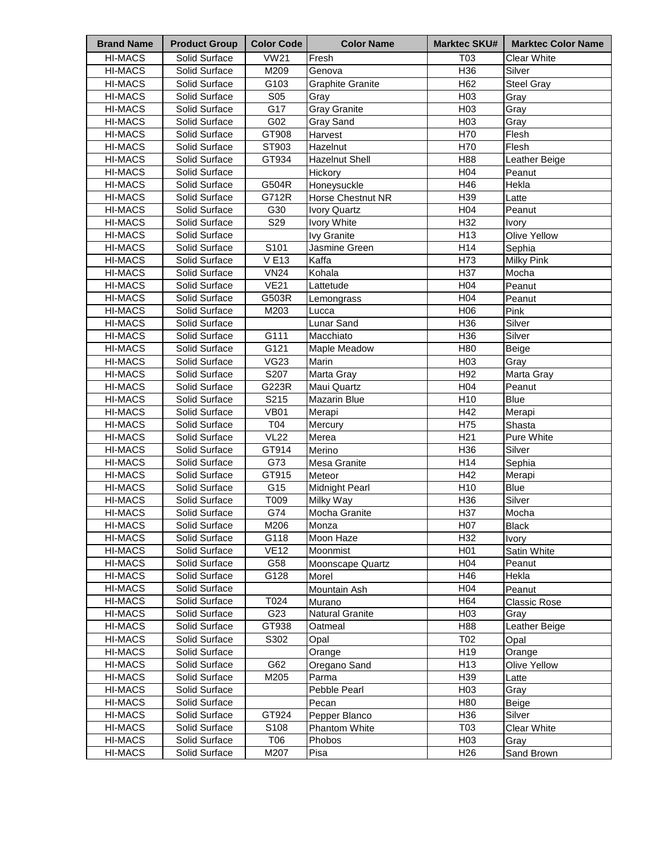| <b>HI-MACS</b><br>Solid Surface<br><b>VW21</b><br>T03<br><b>Clear White</b><br>Fresh<br>H36<br>M209<br>HI-MACS<br>Solid Surface<br>Silver<br>Genova<br>H62<br>G103<br><b>Graphite Granite</b><br>HI-MACS<br>Solid Surface<br><b>Steel Gray</b><br>S <sub>05</sub><br>H <sub>03</sub><br><b>HI-MACS</b><br>Solid Surface<br>Gray<br>Grav<br>G17<br><b>Gray Granite</b><br>H <sub>03</sub><br>HI-MACS<br>Solid Surface<br>Gray<br>G02<br>H03<br>HI-MACS<br>Solid Surface<br>Gray Sand<br>Gray<br>GT908<br>H70<br>Flesh<br>HI-MACS<br>Solid Surface<br>Harvest<br><b>HI-MACS</b><br>ST903<br>H70<br>Flesh<br>Solid Surface<br>Hazelnut<br>H88<br><b>HI-MACS</b><br>Solid Surface<br>GT934<br><b>Hazelnut Shell</b><br>Leather Beige<br><b>HI-MACS</b><br>H <sub>04</sub><br>Solid Surface<br>Hickory<br>Peanut<br>G504R<br>H46<br><b>HI-MACS</b><br>Solid Surface<br>Hekla<br>Honeysuckle<br>G712R<br>H39<br>HI-MACS<br>Solid Surface<br>Horse Chestnut NR<br>Latte<br>HI-MACS<br>Solid Surface<br>G30<br>H <sub>04</sub><br>Ivory Quartz<br>Peanut<br>S29<br>H32<br>HI-MACS<br>Solid Surface<br><b>Ivory White</b><br><b>Ivory</b><br>H13<br>HI-MACS<br>Solid Surface<br>Olive Yellow<br><b>Ivy Granite</b><br>Solid Surface<br>S101<br>H14<br>HI-MACS<br>Jasmine Green<br>Sephia<br><b>VE13</b><br>H73<br>HI-MACS<br>Solid Surface<br>Kaffa<br>Milky Pink<br><b>VN24</b><br>Kohala<br>H37<br>HI-MACS<br>Solid Surface<br>Mocha<br><b>VE21</b><br>HI-MACS<br>Solid Surface<br>H <sub>04</sub><br>Lattetude<br>Peanut<br>H04<br>HI-MACS<br>Solid Surface<br>G503R<br>Lemongrass<br>Peanut<br><b>HI-MACS</b><br>M203<br>H <sub>06</sub><br>Solid Surface<br>Lucca<br>Pink<br>H36<br><b>HI-MACS</b><br>Lunar Sand<br>Solid Surface<br>Silver<br>G111<br>H36<br>HI-MACS<br>Solid Surface<br>Macchiato<br>Silver<br>G121<br>H80<br><b>HI-MACS</b><br>Solid Surface<br>Maple Meadow<br>Beige<br><b>VG23</b><br>H <sub>03</sub><br><b>HI-MACS</b><br>Solid Surface<br>Marin<br>Gray<br>H92<br><b>HI-MACS</b><br>S207<br>Solid Surface<br>Marta Gray<br>Marta Gray<br>G223R<br>H04<br>HI-MACS<br>Solid Surface<br>Maui Quartz<br>Peanut<br><b>HI-MACS</b><br>S215<br>H10<br>Solid Surface<br>Mazarin Blue<br>Blue<br>H42<br>HI-MACS<br>Solid Surface<br><b>VB01</b><br>Merapi<br>Merapi<br>T04<br>H75<br>HI-MACS<br>Solid Surface<br>Mercury<br>Shasta<br><b>VL22</b><br>H <sub>21</sub><br>Pure White<br>HI-MACS<br>Solid Surface<br>Merea<br>GT914<br>H36<br>HI-MACS<br>Solid Surface<br>Silver<br>Merino<br>G73<br>H14<br>HI-MACS<br>Solid Surface<br>Mesa Granite<br>Sephia<br>GT915<br>H42<br>HI-MACS<br>Solid Surface<br>Merapi<br>Meteor<br><b>HI-MACS</b><br>G15<br>H10<br>Solid Surface<br><b>Midnight Pearl</b><br>Blue<br>Silver<br>HI-MACS<br>Solid Surface<br>T009<br>Milky Way<br>H <sub>36</sub><br>H37<br>G74<br>Mocha Granite<br><b>HI-MACS</b><br>Solid Surface<br>Mocha<br>HI-MACS<br>Solid Surface<br>M206<br>Monza<br>H07<br><b>Black</b><br>H32<br>HI-MACS<br>G118<br>Solid Surface<br>Moon Haze<br>Ivory<br><b>VE12</b><br>HI-MACS<br>Solid Surface<br>Moonmist<br>H <sub>0</sub> 1<br>Satin White<br>H04<br><b>HI-MACS</b><br>G58<br>Solid Surface<br>Peanut<br>Moonscape Quartz<br>H46<br>G128<br>HI-MACS<br>Solid Surface<br>Morel<br>Hekla<br>H04<br><b>HI-MACS</b><br>Solid Surface<br>Mountain Ash<br>Peanut<br><b>HI-MACS</b><br>T024<br>H64<br>Solid Surface<br>Classic Rose<br>Murano<br>G23<br><b>HI-MACS</b><br>H03<br>Solid Surface<br><b>Natural Granite</b><br>Gray<br>Leather Beige<br>HI-MACS<br>Solid Surface<br>GT938<br>H88<br>Oatmeal<br>HI-MACS<br>T02<br>Solid Surface<br>S302<br>Opal<br>Opal<br>H19<br>HI-MACS<br>Solid Surface<br>Orange<br>Orange<br>HI-MACS<br>Solid Surface<br>G62<br>H13<br>Oregano Sand<br>Olive Yellow<br>H39<br>HI-MACS<br>Solid Surface<br>M205<br>Parma<br>Latte<br>HI-MACS<br>Pebble Pearl<br>H03<br>Solid Surface<br>Gray<br>HI-MACS<br>Solid Surface<br>H80<br>Pecan<br>Beige<br>HI-MACS<br>H36<br>Solid Surface<br>GT924<br>Silver<br>Pepper Blanco<br>T03<br>HI-MACS<br>Solid Surface<br>S <sub>108</sub><br>Phantom White<br><b>Clear White</b><br>T06<br>H03<br>HI-MACS<br>Solid Surface<br>Phobos<br>Gray<br><b>HI-MACS</b><br>H <sub>26</sub><br>Solid Surface<br>M207<br>Pisa<br>Sand Brown | <b>Brand Name</b> | <b>Product Group</b> | <b>Color Code</b> | <b>Color Name</b> | <b>Marktec SKU#</b> | <b>Marktec Color Name</b> |
|----------------------------------------------------------------------------------------------------------------------------------------------------------------------------------------------------------------------------------------------------------------------------------------------------------------------------------------------------------------------------------------------------------------------------------------------------------------------------------------------------------------------------------------------------------------------------------------------------------------------------------------------------------------------------------------------------------------------------------------------------------------------------------------------------------------------------------------------------------------------------------------------------------------------------------------------------------------------------------------------------------------------------------------------------------------------------------------------------------------------------------------------------------------------------------------------------------------------------------------------------------------------------------------------------------------------------------------------------------------------------------------------------------------------------------------------------------------------------------------------------------------------------------------------------------------------------------------------------------------------------------------------------------------------------------------------------------------------------------------------------------------------------------------------------------------------------------------------------------------------------------------------------------------------------------------------------------------------------------------------------------------------------------------------------------------------------------------------------------------------------------------------------------------------------------------------------------------------------------------------------------------------------------------------------------------------------------------------------------------------------------------------------------------------------------------------------------------------------------------------------------------------------------------------------------------------------------------------------------------------------------------------------------------------------------------------------------------------------------------------------------------------------------------------------------------------------------------------------------------------------------------------------------------------------------------------------------------------------------------------------------------------------------------------------------------------------------------------------------------------------------------------------------------------------------------------------------------------------------------------------------------------------------------------------------------------------------------------------------------------------------------------------------------------------------------------------------------------------------------------------------------------------------------------------------------------------------------------------------------------------------------------------------------------------------------------------------------------------------------------------------------------------------------------------------------------------------------------------------------------------------------------------------------------------------------------------------------------------------------------------------------------------------------------------------------------------------------------------------------------------------------------------------------------------------------------------------------------------------------------------------------------|-------------------|----------------------|-------------------|-------------------|---------------------|---------------------------|
|                                                                                                                                                                                                                                                                                                                                                                                                                                                                                                                                                                                                                                                                                                                                                                                                                                                                                                                                                                                                                                                                                                                                                                                                                                                                                                                                                                                                                                                                                                                                                                                                                                                                                                                                                                                                                                                                                                                                                                                                                                                                                                                                                                                                                                                                                                                                                                                                                                                                                                                                                                                                                                                                                                                                                                                                                                                                                                                                                                                                                                                                                                                                                                                                                                                                                                                                                                                                                                                                                                                                                                                                                                                                                                                                                                                                                                                                                                                                                                                                                                                                                                                                                                                                                                                                      |                   |                      |                   |                   |                     |                           |
|                                                                                                                                                                                                                                                                                                                                                                                                                                                                                                                                                                                                                                                                                                                                                                                                                                                                                                                                                                                                                                                                                                                                                                                                                                                                                                                                                                                                                                                                                                                                                                                                                                                                                                                                                                                                                                                                                                                                                                                                                                                                                                                                                                                                                                                                                                                                                                                                                                                                                                                                                                                                                                                                                                                                                                                                                                                                                                                                                                                                                                                                                                                                                                                                                                                                                                                                                                                                                                                                                                                                                                                                                                                                                                                                                                                                                                                                                                                                                                                                                                                                                                                                                                                                                                                                      |                   |                      |                   |                   |                     |                           |
|                                                                                                                                                                                                                                                                                                                                                                                                                                                                                                                                                                                                                                                                                                                                                                                                                                                                                                                                                                                                                                                                                                                                                                                                                                                                                                                                                                                                                                                                                                                                                                                                                                                                                                                                                                                                                                                                                                                                                                                                                                                                                                                                                                                                                                                                                                                                                                                                                                                                                                                                                                                                                                                                                                                                                                                                                                                                                                                                                                                                                                                                                                                                                                                                                                                                                                                                                                                                                                                                                                                                                                                                                                                                                                                                                                                                                                                                                                                                                                                                                                                                                                                                                                                                                                                                      |                   |                      |                   |                   |                     |                           |
|                                                                                                                                                                                                                                                                                                                                                                                                                                                                                                                                                                                                                                                                                                                                                                                                                                                                                                                                                                                                                                                                                                                                                                                                                                                                                                                                                                                                                                                                                                                                                                                                                                                                                                                                                                                                                                                                                                                                                                                                                                                                                                                                                                                                                                                                                                                                                                                                                                                                                                                                                                                                                                                                                                                                                                                                                                                                                                                                                                                                                                                                                                                                                                                                                                                                                                                                                                                                                                                                                                                                                                                                                                                                                                                                                                                                                                                                                                                                                                                                                                                                                                                                                                                                                                                                      |                   |                      |                   |                   |                     |                           |
|                                                                                                                                                                                                                                                                                                                                                                                                                                                                                                                                                                                                                                                                                                                                                                                                                                                                                                                                                                                                                                                                                                                                                                                                                                                                                                                                                                                                                                                                                                                                                                                                                                                                                                                                                                                                                                                                                                                                                                                                                                                                                                                                                                                                                                                                                                                                                                                                                                                                                                                                                                                                                                                                                                                                                                                                                                                                                                                                                                                                                                                                                                                                                                                                                                                                                                                                                                                                                                                                                                                                                                                                                                                                                                                                                                                                                                                                                                                                                                                                                                                                                                                                                                                                                                                                      |                   |                      |                   |                   |                     |                           |
|                                                                                                                                                                                                                                                                                                                                                                                                                                                                                                                                                                                                                                                                                                                                                                                                                                                                                                                                                                                                                                                                                                                                                                                                                                                                                                                                                                                                                                                                                                                                                                                                                                                                                                                                                                                                                                                                                                                                                                                                                                                                                                                                                                                                                                                                                                                                                                                                                                                                                                                                                                                                                                                                                                                                                                                                                                                                                                                                                                                                                                                                                                                                                                                                                                                                                                                                                                                                                                                                                                                                                                                                                                                                                                                                                                                                                                                                                                                                                                                                                                                                                                                                                                                                                                                                      |                   |                      |                   |                   |                     |                           |
|                                                                                                                                                                                                                                                                                                                                                                                                                                                                                                                                                                                                                                                                                                                                                                                                                                                                                                                                                                                                                                                                                                                                                                                                                                                                                                                                                                                                                                                                                                                                                                                                                                                                                                                                                                                                                                                                                                                                                                                                                                                                                                                                                                                                                                                                                                                                                                                                                                                                                                                                                                                                                                                                                                                                                                                                                                                                                                                                                                                                                                                                                                                                                                                                                                                                                                                                                                                                                                                                                                                                                                                                                                                                                                                                                                                                                                                                                                                                                                                                                                                                                                                                                                                                                                                                      |                   |                      |                   |                   |                     |                           |
|                                                                                                                                                                                                                                                                                                                                                                                                                                                                                                                                                                                                                                                                                                                                                                                                                                                                                                                                                                                                                                                                                                                                                                                                                                                                                                                                                                                                                                                                                                                                                                                                                                                                                                                                                                                                                                                                                                                                                                                                                                                                                                                                                                                                                                                                                                                                                                                                                                                                                                                                                                                                                                                                                                                                                                                                                                                                                                                                                                                                                                                                                                                                                                                                                                                                                                                                                                                                                                                                                                                                                                                                                                                                                                                                                                                                                                                                                                                                                                                                                                                                                                                                                                                                                                                                      |                   |                      |                   |                   |                     |                           |
|                                                                                                                                                                                                                                                                                                                                                                                                                                                                                                                                                                                                                                                                                                                                                                                                                                                                                                                                                                                                                                                                                                                                                                                                                                                                                                                                                                                                                                                                                                                                                                                                                                                                                                                                                                                                                                                                                                                                                                                                                                                                                                                                                                                                                                                                                                                                                                                                                                                                                                                                                                                                                                                                                                                                                                                                                                                                                                                                                                                                                                                                                                                                                                                                                                                                                                                                                                                                                                                                                                                                                                                                                                                                                                                                                                                                                                                                                                                                                                                                                                                                                                                                                                                                                                                                      |                   |                      |                   |                   |                     |                           |
|                                                                                                                                                                                                                                                                                                                                                                                                                                                                                                                                                                                                                                                                                                                                                                                                                                                                                                                                                                                                                                                                                                                                                                                                                                                                                                                                                                                                                                                                                                                                                                                                                                                                                                                                                                                                                                                                                                                                                                                                                                                                                                                                                                                                                                                                                                                                                                                                                                                                                                                                                                                                                                                                                                                                                                                                                                                                                                                                                                                                                                                                                                                                                                                                                                                                                                                                                                                                                                                                                                                                                                                                                                                                                                                                                                                                                                                                                                                                                                                                                                                                                                                                                                                                                                                                      |                   |                      |                   |                   |                     |                           |
|                                                                                                                                                                                                                                                                                                                                                                                                                                                                                                                                                                                                                                                                                                                                                                                                                                                                                                                                                                                                                                                                                                                                                                                                                                                                                                                                                                                                                                                                                                                                                                                                                                                                                                                                                                                                                                                                                                                                                                                                                                                                                                                                                                                                                                                                                                                                                                                                                                                                                                                                                                                                                                                                                                                                                                                                                                                                                                                                                                                                                                                                                                                                                                                                                                                                                                                                                                                                                                                                                                                                                                                                                                                                                                                                                                                                                                                                                                                                                                                                                                                                                                                                                                                                                                                                      |                   |                      |                   |                   |                     |                           |
|                                                                                                                                                                                                                                                                                                                                                                                                                                                                                                                                                                                                                                                                                                                                                                                                                                                                                                                                                                                                                                                                                                                                                                                                                                                                                                                                                                                                                                                                                                                                                                                                                                                                                                                                                                                                                                                                                                                                                                                                                                                                                                                                                                                                                                                                                                                                                                                                                                                                                                                                                                                                                                                                                                                                                                                                                                                                                                                                                                                                                                                                                                                                                                                                                                                                                                                                                                                                                                                                                                                                                                                                                                                                                                                                                                                                                                                                                                                                                                                                                                                                                                                                                                                                                                                                      |                   |                      |                   |                   |                     |                           |
|                                                                                                                                                                                                                                                                                                                                                                                                                                                                                                                                                                                                                                                                                                                                                                                                                                                                                                                                                                                                                                                                                                                                                                                                                                                                                                                                                                                                                                                                                                                                                                                                                                                                                                                                                                                                                                                                                                                                                                                                                                                                                                                                                                                                                                                                                                                                                                                                                                                                                                                                                                                                                                                                                                                                                                                                                                                                                                                                                                                                                                                                                                                                                                                                                                                                                                                                                                                                                                                                                                                                                                                                                                                                                                                                                                                                                                                                                                                                                                                                                                                                                                                                                                                                                                                                      |                   |                      |                   |                   |                     |                           |
|                                                                                                                                                                                                                                                                                                                                                                                                                                                                                                                                                                                                                                                                                                                                                                                                                                                                                                                                                                                                                                                                                                                                                                                                                                                                                                                                                                                                                                                                                                                                                                                                                                                                                                                                                                                                                                                                                                                                                                                                                                                                                                                                                                                                                                                                                                                                                                                                                                                                                                                                                                                                                                                                                                                                                                                                                                                                                                                                                                                                                                                                                                                                                                                                                                                                                                                                                                                                                                                                                                                                                                                                                                                                                                                                                                                                                                                                                                                                                                                                                                                                                                                                                                                                                                                                      |                   |                      |                   |                   |                     |                           |
|                                                                                                                                                                                                                                                                                                                                                                                                                                                                                                                                                                                                                                                                                                                                                                                                                                                                                                                                                                                                                                                                                                                                                                                                                                                                                                                                                                                                                                                                                                                                                                                                                                                                                                                                                                                                                                                                                                                                                                                                                                                                                                                                                                                                                                                                                                                                                                                                                                                                                                                                                                                                                                                                                                                                                                                                                                                                                                                                                                                                                                                                                                                                                                                                                                                                                                                                                                                                                                                                                                                                                                                                                                                                                                                                                                                                                                                                                                                                                                                                                                                                                                                                                                                                                                                                      |                   |                      |                   |                   |                     |                           |
|                                                                                                                                                                                                                                                                                                                                                                                                                                                                                                                                                                                                                                                                                                                                                                                                                                                                                                                                                                                                                                                                                                                                                                                                                                                                                                                                                                                                                                                                                                                                                                                                                                                                                                                                                                                                                                                                                                                                                                                                                                                                                                                                                                                                                                                                                                                                                                                                                                                                                                                                                                                                                                                                                                                                                                                                                                                                                                                                                                                                                                                                                                                                                                                                                                                                                                                                                                                                                                                                                                                                                                                                                                                                                                                                                                                                                                                                                                                                                                                                                                                                                                                                                                                                                                                                      |                   |                      |                   |                   |                     |                           |
|                                                                                                                                                                                                                                                                                                                                                                                                                                                                                                                                                                                                                                                                                                                                                                                                                                                                                                                                                                                                                                                                                                                                                                                                                                                                                                                                                                                                                                                                                                                                                                                                                                                                                                                                                                                                                                                                                                                                                                                                                                                                                                                                                                                                                                                                                                                                                                                                                                                                                                                                                                                                                                                                                                                                                                                                                                                                                                                                                                                                                                                                                                                                                                                                                                                                                                                                                                                                                                                                                                                                                                                                                                                                                                                                                                                                                                                                                                                                                                                                                                                                                                                                                                                                                                                                      |                   |                      |                   |                   |                     |                           |
|                                                                                                                                                                                                                                                                                                                                                                                                                                                                                                                                                                                                                                                                                                                                                                                                                                                                                                                                                                                                                                                                                                                                                                                                                                                                                                                                                                                                                                                                                                                                                                                                                                                                                                                                                                                                                                                                                                                                                                                                                                                                                                                                                                                                                                                                                                                                                                                                                                                                                                                                                                                                                                                                                                                                                                                                                                                                                                                                                                                                                                                                                                                                                                                                                                                                                                                                                                                                                                                                                                                                                                                                                                                                                                                                                                                                                                                                                                                                                                                                                                                                                                                                                                                                                                                                      |                   |                      |                   |                   |                     |                           |
|                                                                                                                                                                                                                                                                                                                                                                                                                                                                                                                                                                                                                                                                                                                                                                                                                                                                                                                                                                                                                                                                                                                                                                                                                                                                                                                                                                                                                                                                                                                                                                                                                                                                                                                                                                                                                                                                                                                                                                                                                                                                                                                                                                                                                                                                                                                                                                                                                                                                                                                                                                                                                                                                                                                                                                                                                                                                                                                                                                                                                                                                                                                                                                                                                                                                                                                                                                                                                                                                                                                                                                                                                                                                                                                                                                                                                                                                                                                                                                                                                                                                                                                                                                                                                                                                      |                   |                      |                   |                   |                     |                           |
|                                                                                                                                                                                                                                                                                                                                                                                                                                                                                                                                                                                                                                                                                                                                                                                                                                                                                                                                                                                                                                                                                                                                                                                                                                                                                                                                                                                                                                                                                                                                                                                                                                                                                                                                                                                                                                                                                                                                                                                                                                                                                                                                                                                                                                                                                                                                                                                                                                                                                                                                                                                                                                                                                                                                                                                                                                                                                                                                                                                                                                                                                                                                                                                                                                                                                                                                                                                                                                                                                                                                                                                                                                                                                                                                                                                                                                                                                                                                                                                                                                                                                                                                                                                                                                                                      |                   |                      |                   |                   |                     |                           |
|                                                                                                                                                                                                                                                                                                                                                                                                                                                                                                                                                                                                                                                                                                                                                                                                                                                                                                                                                                                                                                                                                                                                                                                                                                                                                                                                                                                                                                                                                                                                                                                                                                                                                                                                                                                                                                                                                                                                                                                                                                                                                                                                                                                                                                                                                                                                                                                                                                                                                                                                                                                                                                                                                                                                                                                                                                                                                                                                                                                                                                                                                                                                                                                                                                                                                                                                                                                                                                                                                                                                                                                                                                                                                                                                                                                                                                                                                                                                                                                                                                                                                                                                                                                                                                                                      |                   |                      |                   |                   |                     |                           |
|                                                                                                                                                                                                                                                                                                                                                                                                                                                                                                                                                                                                                                                                                                                                                                                                                                                                                                                                                                                                                                                                                                                                                                                                                                                                                                                                                                                                                                                                                                                                                                                                                                                                                                                                                                                                                                                                                                                                                                                                                                                                                                                                                                                                                                                                                                                                                                                                                                                                                                                                                                                                                                                                                                                                                                                                                                                                                                                                                                                                                                                                                                                                                                                                                                                                                                                                                                                                                                                                                                                                                                                                                                                                                                                                                                                                                                                                                                                                                                                                                                                                                                                                                                                                                                                                      |                   |                      |                   |                   |                     |                           |
|                                                                                                                                                                                                                                                                                                                                                                                                                                                                                                                                                                                                                                                                                                                                                                                                                                                                                                                                                                                                                                                                                                                                                                                                                                                                                                                                                                                                                                                                                                                                                                                                                                                                                                                                                                                                                                                                                                                                                                                                                                                                                                                                                                                                                                                                                                                                                                                                                                                                                                                                                                                                                                                                                                                                                                                                                                                                                                                                                                                                                                                                                                                                                                                                                                                                                                                                                                                                                                                                                                                                                                                                                                                                                                                                                                                                                                                                                                                                                                                                                                                                                                                                                                                                                                                                      |                   |                      |                   |                   |                     |                           |
|                                                                                                                                                                                                                                                                                                                                                                                                                                                                                                                                                                                                                                                                                                                                                                                                                                                                                                                                                                                                                                                                                                                                                                                                                                                                                                                                                                                                                                                                                                                                                                                                                                                                                                                                                                                                                                                                                                                                                                                                                                                                                                                                                                                                                                                                                                                                                                                                                                                                                                                                                                                                                                                                                                                                                                                                                                                                                                                                                                                                                                                                                                                                                                                                                                                                                                                                                                                                                                                                                                                                                                                                                                                                                                                                                                                                                                                                                                                                                                                                                                                                                                                                                                                                                                                                      |                   |                      |                   |                   |                     |                           |
|                                                                                                                                                                                                                                                                                                                                                                                                                                                                                                                                                                                                                                                                                                                                                                                                                                                                                                                                                                                                                                                                                                                                                                                                                                                                                                                                                                                                                                                                                                                                                                                                                                                                                                                                                                                                                                                                                                                                                                                                                                                                                                                                                                                                                                                                                                                                                                                                                                                                                                                                                                                                                                                                                                                                                                                                                                                                                                                                                                                                                                                                                                                                                                                                                                                                                                                                                                                                                                                                                                                                                                                                                                                                                                                                                                                                                                                                                                                                                                                                                                                                                                                                                                                                                                                                      |                   |                      |                   |                   |                     |                           |
|                                                                                                                                                                                                                                                                                                                                                                                                                                                                                                                                                                                                                                                                                                                                                                                                                                                                                                                                                                                                                                                                                                                                                                                                                                                                                                                                                                                                                                                                                                                                                                                                                                                                                                                                                                                                                                                                                                                                                                                                                                                                                                                                                                                                                                                                                                                                                                                                                                                                                                                                                                                                                                                                                                                                                                                                                                                                                                                                                                                                                                                                                                                                                                                                                                                                                                                                                                                                                                                                                                                                                                                                                                                                                                                                                                                                                                                                                                                                                                                                                                                                                                                                                                                                                                                                      |                   |                      |                   |                   |                     |                           |
|                                                                                                                                                                                                                                                                                                                                                                                                                                                                                                                                                                                                                                                                                                                                                                                                                                                                                                                                                                                                                                                                                                                                                                                                                                                                                                                                                                                                                                                                                                                                                                                                                                                                                                                                                                                                                                                                                                                                                                                                                                                                                                                                                                                                                                                                                                                                                                                                                                                                                                                                                                                                                                                                                                                                                                                                                                                                                                                                                                                                                                                                                                                                                                                                                                                                                                                                                                                                                                                                                                                                                                                                                                                                                                                                                                                                                                                                                                                                                                                                                                                                                                                                                                                                                                                                      |                   |                      |                   |                   |                     |                           |
|                                                                                                                                                                                                                                                                                                                                                                                                                                                                                                                                                                                                                                                                                                                                                                                                                                                                                                                                                                                                                                                                                                                                                                                                                                                                                                                                                                                                                                                                                                                                                                                                                                                                                                                                                                                                                                                                                                                                                                                                                                                                                                                                                                                                                                                                                                                                                                                                                                                                                                                                                                                                                                                                                                                                                                                                                                                                                                                                                                                                                                                                                                                                                                                                                                                                                                                                                                                                                                                                                                                                                                                                                                                                                                                                                                                                                                                                                                                                                                                                                                                                                                                                                                                                                                                                      |                   |                      |                   |                   |                     |                           |
|                                                                                                                                                                                                                                                                                                                                                                                                                                                                                                                                                                                                                                                                                                                                                                                                                                                                                                                                                                                                                                                                                                                                                                                                                                                                                                                                                                                                                                                                                                                                                                                                                                                                                                                                                                                                                                                                                                                                                                                                                                                                                                                                                                                                                                                                                                                                                                                                                                                                                                                                                                                                                                                                                                                                                                                                                                                                                                                                                                                                                                                                                                                                                                                                                                                                                                                                                                                                                                                                                                                                                                                                                                                                                                                                                                                                                                                                                                                                                                                                                                                                                                                                                                                                                                                                      |                   |                      |                   |                   |                     |                           |
|                                                                                                                                                                                                                                                                                                                                                                                                                                                                                                                                                                                                                                                                                                                                                                                                                                                                                                                                                                                                                                                                                                                                                                                                                                                                                                                                                                                                                                                                                                                                                                                                                                                                                                                                                                                                                                                                                                                                                                                                                                                                                                                                                                                                                                                                                                                                                                                                                                                                                                                                                                                                                                                                                                                                                                                                                                                                                                                                                                                                                                                                                                                                                                                                                                                                                                                                                                                                                                                                                                                                                                                                                                                                                                                                                                                                                                                                                                                                                                                                                                                                                                                                                                                                                                                                      |                   |                      |                   |                   |                     |                           |
|                                                                                                                                                                                                                                                                                                                                                                                                                                                                                                                                                                                                                                                                                                                                                                                                                                                                                                                                                                                                                                                                                                                                                                                                                                                                                                                                                                                                                                                                                                                                                                                                                                                                                                                                                                                                                                                                                                                                                                                                                                                                                                                                                                                                                                                                                                                                                                                                                                                                                                                                                                                                                                                                                                                                                                                                                                                                                                                                                                                                                                                                                                                                                                                                                                                                                                                                                                                                                                                                                                                                                                                                                                                                                                                                                                                                                                                                                                                                                                                                                                                                                                                                                                                                                                                                      |                   |                      |                   |                   |                     |                           |
|                                                                                                                                                                                                                                                                                                                                                                                                                                                                                                                                                                                                                                                                                                                                                                                                                                                                                                                                                                                                                                                                                                                                                                                                                                                                                                                                                                                                                                                                                                                                                                                                                                                                                                                                                                                                                                                                                                                                                                                                                                                                                                                                                                                                                                                                                                                                                                                                                                                                                                                                                                                                                                                                                                                                                                                                                                                                                                                                                                                                                                                                                                                                                                                                                                                                                                                                                                                                                                                                                                                                                                                                                                                                                                                                                                                                                                                                                                                                                                                                                                                                                                                                                                                                                                                                      |                   |                      |                   |                   |                     |                           |
|                                                                                                                                                                                                                                                                                                                                                                                                                                                                                                                                                                                                                                                                                                                                                                                                                                                                                                                                                                                                                                                                                                                                                                                                                                                                                                                                                                                                                                                                                                                                                                                                                                                                                                                                                                                                                                                                                                                                                                                                                                                                                                                                                                                                                                                                                                                                                                                                                                                                                                                                                                                                                                                                                                                                                                                                                                                                                                                                                                                                                                                                                                                                                                                                                                                                                                                                                                                                                                                                                                                                                                                                                                                                                                                                                                                                                                                                                                                                                                                                                                                                                                                                                                                                                                                                      |                   |                      |                   |                   |                     |                           |
|                                                                                                                                                                                                                                                                                                                                                                                                                                                                                                                                                                                                                                                                                                                                                                                                                                                                                                                                                                                                                                                                                                                                                                                                                                                                                                                                                                                                                                                                                                                                                                                                                                                                                                                                                                                                                                                                                                                                                                                                                                                                                                                                                                                                                                                                                                                                                                                                                                                                                                                                                                                                                                                                                                                                                                                                                                                                                                                                                                                                                                                                                                                                                                                                                                                                                                                                                                                                                                                                                                                                                                                                                                                                                                                                                                                                                                                                                                                                                                                                                                                                                                                                                                                                                                                                      |                   |                      |                   |                   |                     |                           |
|                                                                                                                                                                                                                                                                                                                                                                                                                                                                                                                                                                                                                                                                                                                                                                                                                                                                                                                                                                                                                                                                                                                                                                                                                                                                                                                                                                                                                                                                                                                                                                                                                                                                                                                                                                                                                                                                                                                                                                                                                                                                                                                                                                                                                                                                                                                                                                                                                                                                                                                                                                                                                                                                                                                                                                                                                                                                                                                                                                                                                                                                                                                                                                                                                                                                                                                                                                                                                                                                                                                                                                                                                                                                                                                                                                                                                                                                                                                                                                                                                                                                                                                                                                                                                                                                      |                   |                      |                   |                   |                     |                           |
|                                                                                                                                                                                                                                                                                                                                                                                                                                                                                                                                                                                                                                                                                                                                                                                                                                                                                                                                                                                                                                                                                                                                                                                                                                                                                                                                                                                                                                                                                                                                                                                                                                                                                                                                                                                                                                                                                                                                                                                                                                                                                                                                                                                                                                                                                                                                                                                                                                                                                                                                                                                                                                                                                                                                                                                                                                                                                                                                                                                                                                                                                                                                                                                                                                                                                                                                                                                                                                                                                                                                                                                                                                                                                                                                                                                                                                                                                                                                                                                                                                                                                                                                                                                                                                                                      |                   |                      |                   |                   |                     |                           |
|                                                                                                                                                                                                                                                                                                                                                                                                                                                                                                                                                                                                                                                                                                                                                                                                                                                                                                                                                                                                                                                                                                                                                                                                                                                                                                                                                                                                                                                                                                                                                                                                                                                                                                                                                                                                                                                                                                                                                                                                                                                                                                                                                                                                                                                                                                                                                                                                                                                                                                                                                                                                                                                                                                                                                                                                                                                                                                                                                                                                                                                                                                                                                                                                                                                                                                                                                                                                                                                                                                                                                                                                                                                                                                                                                                                                                                                                                                                                                                                                                                                                                                                                                                                                                                                                      |                   |                      |                   |                   |                     |                           |
|                                                                                                                                                                                                                                                                                                                                                                                                                                                                                                                                                                                                                                                                                                                                                                                                                                                                                                                                                                                                                                                                                                                                                                                                                                                                                                                                                                                                                                                                                                                                                                                                                                                                                                                                                                                                                                                                                                                                                                                                                                                                                                                                                                                                                                                                                                                                                                                                                                                                                                                                                                                                                                                                                                                                                                                                                                                                                                                                                                                                                                                                                                                                                                                                                                                                                                                                                                                                                                                                                                                                                                                                                                                                                                                                                                                                                                                                                                                                                                                                                                                                                                                                                                                                                                                                      |                   |                      |                   |                   |                     |                           |
|                                                                                                                                                                                                                                                                                                                                                                                                                                                                                                                                                                                                                                                                                                                                                                                                                                                                                                                                                                                                                                                                                                                                                                                                                                                                                                                                                                                                                                                                                                                                                                                                                                                                                                                                                                                                                                                                                                                                                                                                                                                                                                                                                                                                                                                                                                                                                                                                                                                                                                                                                                                                                                                                                                                                                                                                                                                                                                                                                                                                                                                                                                                                                                                                                                                                                                                                                                                                                                                                                                                                                                                                                                                                                                                                                                                                                                                                                                                                                                                                                                                                                                                                                                                                                                                                      |                   |                      |                   |                   |                     |                           |
|                                                                                                                                                                                                                                                                                                                                                                                                                                                                                                                                                                                                                                                                                                                                                                                                                                                                                                                                                                                                                                                                                                                                                                                                                                                                                                                                                                                                                                                                                                                                                                                                                                                                                                                                                                                                                                                                                                                                                                                                                                                                                                                                                                                                                                                                                                                                                                                                                                                                                                                                                                                                                                                                                                                                                                                                                                                                                                                                                                                                                                                                                                                                                                                                                                                                                                                                                                                                                                                                                                                                                                                                                                                                                                                                                                                                                                                                                                                                                                                                                                                                                                                                                                                                                                                                      |                   |                      |                   |                   |                     |                           |
|                                                                                                                                                                                                                                                                                                                                                                                                                                                                                                                                                                                                                                                                                                                                                                                                                                                                                                                                                                                                                                                                                                                                                                                                                                                                                                                                                                                                                                                                                                                                                                                                                                                                                                                                                                                                                                                                                                                                                                                                                                                                                                                                                                                                                                                                                                                                                                                                                                                                                                                                                                                                                                                                                                                                                                                                                                                                                                                                                                                                                                                                                                                                                                                                                                                                                                                                                                                                                                                                                                                                                                                                                                                                                                                                                                                                                                                                                                                                                                                                                                                                                                                                                                                                                                                                      |                   |                      |                   |                   |                     |                           |
|                                                                                                                                                                                                                                                                                                                                                                                                                                                                                                                                                                                                                                                                                                                                                                                                                                                                                                                                                                                                                                                                                                                                                                                                                                                                                                                                                                                                                                                                                                                                                                                                                                                                                                                                                                                                                                                                                                                                                                                                                                                                                                                                                                                                                                                                                                                                                                                                                                                                                                                                                                                                                                                                                                                                                                                                                                                                                                                                                                                                                                                                                                                                                                                                                                                                                                                                                                                                                                                                                                                                                                                                                                                                                                                                                                                                                                                                                                                                                                                                                                                                                                                                                                                                                                                                      |                   |                      |                   |                   |                     |                           |
|                                                                                                                                                                                                                                                                                                                                                                                                                                                                                                                                                                                                                                                                                                                                                                                                                                                                                                                                                                                                                                                                                                                                                                                                                                                                                                                                                                                                                                                                                                                                                                                                                                                                                                                                                                                                                                                                                                                                                                                                                                                                                                                                                                                                                                                                                                                                                                                                                                                                                                                                                                                                                                                                                                                                                                                                                                                                                                                                                                                                                                                                                                                                                                                                                                                                                                                                                                                                                                                                                                                                                                                                                                                                                                                                                                                                                                                                                                                                                                                                                                                                                                                                                                                                                                                                      |                   |                      |                   |                   |                     |                           |
|                                                                                                                                                                                                                                                                                                                                                                                                                                                                                                                                                                                                                                                                                                                                                                                                                                                                                                                                                                                                                                                                                                                                                                                                                                                                                                                                                                                                                                                                                                                                                                                                                                                                                                                                                                                                                                                                                                                                                                                                                                                                                                                                                                                                                                                                                                                                                                                                                                                                                                                                                                                                                                                                                                                                                                                                                                                                                                                                                                                                                                                                                                                                                                                                                                                                                                                                                                                                                                                                                                                                                                                                                                                                                                                                                                                                                                                                                                                                                                                                                                                                                                                                                                                                                                                                      |                   |                      |                   |                   |                     |                           |
|                                                                                                                                                                                                                                                                                                                                                                                                                                                                                                                                                                                                                                                                                                                                                                                                                                                                                                                                                                                                                                                                                                                                                                                                                                                                                                                                                                                                                                                                                                                                                                                                                                                                                                                                                                                                                                                                                                                                                                                                                                                                                                                                                                                                                                                                                                                                                                                                                                                                                                                                                                                                                                                                                                                                                                                                                                                                                                                                                                                                                                                                                                                                                                                                                                                                                                                                                                                                                                                                                                                                                                                                                                                                                                                                                                                                                                                                                                                                                                                                                                                                                                                                                                                                                                                                      |                   |                      |                   |                   |                     |                           |
|                                                                                                                                                                                                                                                                                                                                                                                                                                                                                                                                                                                                                                                                                                                                                                                                                                                                                                                                                                                                                                                                                                                                                                                                                                                                                                                                                                                                                                                                                                                                                                                                                                                                                                                                                                                                                                                                                                                                                                                                                                                                                                                                                                                                                                                                                                                                                                                                                                                                                                                                                                                                                                                                                                                                                                                                                                                                                                                                                                                                                                                                                                                                                                                                                                                                                                                                                                                                                                                                                                                                                                                                                                                                                                                                                                                                                                                                                                                                                                                                                                                                                                                                                                                                                                                                      |                   |                      |                   |                   |                     |                           |
|                                                                                                                                                                                                                                                                                                                                                                                                                                                                                                                                                                                                                                                                                                                                                                                                                                                                                                                                                                                                                                                                                                                                                                                                                                                                                                                                                                                                                                                                                                                                                                                                                                                                                                                                                                                                                                                                                                                                                                                                                                                                                                                                                                                                                                                                                                                                                                                                                                                                                                                                                                                                                                                                                                                                                                                                                                                                                                                                                                                                                                                                                                                                                                                                                                                                                                                                                                                                                                                                                                                                                                                                                                                                                                                                                                                                                                                                                                                                                                                                                                                                                                                                                                                                                                                                      |                   |                      |                   |                   |                     |                           |
|                                                                                                                                                                                                                                                                                                                                                                                                                                                                                                                                                                                                                                                                                                                                                                                                                                                                                                                                                                                                                                                                                                                                                                                                                                                                                                                                                                                                                                                                                                                                                                                                                                                                                                                                                                                                                                                                                                                                                                                                                                                                                                                                                                                                                                                                                                                                                                                                                                                                                                                                                                                                                                                                                                                                                                                                                                                                                                                                                                                                                                                                                                                                                                                                                                                                                                                                                                                                                                                                                                                                                                                                                                                                                                                                                                                                                                                                                                                                                                                                                                                                                                                                                                                                                                                                      |                   |                      |                   |                   |                     |                           |
|                                                                                                                                                                                                                                                                                                                                                                                                                                                                                                                                                                                                                                                                                                                                                                                                                                                                                                                                                                                                                                                                                                                                                                                                                                                                                                                                                                                                                                                                                                                                                                                                                                                                                                                                                                                                                                                                                                                                                                                                                                                                                                                                                                                                                                                                                                                                                                                                                                                                                                                                                                                                                                                                                                                                                                                                                                                                                                                                                                                                                                                                                                                                                                                                                                                                                                                                                                                                                                                                                                                                                                                                                                                                                                                                                                                                                                                                                                                                                                                                                                                                                                                                                                                                                                                                      |                   |                      |                   |                   |                     |                           |
|                                                                                                                                                                                                                                                                                                                                                                                                                                                                                                                                                                                                                                                                                                                                                                                                                                                                                                                                                                                                                                                                                                                                                                                                                                                                                                                                                                                                                                                                                                                                                                                                                                                                                                                                                                                                                                                                                                                                                                                                                                                                                                                                                                                                                                                                                                                                                                                                                                                                                                                                                                                                                                                                                                                                                                                                                                                                                                                                                                                                                                                                                                                                                                                                                                                                                                                                                                                                                                                                                                                                                                                                                                                                                                                                                                                                                                                                                                                                                                                                                                                                                                                                                                                                                                                                      |                   |                      |                   |                   |                     |                           |
|                                                                                                                                                                                                                                                                                                                                                                                                                                                                                                                                                                                                                                                                                                                                                                                                                                                                                                                                                                                                                                                                                                                                                                                                                                                                                                                                                                                                                                                                                                                                                                                                                                                                                                                                                                                                                                                                                                                                                                                                                                                                                                                                                                                                                                                                                                                                                                                                                                                                                                                                                                                                                                                                                                                                                                                                                                                                                                                                                                                                                                                                                                                                                                                                                                                                                                                                                                                                                                                                                                                                                                                                                                                                                                                                                                                                                                                                                                                                                                                                                                                                                                                                                                                                                                                                      |                   |                      |                   |                   |                     |                           |
|                                                                                                                                                                                                                                                                                                                                                                                                                                                                                                                                                                                                                                                                                                                                                                                                                                                                                                                                                                                                                                                                                                                                                                                                                                                                                                                                                                                                                                                                                                                                                                                                                                                                                                                                                                                                                                                                                                                                                                                                                                                                                                                                                                                                                                                                                                                                                                                                                                                                                                                                                                                                                                                                                                                                                                                                                                                                                                                                                                                                                                                                                                                                                                                                                                                                                                                                                                                                                                                                                                                                                                                                                                                                                                                                                                                                                                                                                                                                                                                                                                                                                                                                                                                                                                                                      |                   |                      |                   |                   |                     |                           |
|                                                                                                                                                                                                                                                                                                                                                                                                                                                                                                                                                                                                                                                                                                                                                                                                                                                                                                                                                                                                                                                                                                                                                                                                                                                                                                                                                                                                                                                                                                                                                                                                                                                                                                                                                                                                                                                                                                                                                                                                                                                                                                                                                                                                                                                                                                                                                                                                                                                                                                                                                                                                                                                                                                                                                                                                                                                                                                                                                                                                                                                                                                                                                                                                                                                                                                                                                                                                                                                                                                                                                                                                                                                                                                                                                                                                                                                                                                                                                                                                                                                                                                                                                                                                                                                                      |                   |                      |                   |                   |                     |                           |
|                                                                                                                                                                                                                                                                                                                                                                                                                                                                                                                                                                                                                                                                                                                                                                                                                                                                                                                                                                                                                                                                                                                                                                                                                                                                                                                                                                                                                                                                                                                                                                                                                                                                                                                                                                                                                                                                                                                                                                                                                                                                                                                                                                                                                                                                                                                                                                                                                                                                                                                                                                                                                                                                                                                                                                                                                                                                                                                                                                                                                                                                                                                                                                                                                                                                                                                                                                                                                                                                                                                                                                                                                                                                                                                                                                                                                                                                                                                                                                                                                                                                                                                                                                                                                                                                      |                   |                      |                   |                   |                     |                           |
|                                                                                                                                                                                                                                                                                                                                                                                                                                                                                                                                                                                                                                                                                                                                                                                                                                                                                                                                                                                                                                                                                                                                                                                                                                                                                                                                                                                                                                                                                                                                                                                                                                                                                                                                                                                                                                                                                                                                                                                                                                                                                                                                                                                                                                                                                                                                                                                                                                                                                                                                                                                                                                                                                                                                                                                                                                                                                                                                                                                                                                                                                                                                                                                                                                                                                                                                                                                                                                                                                                                                                                                                                                                                                                                                                                                                                                                                                                                                                                                                                                                                                                                                                                                                                                                                      |                   |                      |                   |                   |                     |                           |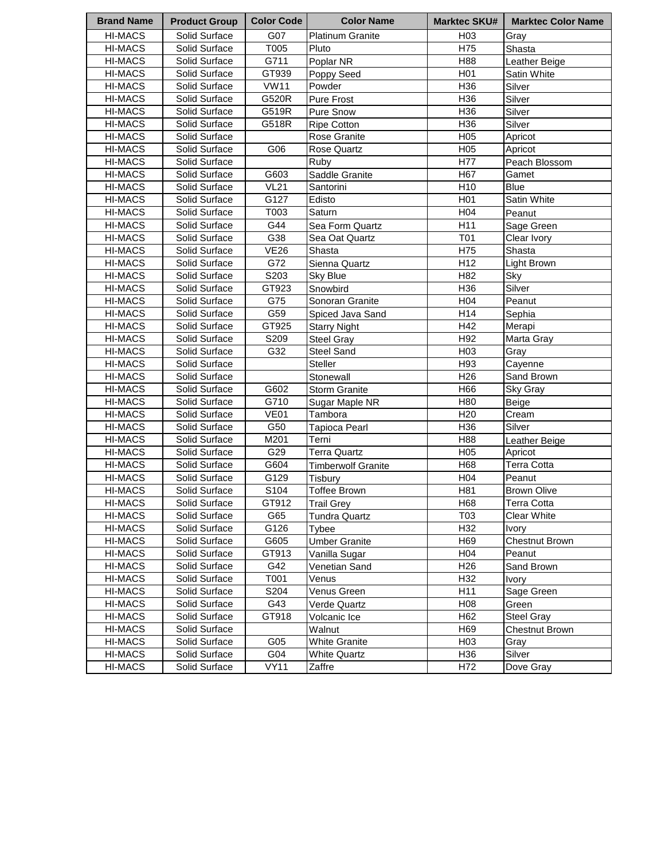| <b>Brand Name</b> | <b>Product Group</b> | <b>Color Code</b> | <b>Color Name</b>         | <b>Marktec SKU#</b> | <b>Marktec Color Name</b> |
|-------------------|----------------------|-------------------|---------------------------|---------------------|---------------------------|
| <b>HI-MACS</b>    | Solid Surface        | G07               | <b>Platinum Granite</b>   | H <sub>03</sub>     | Gray                      |
| <b>HI-MACS</b>    | Solid Surface        | T005              | Pluto                     | H75                 | Shasta                    |
| HI-MACS           | Solid Surface        | G711              | Poplar NR                 | H88                 | Leather Beige             |
| <b>HI-MACS</b>    | Solid Surface        | GT939             | Poppy Seed                | H <sub>0</sub> 1    | Satin White               |
| <b>HI-MACS</b>    | Solid Surface        | <b>VW11</b>       | Powder                    | H36                 | Silver                    |
| <b>HI-MACS</b>    | Solid Surface        | G520R             | Pure Frost                | H36                 | Silver                    |
| <b>HI-MACS</b>    | Solid Surface        | G519R             | Pure Snow                 | H36                 | Silver                    |
| <b>HI-MACS</b>    | Solid Surface        | G518R             | <b>Ripe Cotton</b>        | H36                 | Silver                    |
| <b>HI-MACS</b>    | Solid Surface        |                   | Rose Granite              | H <sub>05</sub>     | Apricot                   |
| <b>HI-MACS</b>    | Solid Surface        | G06               | Rose Quartz               | H <sub>05</sub>     | Apricot                   |
| <b>HI-MACS</b>    | Solid Surface        |                   | Ruby                      | H77                 | Peach Blossom             |
| HI-MACS           | Solid Surface        | G603              | Saddle Granite            | H67                 | Gamet                     |
| HI-MACS           | Solid Surface        | <b>VL21</b>       | Santorini                 | H <sub>10</sub>     | Blue                      |
| HI-MACS           | Solid Surface        | G127              | Edisto                    | H <sub>01</sub>     | Satin White               |
| <b>HI-MACS</b>    | Solid Surface        | T003              | Saturn                    | H04                 | Peanut                    |
| <b>HI-MACS</b>    | Solid Surface        | G44               | Sea Form Quartz           | H11                 | Sage Green                |
| <b>HI-MACS</b>    | Solid Surface        | G38               | Sea Oat Quartz            | T01                 | Clear Ivory               |
| HI-MACS           | Solid Surface        | <b>VE26</b>       | Shasta                    | H75                 | Shasta                    |
| <b>HI-MACS</b>    | Solid Surface        | G72               | Sienna Quartz             | H <sub>12</sub>     | Light Brown               |
| <b>HI-MACS</b>    | Solid Surface        | S203              | Sky Blue                  | H82                 | Sky                       |
| HI-MACS           | Solid Surface        | GT923             | Snowbird                  | H36                 | Silver                    |
| <b>HI-MACS</b>    | Solid Surface        | G75               | Sonoran Granite           | H04                 | Peanut                    |
| <b>HI-MACS</b>    | Solid Surface        | G59               | Spiced Java Sand          | H14                 | Sephia                    |
| <b>HI-MACS</b>    | Solid Surface        | GT925             | <b>Starry Night</b>       | H42                 | Merapi                    |
| <b>HI-MACS</b>    | Solid Surface        | S209              | Steel Gray                | H92                 | Marta Gray                |
| <b>HI-MACS</b>    | Solid Surface        | G32               | Steel Sand                | H03                 | Gray                      |
| <b>HI-MACS</b>    | Solid Surface        |                   | <b>Steller</b>            | H93                 | Cayenne                   |
| HI-MACS           | Solid Surface        |                   | Stonewall                 | H <sub>26</sub>     | Sand Brown                |
| <b>HI-MACS</b>    | Solid Surface        | G602              | <b>Storm Granite</b>      | H66                 | Sky Gray                  |
| <b>HI-MACS</b>    | Solid Surface        | G710              | Sugar Maple NR            | H80                 | Beige                     |
| HI-MACS           | Solid Surface        | <b>VE01</b>       | Tambora                   | H <sub>20</sub>     | Cream                     |
| <b>HI-MACS</b>    | Solid Surface        | G50               | Tapioca Pearl             | H36                 | Silver                    |
| HI-MACS           | Solid Surface        | M201              | Terni                     | H88                 | Leather Beige             |
| <b>HI-MACS</b>    | Solid Surface        | G29               | Terra Quartz              | H <sub>05</sub>     | Apricot                   |
| HI-MACS           | Solid Surface        | G604              | <b>Timberwolf Granite</b> | H68                 | <b>Terra Cotta</b>        |
| <b>HI-MACS</b>    | Solid Surface        | G129              | Tisbury                   | H <sub>04</sub>     | Peanut                    |
| <b>HI-MACS</b>    | Solid Surface        | S104              | <b>Toffee Brown</b>       | H81                 | <b>Brown Olive</b>        |
| <b>HI-MACS</b>    | Solid Surface        | GT912             | <b>Trail Grey</b>         | H68                 | Terra Cotta               |
| HI-MACS           | Solid Surface        | G65               | Tundra Quartz             | T03                 | <b>Clear White</b>        |
| <b>HI-MACS</b>    | Solid Surface        | G126              | Tybee                     | H32                 | Ivory                     |
| <b>HI-MACS</b>    | Solid Surface        | G605              | <b>Umber Granite</b>      | H69                 | <b>Chestnut Brown</b>     |
| HI-MACS           | Solid Surface        | GT913             | Vanilla Sugar             | H04                 | Peanut                    |
| <b>HI-MACS</b>    | Solid Surface        | G42               | Venetian Sand             | H <sub>26</sub>     | Sand Brown                |
| HI-MACS           | Solid Surface        | T001              | Venus                     | H32                 | Ivory                     |
| <b>HI-MACS</b>    | Solid Surface        | S204              | Venus Green               | H11                 | Sage Green                |
| HI-MACS           | Solid Surface        | G43               | Verde Quartz              | H <sub>08</sub>     | Green                     |
| HI-MACS           | Solid Surface        | GT918             | Volcanic Ice              | H62                 | Steel Gray                |
| HI-MACS           | Solid Surface        |                   | Walnut                    | H69                 | Chestnut Brown            |
| <b>HI-MACS</b>    | Solid Surface        | G <sub>05</sub>   | <b>White Granite</b>      | H <sub>03</sub>     | Gray                      |
| <b>HI-MACS</b>    | Solid Surface        | G04               | White Quartz              | H36                 | Silver                    |
| HI-MACS           | Solid Surface        | <b>VY11</b>       | Zaffre                    | H72                 | Dove Gray                 |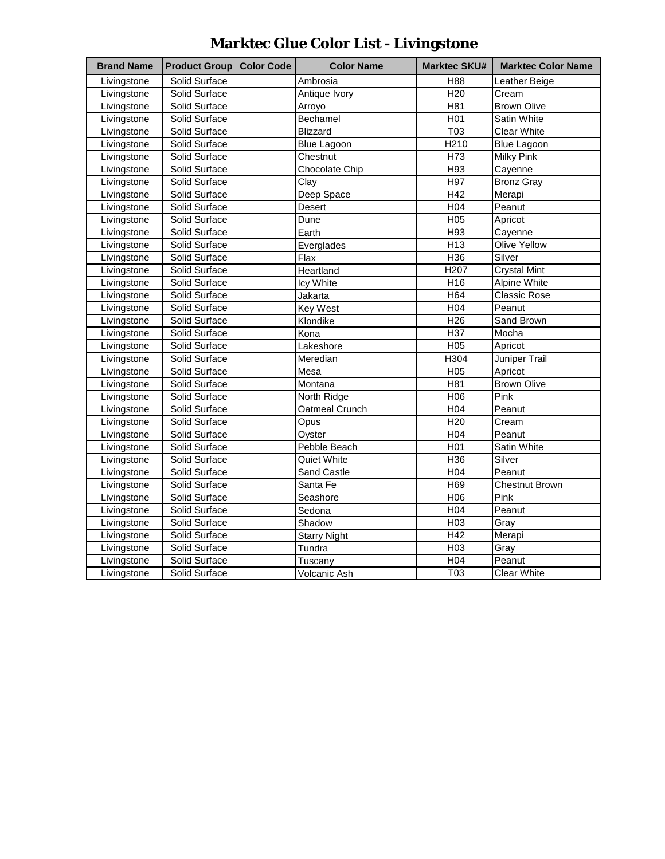| <b>Brand Name</b> | <b>Product Group Color Code</b> | <b>Color Name</b>   | <b>Marktec SKU#</b> | <b>Marktec Color Name</b> |
|-------------------|---------------------------------|---------------------|---------------------|---------------------------|
| Livingstone       | Solid Surface                   | Ambrosia            | H88                 | Leather Beige             |
| Livingstone       | Solid Surface                   | Antique Ivory       | H <sub>20</sub>     | Cream                     |
| Livingstone       | Solid Surface                   | Arroyo              | H81                 | <b>Brown Olive</b>        |
| Livingstone       | Solid Surface                   | Bechamel            | H <sub>01</sub>     | Satin White               |
| Livingstone       | Solid Surface                   | <b>Blizzard</b>     | T03                 | <b>Clear White</b>        |
| Livingstone       | Solid Surface                   | <b>Blue Lagoon</b>  | H210                | <b>Blue Lagoon</b>        |
| Livingstone       | Solid Surface                   | Chestnut            | H73                 | <b>Milky Pink</b>         |
| Livingstone       | Solid Surface                   | Chocolate Chip      | H93                 | Cayenne                   |
| Livingstone       | Solid Surface                   | Clay                | H97                 | <b>Bronz Gray</b>         |
| Livingstone       | Solid Surface                   | Deep Space          | H42                 | Merapi                    |
| Livingstone       | Solid Surface                   | Desert              | H04                 | Peanut                    |
| Livingstone       | Solid Surface                   | Dune                | H05                 | Apricot                   |
| Livingstone       | Solid Surface                   | Earth               | H93                 | Cayenne                   |
| Livingstone       | Solid Surface                   | Everglades          | H <sub>13</sub>     | Olive Yellow              |
| Livingstone       | Solid Surface                   | Flax                | H36                 | Silver                    |
| Livingstone       | Solid Surface                   | Heartland           | H <sub>20</sub> 7   | <b>Crystal Mint</b>       |
| Livingstone       | Solid Surface                   | Icy White           | H16                 | Alpine White              |
| Livingstone       | Solid Surface                   | Jakarta             | H64                 | <b>Classic Rose</b>       |
| Livingstone       | Solid Surface                   | Key West            | H04                 | Peanut                    |
| Livingstone       | Solid Surface                   | Klondike            | H <sub>26</sub>     | Sand Brown                |
| Livingstone       | Solid Surface                   | Kona                | H37                 | Mocha                     |
| Livingstone       | Solid Surface                   | Lakeshore           | H05                 | Apricot                   |
| Livingstone       | Solid Surface                   | Meredian            | H304                | Juniper Trail             |
| Livingstone       | Solid Surface                   | Mesa                | H <sub>05</sub>     | Apricot                   |
| Livingstone       | Solid Surface                   | Montana             | H81                 | <b>Brown Olive</b>        |
| Livingstone       | Solid Surface                   | North Ridge         | H06                 | Pink                      |
| Livingstone       | Solid Surface                   | Oatmeal Crunch      | H04                 | Peanut                    |
| Livingstone       | Solid Surface                   | Opus                | H <sub>20</sub>     | Cream                     |
| Livingstone       | Solid Surface                   | Oyster              | H04                 | Peanut                    |
| Livingstone       | Solid Surface                   | Pebble Beach        | H <sub>01</sub>     | Satin White               |
| Livingstone       | Solid Surface                   | Quiet White         | H36                 | Silver                    |
| Livingstone       | Solid Surface                   | Sand Castle         | H04                 | Peanut                    |
| Livingstone       | Solid Surface                   | Santa Fe            | H69                 | Chestnut Brown            |
| Livingstone       | Solid Surface                   | Seashore            | H06                 | Pink                      |
| Livingstone       | Solid Surface                   | Sedona              | H04                 | Peanut                    |
| Livingstone       | Solid Surface                   | Shadow              | H <sub>03</sub>     | Gray                      |
| Livingstone       | Solid Surface                   | <b>Starry Night</b> | H42                 | Merapi                    |
| Livingstone       | Solid Surface                   | Tundra              | H03                 | Gray                      |
| Livingstone       | Solid Surface                   | Tuscany             | H04                 | Peanut                    |
| Livingstone       | Solid Surface                   | Volcanic Ash        | T03                 | <b>Clear White</b>        |

## **Marktec Glue Color List - Livingstone**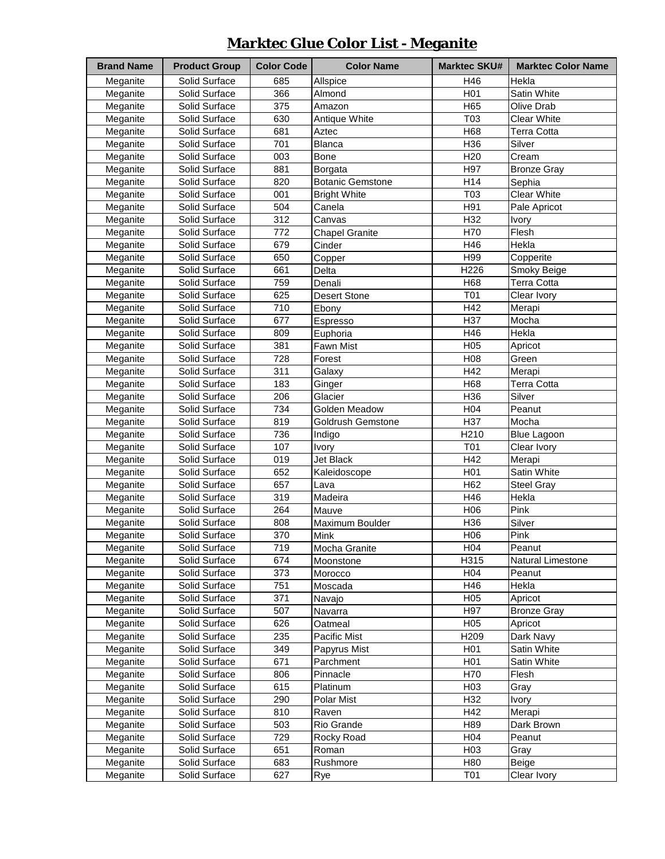## **Marktec Glue Color List - Meganite**

| <b>Brand Name</b> | <b>Product Group</b> | <b>Color Code</b> | <b>Color Name</b>       | <b>Marktec SKU#</b>    | <b>Marktec Color Name</b> |
|-------------------|----------------------|-------------------|-------------------------|------------------------|---------------------------|
| Meganite          | Solid Surface        | 685               | Allspice                | H46                    | Hekla                     |
| Meganite          | Solid Surface        | 366               | Almond                  | H <sub>0</sub> 1       | Satin White               |
| Meganite          | Solid Surface        | 375               | Amazon                  | H65                    | Olive Drab                |
| Meganite          | Solid Surface        | 630               | Antique White           | T <sub>03</sub>        | <b>Clear White</b>        |
| Meganite          | Solid Surface        | 681               | Aztec                   | H68                    | <b>Terra Cotta</b>        |
| Meganite          | Solid Surface        | 701               |                         | H36                    | Silver                    |
|                   |                      |                   | Blanca                  |                        |                           |
| Meganite          | Solid Surface        | 003<br>881        | Bone                    | H <sub>20</sub><br>H97 | Cream                     |
| Meganite          | Solid Surface        |                   | Borgata                 | H14                    | <b>Bronze Gray</b>        |
| Meganite          | Solid Surface        | 820               | <b>Botanic Gemstone</b> |                        | Sephia                    |
| Meganite          | Solid Surface        | 001               | <b>Bright White</b>     | T03                    | <b>Clear White</b>        |
| Meganite          | Solid Surface        | 504               | Canela                  | H91                    | Pale Apricot              |
| Meganite          | Solid Surface        | $\overline{312}$  | Canvas                  | H32                    | <b>Ivory</b>              |
| Meganite          | Solid Surface        | 772               | <b>Chapel Granite</b>   | H70                    | Flesh                     |
| Meganite          | Solid Surface        | 679               | Cinder                  | H46                    | Hekla                     |
| Meganite          | Solid Surface        | 650               | Copper                  | H99                    | Copperite                 |
| Meganite          | Solid Surface        | 661               | Delta                   | H226                   | Smoky Beige               |
| Meganite          | Solid Surface        | 759               | Denali                  | H68                    | <b>Terra Cotta</b>        |
| Meganite          | Solid Surface        | 625               | <b>Desert Stone</b>     | <b>T01</b>             | Clear Ivory               |
| Meganite          | Solid Surface        | 710               | Ebony                   | H42                    | Merapi                    |
| Meganite          | Solid Surface        | 677               | Espresso                | H37                    | Mocha                     |
| Meganite          | Solid Surface        | 809               | Euphoria                | H46                    | Hekla                     |
| Meganite          | Solid Surface        | 381               | <b>Fawn Mist</b>        | H05                    | Apricot                   |
| Meganite          | Solid Surface        | 728               | Forest                  | H <sub>0</sub> 8       | Green                     |
| Meganite          | Solid Surface        | 311               | Galaxy                  | H42                    | Merapi                    |
| Meganite          | Solid Surface        | 183               | Ginger                  | H68                    | Terra Cotta               |
| Meganite          | Solid Surface        | 206               | Glacier                 | H36                    | Silver                    |
| Meganite          | Solid Surface        | 734               | Golden Meadow           | H04                    | Peanut                    |
| Meganite          | Solid Surface        | 819               | Goldrush Gemstone       | H37                    | Mocha                     |
| Meganite          | Solid Surface        | 736               | Indigo                  | H210                   | <b>Blue Lagoon</b>        |
| Meganite          | Solid Surface        | 107               | Ivory                   | <b>T01</b>             | Clear Ivory               |
| Meganite          | Solid Surface        | 019               | Jet Black               | H42                    | Merapi                    |
| Meganite          | Solid Surface        | 652               | Kaleidoscope            | H <sub>0</sub> 1       | Satin White               |
| Meganite          | Solid Surface        | 657               | Lava                    | H62                    | <b>Steel Gray</b>         |
| Meganite          | Solid Surface        | 319               | Madeira                 | H46                    | Hekla                     |
| Meganite          | Solid Surface        | 264               | Mauve                   | H06                    | Pink                      |
| Meganite          | Solid Surface        | 808               | Maximum Boulder         | H36                    | Silver                    |
| Meganite          | Solid Surface        | 370               | Mink                    | H06                    | Pink                      |
| Meganite          | Solid Surface        | 719               | Mocha Granite           | H <sub>04</sub>        | Peanut                    |
| Meganite          | Solid Surface        | 674               | Moonstone               | H315                   | Natural Limestone         |
| Meganite          | Solid Surface        | 373               | Morocco                 | H <sub>04</sub>        | Peanut                    |
| Meganite          | Solid Surface        | 751               | Moscada                 | H46                    | Hekla                     |
| Meganite          | Solid Surface        | 371               | Navajo                  | H <sub>05</sub>        | Apricot                   |
| Meganite          | Solid Surface        | 507               | Navarra                 | H97                    | <b>Bronze Gray</b>        |
| Meganite          | Solid Surface        | 626               | Oatmeal                 | H05                    | Apricot                   |
| Meganite          | Solid Surface        | 235               | Pacific Mist            | H209                   | Dark Navy                 |
| Meganite          | Solid Surface        | 349               | Papyrus Mist            | H <sub>0</sub> 1       | Satin White               |
| Meganite          | Solid Surface        | 671               | Parchment               | H <sub>0</sub> 1       | Satin White               |
| Meganite          | Solid Surface        | 806               | Pinnacle                | H70                    | Flesh                     |
| Meganite          | Solid Surface        | 615               | Platinum                | H <sub>03</sub>        | Gray                      |
| Meganite          | Solid Surface        | 290               | Polar Mist              | H32                    | <b>Ivory</b>              |
| Meganite          | Solid Surface        | 810               | Raven                   | H42                    | Merapi                    |
| Meganite          | Solid Surface        | 503               | Rio Grande              | H89                    | Dark Brown                |
| Meganite          | Solid Surface        | 729               | Rocky Road              | H04                    | Peanut                    |
| Meganite          | Solid Surface        | 651               | Roman                   | H <sub>03</sub>        | Gray                      |
| Meganite          | Solid Surface        | 683               | Rushmore                | H80                    | Beige                     |
|                   | Solid Surface        |                   |                         | <b>T01</b>             | Clear Ivory               |
| Meganite          |                      | 627               | Rye                     |                        |                           |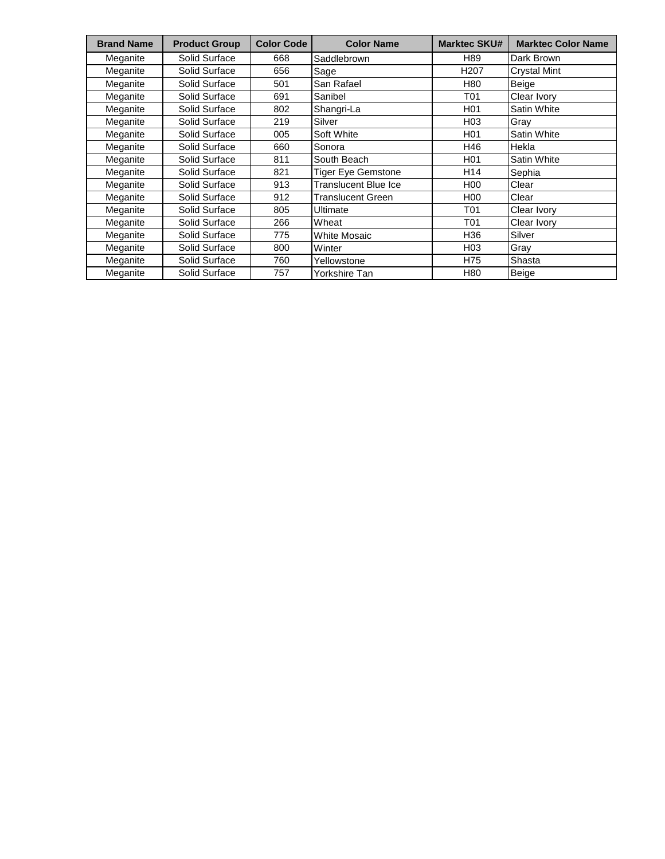| <b>Brand Name</b> | <b>Product Group</b> | <b>Color Code</b> | <b>Color Name</b>        | <b>Marktec SKU#</b> | <b>Marktec Color Name</b> |
|-------------------|----------------------|-------------------|--------------------------|---------------------|---------------------------|
| Meganite          | Solid Surface        | 668               | Saddlebrown              | H89                 | Dark Brown                |
| Meganite          | Solid Surface        | 656               | Sage                     | H <sub>20</sub> 7   | <b>Crystal Mint</b>       |
| Meganite          | Solid Surface        | 501               | San Rafael               | H80                 | Beige                     |
| Meganite          | Solid Surface        | 691               | Sanibel                  | T01                 | Clear Ivory               |
| Meganite          | Solid Surface        | 802               | Shangri-La               | H <sub>0</sub> 1    | Satin White               |
| Meganite          | Solid Surface        | 219               | Silver                   | H03                 | Grav                      |
| Meganite          | Solid Surface        | 005               | Soft White               | H <sub>01</sub>     | <b>Satin White</b>        |
| Meganite          | Solid Surface        | 660               | Sonora                   | H46                 | Hekla                     |
| Meganite          | Solid Surface        | 811               | South Beach              | H <sub>0</sub> 1    | Satin White               |
| Meganite          | Solid Surface        | 821               | Tiger Eye Gemstone       | H14                 | Sephia                    |
| Meganite          | Solid Surface        | 913               | Translucent Blue Ice     | H <sub>00</sub>     | Clear                     |
| Meganite          | Solid Surface        | 912               | <b>Translucent Green</b> | H <sub>0</sub>      | Clear                     |
| Meganite          | Solid Surface        | 805               | Ultimate                 | T01                 | Clear Ivory               |
| Meganite          | Solid Surface        | 266               | Wheat                    | T01                 | Clear Ivory               |
| Meganite          | Solid Surface        | 775               | <b>White Mosaic</b>      | H36                 | Silver                    |
| Meganite          | Solid Surface        | 800               | Winter                   | H03                 | Gray                      |
| Meganite          | Solid Surface        | 760               | Yellowstone              | H75                 | Shasta                    |
| Meganite          | Solid Surface        | 757               | Yorkshire Tan            | H80                 | Beige                     |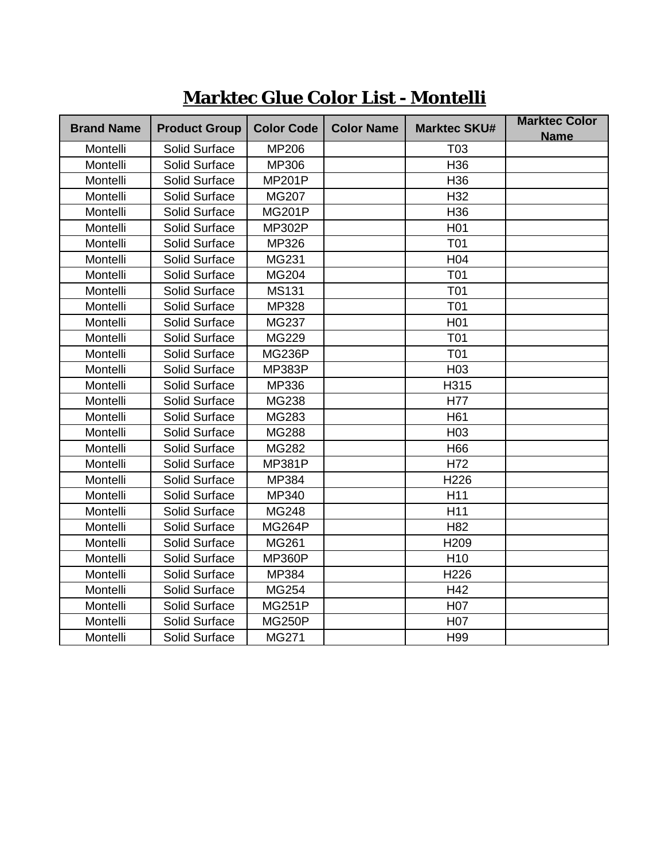| <b>Brand Name</b> | <b>Product Group</b> | <b>Color Code</b> | <b>Color Name</b> | <b>Marktec SKU#</b> | <b>Marktec Color</b> |
|-------------------|----------------------|-------------------|-------------------|---------------------|----------------------|
|                   |                      |                   |                   |                     | <b>Name</b>          |
| Montelli          | Solid Surface        | <b>MP206</b>      |                   | T <sub>03</sub>     |                      |
| Montelli          | Solid Surface        | MP306             |                   | H36                 |                      |
| Montelli          | Solid Surface        | <b>MP201P</b>     |                   | H <sub>36</sub>     |                      |
| Montelli          | Solid Surface        | MG207             |                   | H32                 |                      |
| Montelli          | Solid Surface        | <b>MG201P</b>     |                   | H36                 |                      |
| Montelli          | Solid Surface        | <b>MP302P</b>     |                   | H <sub>01</sub>     |                      |
| Montelli          | Solid Surface        | MP326             |                   | <b>T01</b>          |                      |
| Montelli          | Solid Surface        | MG231             |                   | H04                 |                      |
| Montelli          | Solid Surface        | MG204             |                   | T01                 |                      |
| Montelli          | Solid Surface        | <b>MS131</b>      |                   | <b>T01</b>          |                      |
| Montelli          | Solid Surface        | MP328             |                   | <b>T01</b>          |                      |
| Montelli          | Solid Surface        | MG237             |                   | H <sub>01</sub>     |                      |
| Montelli          | Solid Surface        | MG229             |                   | T01                 |                      |
| Montelli          | Solid Surface        | <b>MG236P</b>     |                   | <b>T01</b>          |                      |
| Montelli          | Solid Surface        | <b>MP383P</b>     |                   | H <sub>03</sub>     |                      |
| Montelli          | Solid Surface        | MP336             |                   | H315                |                      |
| Montelli          | Solid Surface        | MG238             |                   | H77                 |                      |
| Montelli          | Solid Surface        | MG283             |                   | H61                 |                      |
| Montelli          | Solid Surface        | MG288             |                   | H <sub>03</sub>     |                      |
| Montelli          | Solid Surface        | MG282             |                   | H66                 |                      |
| Montelli          | Solid Surface        | <b>MP381P</b>     |                   | H72                 |                      |
| Montelli          | Solid Surface        | MP384             |                   | H226                |                      |
| Montelli          | Solid Surface        | MP340             |                   | H11                 |                      |
| Montelli          | Solid Surface        | <b>MG248</b>      |                   | H11                 |                      |
| Montelli          | Solid Surface        | <b>MG264P</b>     |                   | H <sub>82</sub>     |                      |
| Montelli          | Solid Surface        | MG261             |                   | H209                |                      |
| Montelli          | Solid Surface        | <b>MP360P</b>     |                   | H <sub>10</sub>     |                      |
| Montelli          | Solid Surface        | MP384             |                   | H226                |                      |
| Montelli          | Solid Surface        | MG254             |                   | H42                 |                      |
| Montelli          | Solid Surface        | <b>MG251P</b>     |                   | H07                 |                      |
| Montelli          | Solid Surface        | <b>MG250P</b>     |                   | H07                 |                      |
| Montelli          | <b>Solid Surface</b> | <b>MG271</b>      |                   | H99                 |                      |

**Marktec Glue Color List - Montelli**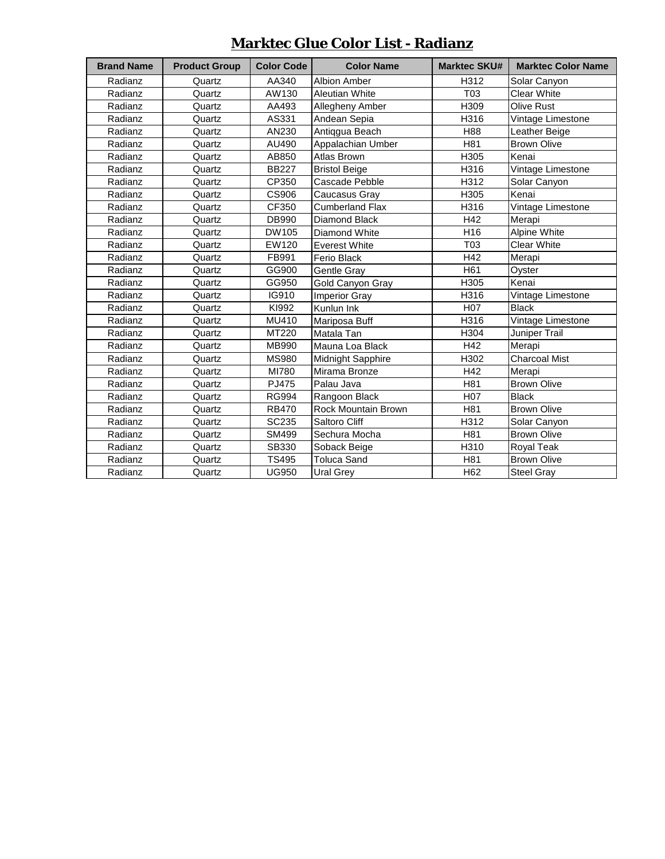#### **Marktec Glue Color List - Radianz**

| <b>Brand Name</b> | <b>Product Group</b> | <b>Color Code</b> | <b>Color Name</b>      | <b>Marktec SKU#</b> | <b>Marktec Color Name</b> |
|-------------------|----------------------|-------------------|------------------------|---------------------|---------------------------|
| Radianz           | Quartz               | AA340             | Albion Amber           | H312                | Solar Canyon              |
| Radianz           | Quartz               | AW130             | <b>Aleutian White</b>  | T03                 | <b>Clear White</b>        |
| Radianz           | Quartz               | AA493             | Allegheny Amber        | H309                | Olive Rust                |
| Radianz           | Quartz               | AS331             | Andean Sepia           | H316                | Vintage Limestone         |
| Radianz           | Quartz               | AN230             | Antiqgua Beach         | H88                 | Leather Beige             |
| Radianz           | Quartz               | AU490             | Appalachian Umber      | H81                 | <b>Brown Olive</b>        |
| Radianz           | Quartz               | AB850             | Atlas Brown            | H305                | Kenai                     |
| Radianz           | Quartz               | <b>BB227</b>      | <b>Bristol Beige</b>   | H316                | Vintage Limestone         |
| Radianz           | Quartz               | CP350             | Cascade Pebble         | H312                | Solar Canyon              |
| Radianz           | Quartz               | CS906             | Caucasus Gray          | H305                | Kenai                     |
| Radianz           | Quartz               | CF350             | <b>Cumberland Flax</b> | H316                | Vintage Limestone         |
| Radianz           | Quartz               | DB990             | Diamond Black          | H42                 | Merapi                    |
| Radianz           | Quartz               | DW105             | Diamond White          | H <sub>16</sub>     | Alpine White              |
| Radianz           | Quartz               | EW120             | <b>Everest White</b>   | T03                 | <b>Clear White</b>        |
| Radianz           | Quartz               | FB991             | Ferio Black            | H42                 | Merapi                    |
| Radianz           | Quartz               | GG900             | Gentle Gray            | H61                 | Oyster                    |
| Radianz           | Quartz               | GG950             | Gold Canyon Gray       | H305                | Kenai                     |
| Radianz           | Quartz               | IG910             | <b>Imperior Gray</b>   | H316                | Vintage Limestone         |
| Radianz           | Quartz               | KI992             | Kunlun Ink             | H <sub>0</sub> 7    | <b>Black</b>              |
| Radianz           | Quartz               | MU410             | Mariposa Buff          | H316                | Vintage Limestone         |
| Radianz           | Quartz               | MT220             | Matala Tan             | H304                | Juniper Trail             |
| Radianz           | Quartz               | MB990             | Mauna Loa Black        | H42                 | Merapi                    |
| Radianz           | Quartz               | <b>MS980</b>      | Midnight Sapphire      | H302                | Charcoal Mist             |
| Radianz           | Quartz               | MI780             | Mirama Bronze          | H42                 | Merapi                    |
| Radianz           | Quartz               | PJ475             | Palau Java             | H81                 | <b>Brown Olive</b>        |
| Radianz           | Quartz               | <b>RG994</b>      | Rangoon Black          | H07                 | <b>Black</b>              |
| Radianz           | Quartz               | <b>RB470</b>      | Rock Mountain Brown    | H81                 | <b>Brown Olive</b>        |
| Radianz           | Quartz               | SC235             | Saltoro Cliff          | H312                | Solar Canyon              |
| Radianz           | Quartz               | SM499             | Sechura Mocha          | H81                 | <b>Brown Olive</b>        |
| Radianz           | Quartz               | SB330             | Soback Beige           | H310                | Royal Teak                |
| Radianz           | Quartz               | TS495             | <b>Toluca Sand</b>     | H81                 | <b>Brown Olive</b>        |
| Radianz           | Quartz               | <b>UG950</b>      | Ural Grey              | H62                 | Steel Gray                |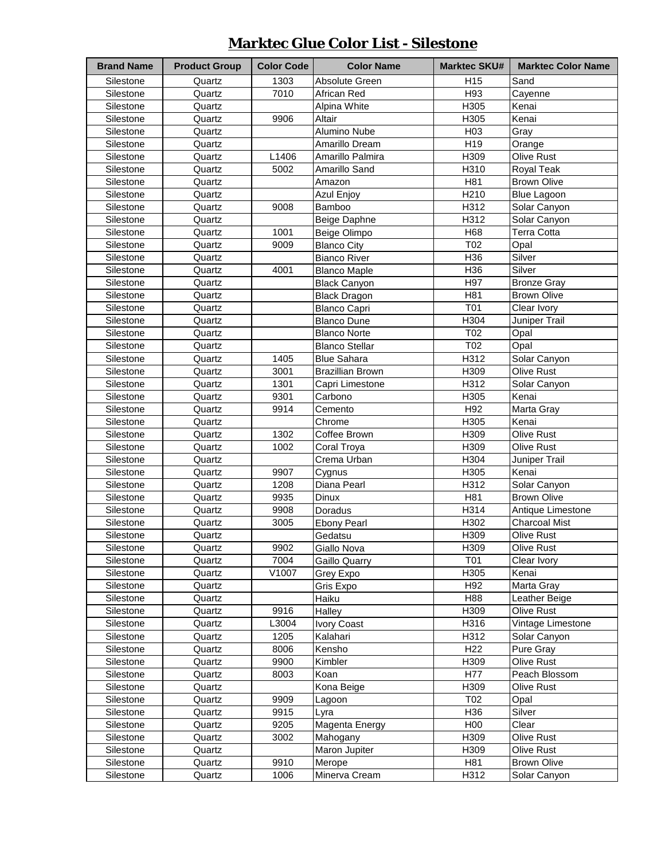### **Marktec Glue Color List - Silestone**

| <b>Brand Name</b>      | <b>Product Group</b> | <b>Color Code</b> | <b>Color Name</b>       | <b>Marktec SKU#</b> | <b>Marktec Color Name</b>   |
|------------------------|----------------------|-------------------|-------------------------|---------------------|-----------------------------|
| Silestone              | Quartz               | 1303              | Absolute Green          | H <sub>15</sub>     | Sand                        |
| Silestone              | Quartz               | 7010              | African Red             | H93                 | Cayenne                     |
| Silestone              | Quartz               |                   | Alpina White            | H305                | Kenai                       |
| Silestone              | Quartz               | 9906              | Altair                  | H <sub>305</sub>    | Kenai                       |
| Silestone              | Quartz               |                   | Alumino Nube            | H <sub>03</sub>     | Gray                        |
| Silestone              | Quartz               |                   | Amarillo Dream          | H <sub>19</sub>     | Orange                      |
| Silestone              | Quartz               | L1406             | Amarillo Palmira        | H309                | Olive Rust                  |
| Silestone              | Quartz               | 5002              | Amarillo Sand           | H310                | Royal Teak                  |
| Silestone              | Quartz               |                   | Amazon                  | H81                 | <b>Brown Olive</b>          |
| Silestone              | Quartz               |                   | Azul Enjoy              | H210                | <b>Blue Lagoon</b>          |
| Silestone              | Quartz               | 9008              | Bamboo                  | H312                | Solar Canyon                |
| Silestone              | Quartz               |                   | Beige Daphne            | H312                | Solar Canyon                |
| Silestone              | Quartz               | 1001              | Beige Olimpo            | H68                 | Terra Cotta                 |
| Silestone              | Quartz               | 9009              | <b>Blanco City</b>      | T02                 | Opal                        |
| Silestone              | Quartz               |                   | <b>Bianco River</b>     | H36                 | Silver                      |
| Silestone              | Quartz               | 4001              | <b>Blanco Maple</b>     | H36                 | Silver                      |
| Silestone              | Quartz               |                   | <b>Black Canyon</b>     | H97                 | <b>Bronze Gray</b>          |
| Silestone              | Quartz               |                   | <b>Black Dragon</b>     | H81                 | <b>Brown Olive</b>          |
| Silestone              | Quartz               |                   | <b>Blanco Capri</b>     | T01                 | Clear Ivory                 |
| Silestone              | Quartz               |                   | <b>Blanco Dune</b>      | H304                | Juniper Trail               |
| Silestone              | Quartz               |                   | <b>Blanco Norte</b>     | T <sub>02</sub>     | Opal                        |
| Silestone              | Quartz               |                   | <b>Blanco Stellar</b>   | T02                 | Opal                        |
| Silestone              | Quartz               | 1405              | <b>Blue Sahara</b>      | H312                | Solar Canyon                |
| Silestone              | Quartz               | 3001              | <b>Brazillian Brown</b> | H309                | Olive Rust                  |
| Silestone              | Quartz               | 1301              | Capri Limestone         | H312                | Solar Canyon                |
| Silestone              | Quartz               | 9301              | Carbono                 | H305                | Kenai                       |
| Silestone              | Quartz               | 9914              | Cemento                 | H92                 | Marta Gray                  |
| Silestone              | Quartz               |                   | Chrome                  | H305                | Kenai                       |
| Silestone              | Quartz               | 1302              | Coffee Brown            | H309                | <b>Olive Rust</b>           |
| Silestone              | Quartz               | 1002              |                         | H309                | <b>Olive Rust</b>           |
| Silestone              | Quartz               |                   | Coral Troya             | H304                | Juniper Trail               |
| Silestone              | Quartz               | 9907              | Crema Urban             | H305                | Kenai                       |
| Silestone              | Quartz               | 1208              | Cygnus<br>Diana Pearl   | H312                | Solar Canyon                |
| Silestone              | Quartz               | 9935              | <b>Dinux</b>            | H81                 | <b>Brown Olive</b>          |
| Silestone              | Quartz               | 9908              | Doradus                 | H314                | Antique Limestone           |
| Silestone              | Quartz               | 3005              | <b>Ebony Pearl</b>      | H302                | <b>Charcoal Mist</b>        |
| Silestone              | Quartz               |                   | Gedatsu                 | H309                | Olive Rust                  |
|                        |                      |                   |                         |                     |                             |
| Silestone              | Quartz               | 9902<br>7004      | Giallo Nova             | H309                | Olive Rust                  |
| Silestone<br>Silestone | Quartz               | V1007             | Gaillo Quarry           | T01                 | Clear Ivory<br>Kenai        |
|                        | Quartz               |                   | Grey Expo               | H305                | Marta Gray                  |
| Silestone              | Quartz               |                   | Gris Expo<br>Haiku      | H92<br>H88          |                             |
| Silestone              | Quartz               | 9916              |                         |                     | Leather Beige<br>Olive Rust |
| Silestone              | Quartz               | L3004             | Halley<br>Ivory Coast   | H309                | Vintage Limestone           |
| Silestone              | Quartz               |                   |                         | H316                |                             |
| Silestone              | Quartz               | 1205              | Kalahari                | H312                | Solar Canyon                |
| Silestone              | Quartz               | 8006              | Kensho                  | H <sub>22</sub>     | Pure Gray                   |
| Silestone              | Quartz               | 9900              | Kimbler                 | H309                | Olive Rust                  |
| Silestone              | Quartz               | 8003              | Koan                    | H77                 | Peach Blossom               |
| Silestone              | Quartz               |                   | Kona Beige              | H309                | Olive Rust                  |
| Silestone              | Quartz               | 9909              | Lagoon                  | T02                 | Opal                        |
| Silestone              | Quartz               | 9915              | Lyra                    | H36                 | Silver                      |
| Silestone              | Quartz               | 9205              | Magenta Energy          | H00                 | Clear                       |
| Silestone              | Quartz               | 3002              | Mahogany                | H309                | Olive Rust                  |
| Silestone              | Quartz               |                   | Maron Jupiter           | H309                | Olive Rust                  |
| Silestone              | Quartz               | 9910              | Merope                  | H81                 | <b>Brown Olive</b>          |
| Silestone              | Quartz               | 1006              | Minerva Cream           | H312                | Solar Canyon                |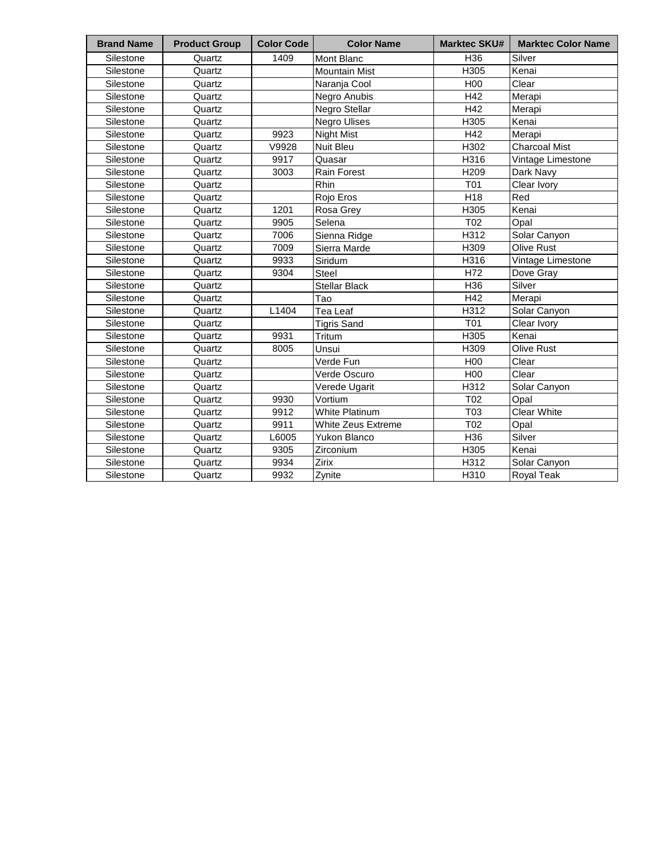| <b>Brand Name</b> | <b>Product Group</b> | <b>Color Code</b> | <b>Color Name</b>     | <b>Marktec SKU#</b> | <b>Marktec Color Name</b> |
|-------------------|----------------------|-------------------|-----------------------|---------------------|---------------------------|
| Silestone         | Quartz               | 1409              | <b>Mont Blanc</b>     | H36                 | Silver                    |
| Silestone         | Quartz               |                   | <b>Mountain Mist</b>  | H305                | Kenai                     |
| Silestone         | Quartz               |                   | Naranja Cool          | H <sub>00</sub>     | Clear                     |
| Silestone         | Quartz               |                   | Negro Anubis          | H42                 | Merapi                    |
| Silestone         | Quartz               |                   | Negro Stellar         | H42                 | Merapi                    |
| Silestone         | Quartz               |                   | <b>Negro Ulises</b>   | H305                | Kenai                     |
| Silestone         | Quartz               | 9923              | <b>Night Mist</b>     | H42                 | Merapi                    |
| Silestone         | Quartz               | V9928             | Nuit Bleu             | H302                | <b>Charcoal Mist</b>      |
| Silestone         | Quartz               | 9917              | Quasar                | H316                | Vintage Limestone         |
| Silestone         | Quartz               | 3003              | <b>Rain Forest</b>    | H <sub>209</sub>    | Dark Navy                 |
| Silestone         | Quartz               |                   | Rhin                  | <b>T01</b>          | Clear Ivory               |
| Silestone         | Quartz               |                   | Rojo Eros             | H18                 | Red                       |
| Silestone         | Quartz               | 1201              | Rosa Grey             | H305                | Kenai                     |
| Silestone         | Quartz               | 9905              | Selena                | T02                 | Opal                      |
| Silestone         | Quartz               | 7006              | Sienna Ridge          | H312                | Solar Canyon              |
| Silestone         | Quartz               | 7009              | Sierra Marde          | H309                | <b>Olive Rust</b>         |
| Silestone         | Quartz               | 9933              | Siridum               | H316                | Vintage Limestone         |
| Silestone         | Quartz               | 9304              | <b>Steel</b>          | H72                 | Dove Gray                 |
| Silestone         | Quartz               |                   | <b>Stellar Black</b>  | H36                 | Silver                    |
| Silestone         | Quartz               |                   | Tao                   | H42                 | Merapi                    |
| Silestone         | Quartz               | L1404             | Tea Leaf              | H312                | Solar Canyon              |
| Silestone         | Quartz               |                   | <b>Tigris Sand</b>    | T <sub>01</sub>     | Clear Ivory               |
| Silestone         | Quartz               | 9931              | Tritum                | H305                | Kenai                     |
| Silestone         | Quartz               | 8005              | Unsui                 | H309                | <b>Olive Rust</b>         |
| Silestone         | Quartz               |                   | Verde Fun             | H00                 | Clear                     |
| Silestone         | Quartz               |                   | Verde Oscuro          | H <sub>00</sub>     | Clear                     |
| Silestone         | Quartz               |                   | Verede Ugarit         | H312                | Solar Canyon              |
| Silestone         | Quartz               | 9930              | Vortium               | T02                 | Opal                      |
| Silestone         | Quartz               | 9912              | <b>White Platinum</b> | T <sub>03</sub>     | <b>Clear White</b>        |
| Silestone         | Quartz               | 9911              | White Zeus Extreme    | T02                 | Opal                      |
| Silestone         | Quartz               | L6005             | <b>Yukon Blanco</b>   | H36                 | Silver                    |
| Silestone         | Quartz               | 9305              | Zirconium             | H305                | Kenai                     |
| Silestone         | Quartz               | 9934              | Zirix                 | H312                | Solar Canyon              |
| Silestone         | Quartz               | 9932              | Zynite                | H310                | Royal Teak                |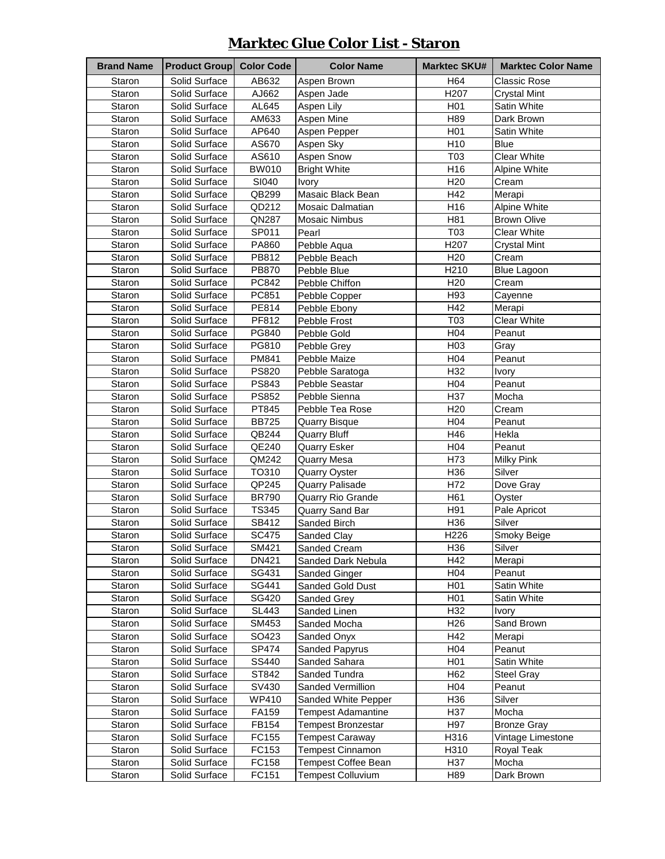#### **Marktec Glue Color List - Staron**

| <b>Brand Name</b> | <b>Product Group</b> | <b>Color Code</b> | <b>Color Name</b>         | <b>Marktec SKU#</b> | <b>Marktec Color Name</b> |
|-------------------|----------------------|-------------------|---------------------------|---------------------|---------------------------|
| Staron            | Solid Surface        | AB632             | Aspen Brown               | H64                 | Classic Rose              |
| Staron            | Solid Surface        | AJ662             | Aspen Jade                | H207                | <b>Crystal Mint</b>       |
| Staron            | Solid Surface        | AL645             | Aspen Lily                | H <sub>0</sub> 1    | Satin White               |
| Staron            | Solid Surface        | AM633             | Aspen Mine                | H89                 | Dark Brown                |
| Staron            | Solid Surface        | AP640             | Aspen Pepper              | H <sub>0</sub> 1    | Satin White               |
| Staron            | Solid Surface        | AS670             | Aspen Sky                 | H <sub>10</sub>     | <b>Blue</b>               |
| Staron            | Solid Surface        | AS610             | <b>Aspen Snow</b>         | T03                 | <b>Clear White</b>        |
| Staron            | Solid Surface        | <b>BW010</b>      | <b>Bright White</b>       | H16                 | Alpine White              |
| Staron            | Solid Surface        | SI040             | Ivory                     | H <sub>20</sub>     | Cream                     |
| Staron            | Solid Surface        | QB299             | Masaic Black Bean         | H42                 | Merapi                    |
| Staron            | Solid Surface        | QD212             | <b>Mosaic Dalmatian</b>   | H16                 | Alpine White              |
| Staron            | Solid Surface        | QN287             | <b>Mosaic Nimbus</b>      | H81                 | <b>Brown Olive</b>        |
| Staron            | Solid Surface        | SP011             | Pearl                     | T <sub>03</sub>     | <b>Clear White</b>        |
| Staron            | Solid Surface        | PA860             | Pebble Aqua               | H207                | <b>Crystal Mint</b>       |
| Staron            | Solid Surface        | PB812             | Pebble Beach              | H <sub>20</sub>     | Cream                     |
| Staron            | Solid Surface        | <b>PB870</b>      | Pebble Blue               | H210                | <b>Blue Lagoon</b>        |
| Staron            | Solid Surface        | PC842             | Pebble Chiffon            | H <sub>20</sub>     | Cream                     |
| Staron            | Solid Surface        | PC851             | Pebble Copper             | H93                 | Cayenne                   |
| Staron            | Solid Surface        | PE814             | Pebble Ebony              | H42                 | Merapi                    |
| Staron            | Solid Surface        | PF812             | Pebble Frost              | T03                 | <b>Clear White</b>        |
| Staron            | Solid Surface        | PG840             | Pebble Gold               | H04                 | Peanut                    |
| Staron            | Solid Surface        | PG810             | Pebble Grey               | H <sub>03</sub>     | Gray                      |
| Staron            | Solid Surface        | PM841             | Pebble Maize              | H04                 | Peanut                    |
| Staron            | Solid Surface        | <b>PS820</b>      | Pebble Saratoga           | H32                 | Ivory                     |
| Staron            | Solid Surface        | PS843             | Pebble Seastar            | H04                 | Peanut                    |
| Staron            | Solid Surface        | PS852             | Pebble Sienna             | H37                 | Mocha                     |
| Staron            | Solid Surface        | PT845             | Pebble Tea Rose           | H <sub>20</sub>     | Cream                     |
| Staron            | Solid Surface        | <b>BB725</b>      | <b>Quarry Bisque</b>      | H04                 | Peanut                    |
| Staron            | Solid Surface        | QB244             | <b>Quarry Bluff</b>       | H46                 | Hekla                     |
| Staron            | Solid Surface        | QE240             | <b>Quarry Esker</b>       | H04                 | Peanut                    |
| Staron            | Solid Surface        | QM242             | Quarry Mesa               | H73                 | <b>Milky Pink</b>         |
| Staron            | Solid Surface        | TO310             | <b>Quarry Oyster</b>      | H36                 | Silver                    |
| Staron            | Solid Surface        | QP245             | <b>Quarry Palisade</b>    | H72                 | Dove Gray                 |
| Staron            | Solid Surface        | <b>BR790</b>      | Quarry Rio Grande         | H61                 | Oyster                    |
| Staron            | Solid Surface        | <b>TS345</b>      | Quarry Sand Bar           | H91                 | Pale Apricot              |
| Staron            | Solid Surface        | SB412             | Sanded Birch              | H <sub>36</sub>     | Silver                    |
| Staron            | Solid Surface        | SC475             | Sanded Clay               | H226                | Smoky Beige               |
| Staron            | Solid Surface        | SM421             | Sanded Cream              | H36                 | Silver                    |
| Staron            | Solid Surface        | DN421             | Sanded Dark Nebula        | H42                 | Merapi                    |
| Staron            | Solid Surface        | SG431             | Sanded Ginger             | H <sub>04</sub>     | Peanut                    |
| Staron            | Solid Surface        | SG441             | Sanded Gold Dust          | H <sub>0</sub> 1    | Satin White               |
| Staron            | Solid Surface        | SG420             | Sanded Grey               | H <sub>0</sub> 1    | Satin White               |
| Staron            | Solid Surface        | SL443             | Sanded Linen              | H <sub>32</sub>     | Ivory                     |
| Staron            | Solid Surface        | SM453             | Sanded Mocha              | H <sub>26</sub>     | Sand Brown                |
| Staron            | Solid Surface        | SO423             | Sanded Onyx               | H42                 | Merapi                    |
| Staron            | Solid Surface        | SP474             | Sanded Papyrus            | H04                 | Peanut                    |
| Staron            | Solid Surface        | SS440             | Sanded Sahara             | H <sub>0</sub> 1    | Satin White               |
| Staron            | Solid Surface        | ST842             | Sanded Tundra             | H <sub>62</sub>     | <b>Steel Gray</b>         |
| Staron            | Solid Surface        | SV430             | Sanded Vermillion         | H <sub>04</sub>     | Peanut                    |
| Staron            | Solid Surface        | WP410             | Sanded White Pepper       | H36                 | Silver                    |
| Staron            | Solid Surface        | FA159             | <b>Tempest Adamantine</b> | H37                 | Mocha                     |
| Staron            | Solid Surface        | FB154             | Tempest Bronzestar        | H97                 | <b>Bronze Gray</b>        |
| Staron            | Solid Surface        | FC155             | <b>Tempest Caraway</b>    | H316                | Vintage Limestone         |
| Staron            | Solid Surface        | FC153             | <b>Tempest Cinnamon</b>   | H310                | Royal Teak                |
| Staron            | Solid Surface        | FC158             | Tempest Coffee Bean       | H37                 | Mocha                     |
| Staron            | Solid Surface        | FC151             | <b>Tempest Colluvium</b>  | H89                 | Dark Brown                |
|                   |                      |                   |                           |                     |                           |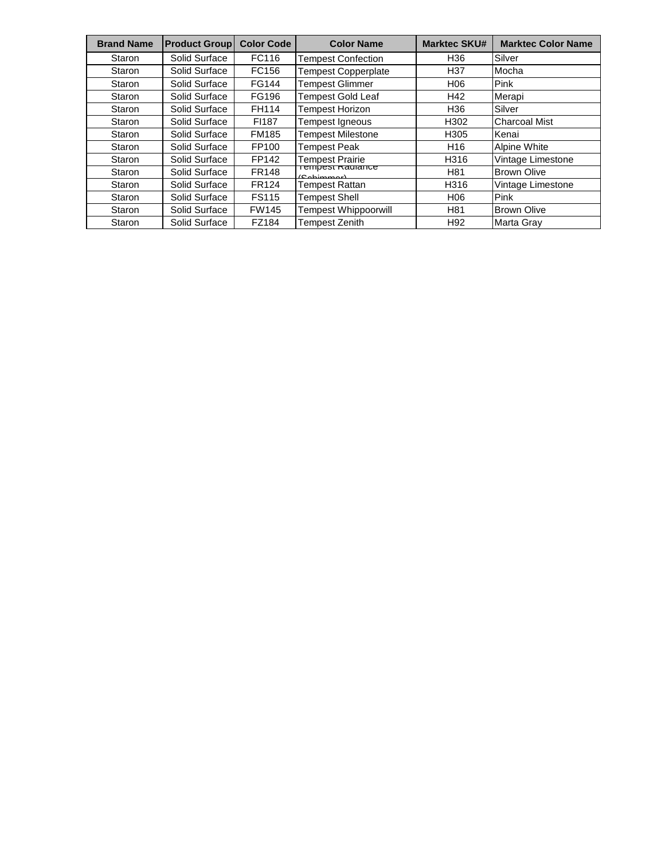| <b>Brand Name</b> | <b>Product Group</b> | <b>Color Code</b> | <b>Color Name</b>               | <b>Marktec SKU#</b> | <b>Marktec Color Name</b> |
|-------------------|----------------------|-------------------|---------------------------------|---------------------|---------------------------|
| Staron            | Solid Surface        | FC116             | <b>Tempest Confection</b>       | H36                 | Silver                    |
| Staron            | Solid Surface        | FC156             | <b>Tempest Copperplate</b>      | H <sub>37</sub>     | Mocha                     |
| Staron            | Solid Surface        | FG144             | Tempest Glimmer                 | H06                 | Pink                      |
| Staron            | Solid Surface        | FG196             | <b>Tempest Gold Leaf</b>        | H42                 | Merapi                    |
| Staron            | Solid Surface        | FH114             | <b>Tempest Horizon</b>          | H36                 | Silver                    |
| Staron            | Solid Surface        | FI187             | Tempest Igneous                 | H302                | <b>Charcoal Mist</b>      |
| Staron            | Solid Surface        | <b>FM185</b>      | <b>Tempest Milestone</b>        | H305                | Kenai                     |
| Staron            | Solid Surface        | FP100             | <b>Tempest Peak</b>             | H <sub>16</sub>     | Alpine White              |
| Staron            | Solid Surface        | FP142             | Tempest Prairie                 | H316                | Vintage Limestone         |
| Staron            | Solid Surface        | <b>FR148</b>      | rempest Ragiance<br>(Onhimment) | H81                 | <b>Brown Olive</b>        |
| Staron            | Solid Surface        | <b>FR124</b>      | Tempest Rattan                  | H316                | Vintage Limestone         |
| Staron            | Solid Surface        | <b>FS115</b>      | <b>Tempest Shell</b>            | H06                 | Pink                      |
| Staron            | Solid Surface        | <b>FW145</b>      | <b>Tempest Whippoorwill</b>     | H81                 | <b>Brown Olive</b>        |
| Staron            | Solid Surface        | FZ184             | Tempest Zenith                  | H <sub>92</sub>     | Marta Gray                |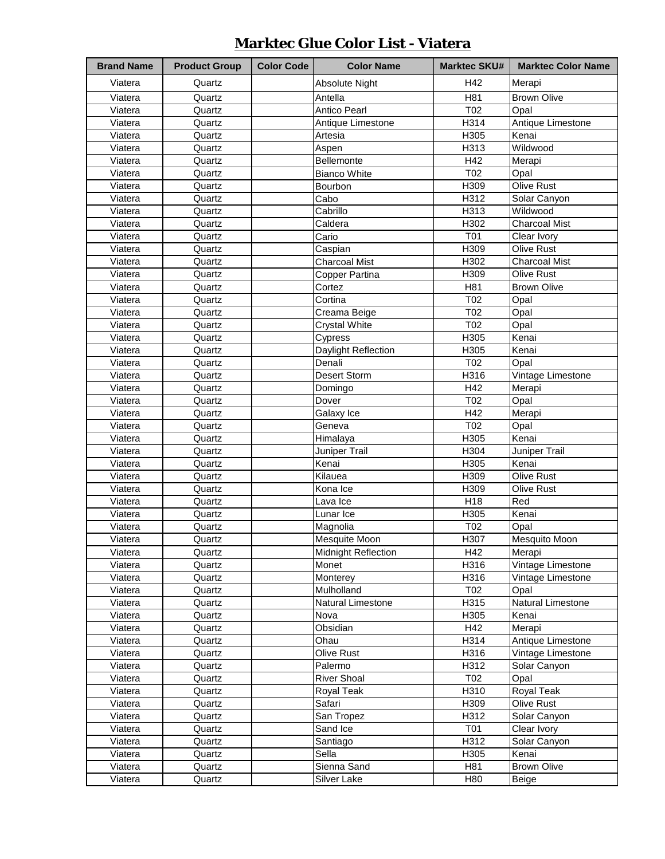| <b>Brand Name</b> | <b>Product Group</b> | <b>Color Code</b> | <b>Color Name</b>          | <b>Marktec SKU#</b> | <b>Marktec Color Name</b> |
|-------------------|----------------------|-------------------|----------------------------|---------------------|---------------------------|
| Viatera           | Quartz               |                   | <b>Absolute Night</b>      | H42                 | Merapi                    |
| Viatera           | Quartz               |                   | Antella                    | H81                 | <b>Brown Olive</b>        |
| Viatera           | Quartz               |                   | <b>Antico Pearl</b>        | T02                 | Opal                      |
| Viatera           | Quartz               |                   | Antique Limestone          | H314                | Antique Limestone         |
| Viatera           | Quartz               |                   | Artesia                    | H305                | Kenai                     |
| Viatera           | Quartz               |                   | Aspen                      | H313                | Wildwood                  |
| Viatera           | Quartz               |                   | Bellemonte                 | H42                 | Merapi                    |
| Viatera           | Quartz               |                   | <b>Bianco White</b>        | T <sub>02</sub>     | Opal                      |
| Viatera           | Quartz               |                   | Bourbon                    | H309                | Olive Rust                |
| Viatera           | Quartz               |                   | Cabo                       | H312                | Solar Canyon              |
| Viatera           | Quartz               |                   | Cabrillo                   | H313                | Wildwood                  |
| Viatera           | Quartz               |                   | Caldera                    | H302                | <b>Charcoal Mist</b>      |
| Viatera           | Quartz               |                   | Cario                      | T01                 | Clear Ivory               |
| Viatera           | Quartz               |                   | Caspian                    | H309                | Olive Rust                |
| Viatera           | Quartz               |                   | <b>Charcoal Mist</b>       | H302                | <b>Charcoal Mist</b>      |
| Viatera           | Quartz               |                   | Copper Partina             | H309                | <b>Olive Rust</b>         |
| Viatera           | Quartz               |                   | Cortez                     | H81                 | <b>Brown Olive</b>        |
| Viatera           | Quartz               |                   | Cortina                    | T02                 | Opal                      |
| Viatera           | Quartz               |                   | Creama Beige               | T02                 | Opal                      |
| Viatera           | Quartz               |                   | <b>Crystal White</b>       | T02                 | Opal                      |
| Viatera           | Quartz               |                   | Cypress                    | H305                | Kenai                     |
| Viatera           | Quartz               |                   | Daylight Reflection        | H305                | Kenai                     |
| Viatera           | Quartz               |                   | Denali                     | T02                 | Opal                      |
| Viatera           | Quartz               |                   | Desert Storm               | H316                | Vintage Limestone         |
| Viatera           | Quartz               |                   | Domingo                    | H42                 | Merapi                    |
| Viatera           | Quartz               |                   | Dover                      | T02                 | Opal                      |
| Viatera           | Quartz               |                   | Galaxy Ice                 | H42                 | Merapi                    |
| Viatera           | Quartz               |                   | Geneva                     | T02                 | Opal                      |
| Viatera           | Quartz               |                   | Himalaya                   | H305                | Kenai                     |
| Viatera           | Quartz               |                   | Juniper Trail              | H304                | Juniper Trail             |
| Viatera           | Quartz               |                   | Kenai                      | H305                | Kenai                     |
| Viatera           | Quartz               |                   | Kilauea                    | H309                | <b>Olive Rust</b>         |
| Viatera           | Quartz               |                   | Kona Ice                   | H309                | Olive Rust                |
| Viatera           | Quartz               |                   | Lava Ice                   | H <sub>18</sub>     | Red                       |
| Viatera           | Quartz               |                   | Lunar Ice                  | H305                | Kenai                     |
| Viatera           | Quartz               |                   | Magnolia                   | T02                 | Opal                      |
| Viatera           | Quartz               |                   | Mesquite Moon              | H307                | Mesquito Moon             |
| Viatera           | Quartz               |                   | <b>Midnight Reflection</b> | H42                 | Merapi                    |
| Viatera           | Quartz               |                   | Monet                      | H316                | Vintage Limestone         |
| Viatera           | Quartz               |                   | Monterey                   | H316                | Vintage Limestone         |
| Viatera           | Quartz               |                   | Mulholland                 | T02                 | Opal                      |
| Viatera           | Quartz               |                   | Natural Limestone          | H315                | Natural Limestone         |
| Viatera           | Quartz               |                   | Nova                       | H305                | Kenai                     |
| Viatera           | Quartz               |                   | Obsidian                   | H42                 | Merapi                    |
| Viatera           | Quartz               |                   | Ohau                       | H314                | Antique Limestone         |
| Viatera           | Quartz               |                   | Olive Rust                 | H316                | Vintage Limestone         |
| Viatera           | Quartz               |                   | Palermo                    | H312                | Solar Canyon              |
| Viatera           | Quartz               |                   | <b>River Shoal</b>         | T02                 | Opal                      |
| Viatera           | Quartz               |                   | Royal Teak                 | H310                | Royal Teak                |
| Viatera           | Quartz               |                   | Safari                     | H309                | Olive Rust                |
| Viatera           | Quartz               |                   | San Tropez                 | H312                | Solar Canyon              |
| Viatera           | Quartz               |                   | Sand Ice                   | <b>T01</b>          | Clear Ivory               |
| Viatera           | Quartz               |                   | Santiago                   | H312                | Solar Canyon              |
| Viatera           | Quartz               |                   | Sella                      | H305                | Kenai                     |
| Viatera           | Quartz               |                   | Sienna Sand                | H81                 | <b>Brown Olive</b>        |
| Viatera           | Quartz               |                   | Silver Lake                | H80                 | Beige                     |

#### **Marktec Glue Color List - Viatera**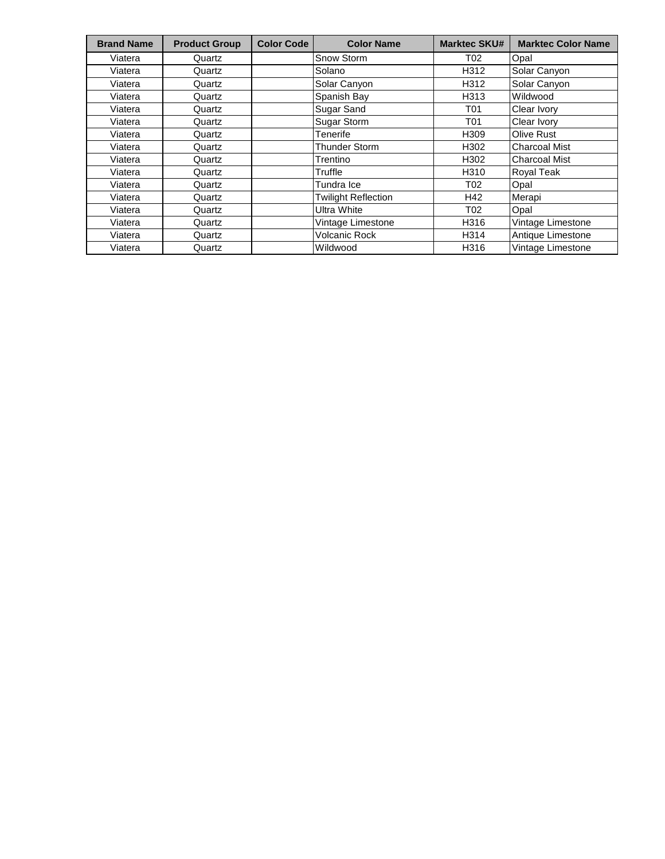| <b>Brand Name</b> | <b>Product Group</b> | <b>Color Code</b> | <b>Color Name</b>          | <b>Marktec SKU#</b> | <b>Marktec Color Name</b> |
|-------------------|----------------------|-------------------|----------------------------|---------------------|---------------------------|
| Viatera           | Quartz               |                   | Snow Storm                 | T02                 | Opal                      |
| Viatera           | Quartz               |                   | Solano                     | H312                | Solar Canyon              |
| Viatera           | Quartz               |                   | Solar Canyon               | H312                | Solar Canyon              |
| Viatera           | Quartz               |                   | Spanish Bay                | H313                | Wildwood                  |
| Viatera           | Quartz               |                   | Sugar Sand                 | T01                 | Clear Ivory               |
| Viatera           | Quartz               |                   | Sugar Storm                | T01                 | Clear Ivory               |
| Viatera           | Quartz               |                   | Tenerife                   | H309                | <b>Olive Rust</b>         |
| Viatera           | Quartz               |                   | Thunder Storm              | H302                | <b>Charcoal Mist</b>      |
| Viatera           | Quartz               |                   | Trentino                   | H302                | <b>Charcoal Mist</b>      |
| Viatera           | Quartz               |                   | Truffle                    | H310                | <b>Royal Teak</b>         |
| Viatera           | Quartz               |                   | Tundra Ice                 | T02                 | Opal                      |
| Viatera           | Quartz               |                   | <b>Twilight Reflection</b> | H42                 | Merapi                    |
| Viatera           | Quartz               |                   | <b>Ultra White</b>         | T02                 | Opal                      |
| Viatera           | Quartz               |                   | Vintage Limestone          | H316                | Vintage Limestone         |
| Viatera           | Quartz               |                   | <b>Volcanic Rock</b>       | H314                | Antique Limestone         |
| Viatera           | Quartz               |                   | Wildwood                   | H316                | Vintage Limestone         |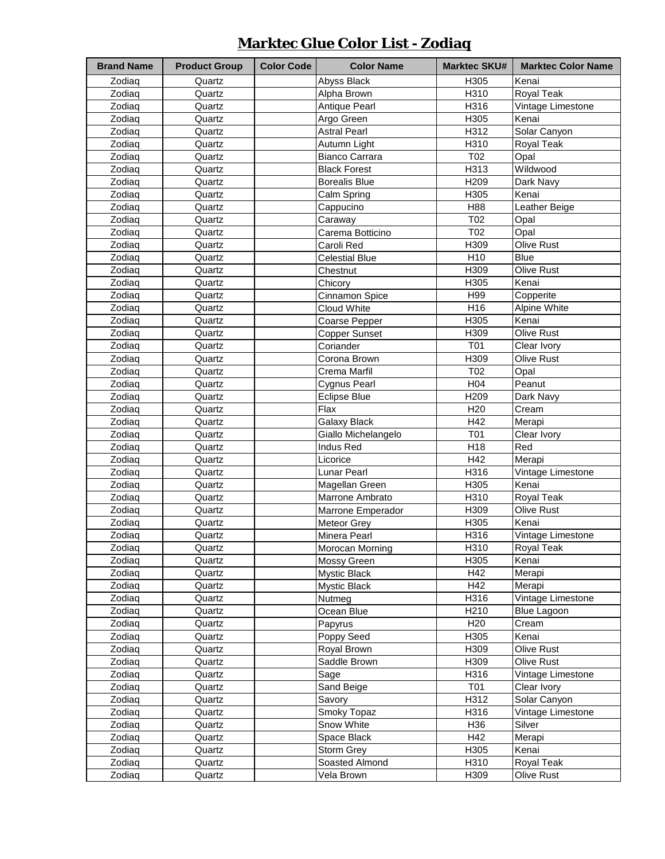# **Marktec Glue Color List - Zodiaq**

| <b>Brand Name</b> |                      | <b>Color Code</b> | <b>Color Name</b>     | <b>Marktec SKU#</b> | <b>Marktec Color Name</b> |
|-------------------|----------------------|-------------------|-----------------------|---------------------|---------------------------|
|                   | <b>Product Group</b> |                   |                       |                     |                           |
| Zodiaq            | Quartz               |                   | Abyss Black           | H305                | Kenai                     |
| Zodiaq            | Quartz               |                   | Alpha Brown           | H310                | Royal Teak                |
| Zodiaq            | Quartz               |                   | <b>Antique Pearl</b>  | H316                | Vintage Limestone         |
| Zodiaq            | Quartz               |                   | Argo Green            | H305                | Kenai                     |
| Zodiaq            | Quartz               |                   | <b>Astral Pearl</b>   | H312                | Solar Canyon              |
| Zodiag            | Quartz               |                   | Autumn Light          | H310                | Royal Teak                |
| Zodiaq            | Quartz               |                   | <b>Bianco Carrara</b> | T <sub>02</sub>     | Opal                      |
| Zodiaq            | Quartz               |                   | <b>Black Forest</b>   | H313                | Wildwood                  |
| Zodiaq            | Quartz               |                   | <b>Borealis Blue</b>  | H209                | Dark Navy                 |
| Zodiaq            | Quartz               |                   | Calm Spring           | H305                | Kenai                     |
| Zodiaq            | Quartz               |                   | Cappucino             | H88                 | Leather Beige             |
| Zodiaq            | Quartz               |                   | Caraway               | T <sub>02</sub>     | Opal                      |
| Zodiaq            | Quartz               |                   | Carema Botticino      | T <sub>02</sub>     | Opal                      |
| Zodiaq            | Quartz               |                   | Caroli Red            | H309                | Olive Rust                |
| Zodiaq            | Quartz               |                   | <b>Celestial Blue</b> | H10                 | <b>Blue</b>               |
| Zodiaq            | Quartz               |                   | Chestnut              | H309                | <b>Olive Rust</b>         |
| Zodiaq            | Quartz               |                   | Chicory               | H305                | Kenai                     |
| Zodiaq            | Quartz               |                   | Cinnamon Spice        | H99                 | Copperite                 |
| Zodiaq            | Quartz               |                   | Cloud White           | H <sub>16</sub>     | Alpine White              |
| Zodiaq            | Quartz               |                   | Coarse Pepper         | H305                | Kenai                     |
| Zodiaq            | Quartz               |                   | <b>Copper Sunset</b>  | H309                | Olive Rust                |
| Zodiaq            | Quartz               |                   | Coriander             | T01                 | Clear Ivory               |
|                   |                      |                   |                       |                     |                           |
| Zodiaq            | Quartz               |                   | Corona Brown          | H309                | Olive Rust                |
| Zodiaq            | Quartz               |                   | Crema Marfil          | T <sub>02</sub>     | Opal                      |
| Zodiaq            | Quartz               |                   | Cygnus Pearl          | H <sub>04</sub>     | Peanut                    |
| Zodiaq            | Quartz               |                   | <b>Eclipse Blue</b>   | H209                | Dark Navy                 |
| Zodiaq            | Quartz               |                   | Flax                  | H <sub>20</sub>     | Cream                     |
| Zodiaq            | Quartz               |                   | <b>Galaxy Black</b>   | H42                 | Merapi                    |
| Zodiaq            | Quartz               |                   | Giallo Michelangelo   | T01                 | Clear Ivory               |
| Zodiaq            | Quartz               |                   | <b>Indus Red</b>      | H <sub>18</sub>     | Red                       |
| Zodiaq            | Quartz               |                   | Licorice              | H42                 | Merapi                    |
| Zodiaq            | Quartz               |                   | <b>Lunar Pearl</b>    | H316                | Vintage Limestone         |
| Zodiaq            | Quartz               |                   | Magellan Green        | H305                | Kenai                     |
| Zodiaq            | Quartz               |                   | Marrone Ambrato       | H310                | Royal Teak                |
| Zodiaq            | Quartz               |                   | Marrone Emperador     | H309                | Olive Rust                |
| Zodiaq            | Quartz               |                   | Meteor Grey           | H305                | Kenai                     |
| Zodiaq            | Quartz               |                   | Minera Pearl          | H316                | Vintage Limestone         |
| Zodiaq            | Quartz               |                   | Morocan Morning       | H310                | Royal Teak                |
| Zodiaq            | Quartz               |                   | Mossy Green           | H305                | Kenai                     |
| Zodiag            | Quartz               |                   | Mystic Black          | H42                 | Merapi                    |
| Zodiaq            | Quartz               |                   | Mystic Black          | H42                 | Merapi                    |
| Zodiaq            | Quartz               |                   | Nutmeg                | H316                | Vintage Limestone         |
| Zodiaq            | Quartz               |                   | Ocean Blue            | H210                | <b>Blue Lagoon</b>        |
|                   |                      |                   |                       |                     |                           |
| Zodiaq            | Quartz               |                   | Papyrus               | H <sub>20</sub>     | Cream                     |
| Zodiaq            | Quartz               |                   | Poppy Seed            | H305                | Kenai                     |
| Zodiaq            | Quartz               |                   | Royal Brown           | H309                | Olive Rust                |
| Zodiaq            | Quartz               |                   | Saddle Brown          | H309                | Olive Rust                |
| Zodiaq            | Quartz               |                   | Sage                  | H316                | Vintage Limestone         |
| Zodiaq            | Quartz               |                   | Sand Beige            | T01                 | Clear Ivory               |
| Zodiaq            | Quartz               |                   | Savory                | H312                | Solar Canyon              |
| Zodiaq            | Quartz               |                   | Smoky Topaz           | H316                | Vintage Limestone         |
| Zodiaq            | Quartz               |                   | Snow White            | H36                 | Silver                    |
| Zodiaq            | Quartz               |                   | Space Black           | H42                 | Merapi                    |
| Zodiaq            | Quartz               |                   | Storm Grey            | H305                | Kenai                     |
| Zodiaq            | Quartz               |                   | Soasted Almond        | H310                | Royal Teak                |
| Zodiaq            | Quartz               |                   | Vela Brown            | H309                | Olive Rust                |